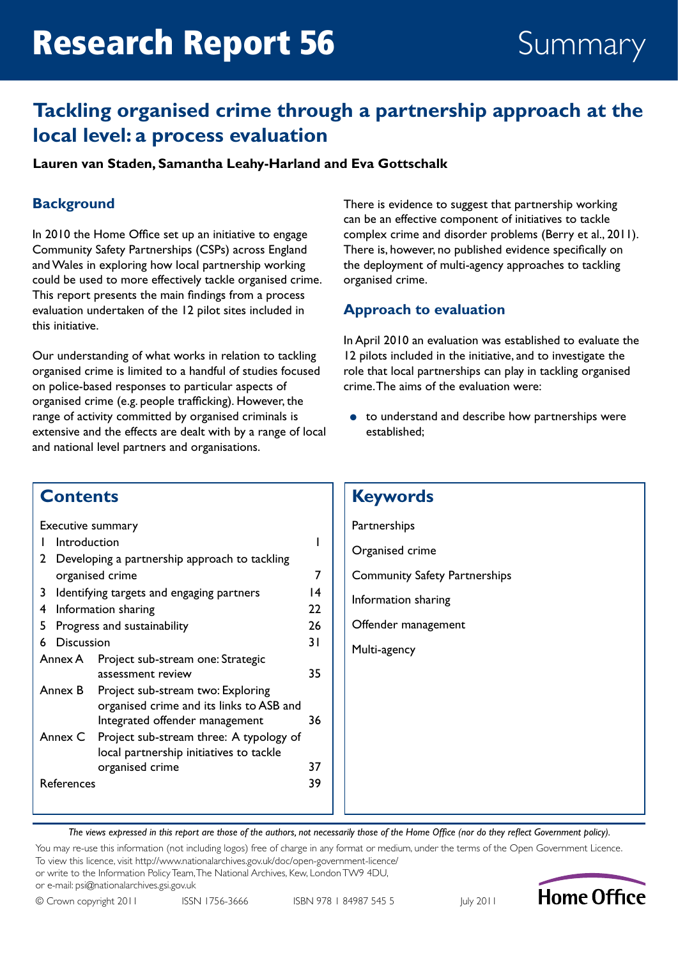# Research Report 56 Summary

## **Tackling organised crime through a partnership approach at the local level: a process evaluation**

#### **Lauren van Staden, Samantha Leahy-Harland and Eva Gottschalk**

### **Background**

In 2010 the Home Office set up an initiative to engage Community Safety Partnerships (CSPs) across England and Wales in exploring how local partnership working could be used to more effectively tackle organised crime. This report presents the main findings from a process evaluation undertaken of the 12 pilot sites included in this initiative.

Our understanding of what works in relation to tackling organised crime is limited to a handful of studies focused on police-based responses to particular aspects of organised crime (e.g. people trafficking). However, the range of activity committed by organised criminals is extensive and the effects are dealt with by a range of local and national level partners and organisations.

There is evidence to suggest that partnership working can be an effective component of initiatives to tackle complex crime and disorder problems (Berry et al., 2011). There is, however, no published evidence specifically on the deployment of multi-agency approaches to tackling organised crime.

#### **Approach to evaluation**

In April 2010 an evaluation was established to evaluate the 12 pilots included in the initiative, and to investigate the role that local partnerships can play in tackling organised crime. The aims of the evaluation were:

● to understand and describe how partnerships were established;

### **Contents**

| Executive summary                              |                                               |                                          |    |  |  |  |
|------------------------------------------------|-----------------------------------------------|------------------------------------------|----|--|--|--|
|                                                | Introduction                                  |                                          |    |  |  |  |
| 2                                              | Developing a partnership approach to tackling |                                          |    |  |  |  |
| organised crime                                |                                               |                                          |    |  |  |  |
| Identifying targets and engaging partners<br>3 |                                               |                                          |    |  |  |  |
| 4                                              | Information sharing                           |                                          |    |  |  |  |
| Progress and sustainability<br>5.              |                                               |                                          |    |  |  |  |
| 6                                              | Discussion                                    |                                          |    |  |  |  |
|                                                | Project sub-stream one: Strategic<br>Annex A  |                                          |    |  |  |  |
|                                                |                                               | assessment review                        | 35 |  |  |  |
|                                                | Annex B                                       | Project sub-stream two: Exploring        |    |  |  |  |
|                                                |                                               | organised crime and its links to ASB and | 36 |  |  |  |
|                                                | Integrated offender management                |                                          |    |  |  |  |
| Annex C                                        |                                               | Project sub-stream three: A typology of  |    |  |  |  |
|                                                |                                               | local partnership initiatives to tackle  |    |  |  |  |
|                                                |                                               | organised crime                          | 37 |  |  |  |
|                                                | References                                    |                                          | 39 |  |  |  |
|                                                |                                               |                                          |    |  |  |  |

### **Keywords**

**Partnerships** Organised crime Community Safety Partnerships Information sharing Offender management Multi-agency

*The views expressed in this report are those of the authors, not necessarily those of the Home Office (nor do they reflect Government policy).*

You may re-use this information (not including logos) free of charge in any format or medium, under the terms of the Open Government Licence. To view this licence, visit http://www.nationalarchives.gov.uk/doc/open-government-licence/

or write to the Information Policy Team, The National Archives, Kew, London TW9 4DU,

or e-mail: psi@nationalarchives.gsi.gov.uk



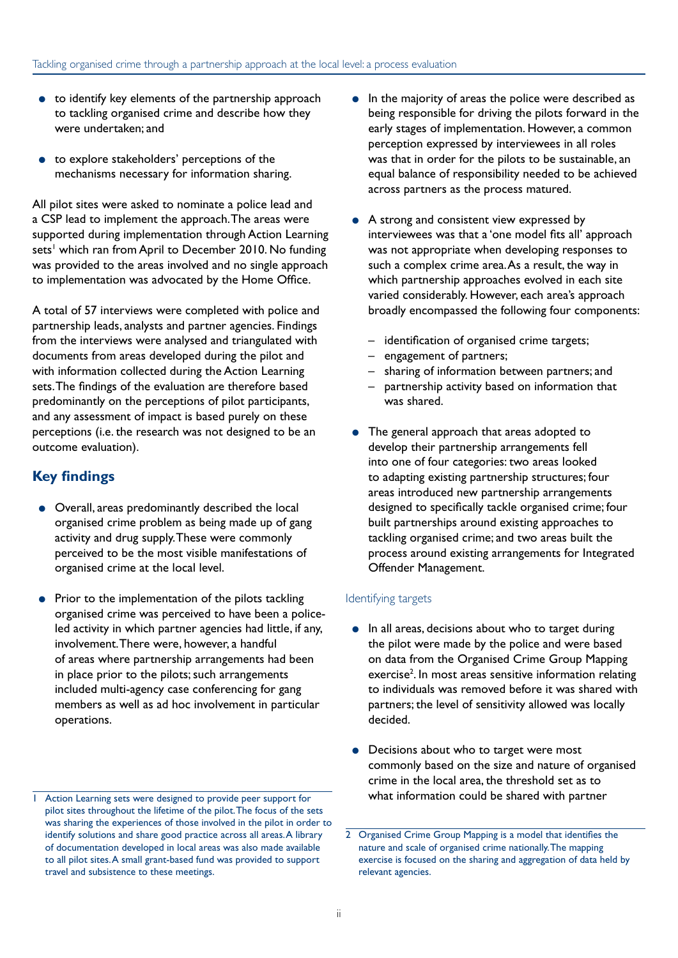- to identify key elements of the partnership approach to tackling organised crime and describe how they were undertaken; and
- to explore stakeholders' perceptions of the mechanisms necessary for information sharing.

All pilot sites were asked to nominate a police lead and a CSP lead to implement the approach. The areas were supported during implementation through Action Learning sets' which ran from April to December 2010. No funding was provided to the areas involved and no single approach to implementation was advocated by the Home Office.

A total of 57 interviews were completed with police and partnership leads, analysts and partner agencies. Findings from the interviews were analysed and triangulated with documents from areas developed during the pilot and with information collected during the Action Learning sets. The findings of the evaluation are therefore based predominantly on the perceptions of pilot participants, and any assessment of impact is based purely on these perceptions (i.e. the research was not designed to be an outcome evaluation).

#### **Key findings**

- Overall, areas predominantly described the local organised crime problem as being made up of gang activity and drug supply. These were commonly perceived to be the most visible manifestations of organised crime at the local level.
- Prior to the implementation of the pilots tackling organised crime was perceived to have been a policeled activity in which partner agencies had little, if any, involvement. There were, however, a handful of areas where partnership arrangements had been in place prior to the pilots; such arrangements included multi-agency case conferencing for gang members as well as ad hoc involvement in particular operations.
- In the majority of areas the police were described as being responsible for driving the pilots forward in the early stages of implementation. However, a common perception expressed by interviewees in all roles was that in order for the pilots to be sustainable, an equal balance of responsibility needed to be achieved across partners as the process matured.
- A strong and consistent view expressed by interviewees was that a 'one model fits all' approach was not appropriate when developing responses to such a complex crime area. As a result, the way in which partnership approaches evolved in each site varied considerably. However, each area's approach broadly encompassed the following four components:
	- identification of organised crime targets;
	- engagement of partners;
	- sharing of information between partners; and
	- partnership activity based on information that was shared.
- The general approach that areas adopted to develop their partnership arrangements fell into one of four categories: two areas looked to adapting existing partnership structures; four areas introduced new partnership arrangements designed to specifically tackle organised crime; four built partnerships around existing approaches to tackling organised crime; and two areas built the process around existing arrangements for Integrated Offender Management.

#### Identifying targets

- In all areas, decisions about who to target during the pilot were made by the police and were based on data from the Organised Crime Group Mapping exercise<sup>2</sup>. In most areas sensitive information relating to individuals was removed before it was shared with partners; the level of sensitivity allowed was locally decided.
- Decisions about who to target were most commonly based on the size and nature of organised crime in the local area, the threshold set as to what information could be shared with partner

<sup>1</sup> Action Learning sets were designed to provide peer support for pilot sites throughout the lifetime of the pilot. The focus of the sets was sharing the experiences of those involved in the pilot in order to identify solutions and share good practice across all areas. A library of documentation developed in local areas was also made available to all pilot sites. A small grant-based fund was provided to support travel and subsistence to these meetings.

<sup>2</sup> Organised Crime Group Mapping is a model that identifies the nature and scale of organised crime nationally. The mapping exercise is focused on the sharing and aggregation of data held by relevant agencies.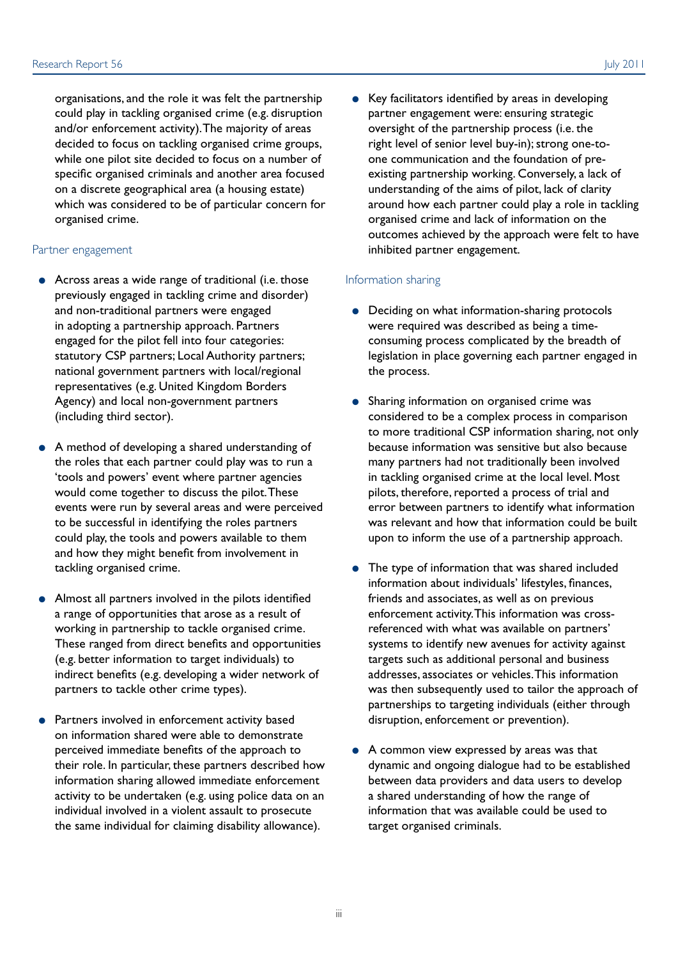organisations, and the role it was felt the partnership could play in tackling organised crime (e.g. disruption and/or enforcement activity). The majority of areas decided to focus on tackling organised crime groups, while one pilot site decided to focus on a number of specific organised criminals and another area focused on a discrete geographical area (a housing estate) which was considered to be of particular concern for organised crime.

#### Partner engagement

- Across areas a wide range of traditional (i.e. those previously engaged in tackling crime and disorder) and non-traditional partners were engaged in adopting a partnership approach. Partners engaged for the pilot fell into four categories: statutory CSP partners; Local Authority partners; national government partners with local/regional representatives (e.g. United Kingdom Borders Agency) and local non-government partners (including third sector).
- A method of developing a shared understanding of the roles that each partner could play was to run a 'tools and powers' event where partner agencies would come together to discuss the pilot. These events were run by several areas and were perceived to be successful in identifying the roles partners could play, the tools and powers available to them and how they might benefit from involvement in tackling organised crime.
- Almost all partners involved in the pilots identified a range of opportunities that arose as a result of working in partnership to tackle organised crime. These ranged from direct benefits and opportunities (e.g. better information to target individuals) to indirect benefits (e.g. developing a wider network of partners to tackle other crime types).
- Partners involved in enforcement activity based on information shared were able to demonstrate perceived immediate benefits of the approach to their role. In particular, these partners described how information sharing allowed immediate enforcement activity to be undertaken (e.g. using police data on an individual involved in a violent assault to prosecute the same individual for claiming disability allowance).

● Key facilitators identified by areas in developing partner engagement were: ensuring strategic oversight of the partnership process (i.e. the right level of senior level buy-in); strong one-toone communication and the foundation of preexisting partnership working. Conversely, a lack of understanding of the aims of pilot, lack of clarity around how each partner could play a role in tackling organised crime and lack of information on the outcomes achieved by the approach were felt to have inhibited partner engagement.

#### Information sharing

- Deciding on what information-sharing protocols were required was described as being a timeconsuming process complicated by the breadth of legislation in place governing each partner engaged in the process.
- Sharing information on organised crime was considered to be a complex process in comparison to more traditional CSP information sharing, not only because information was sensitive but also because many partners had not traditionally been involved in tackling organised crime at the local level. Most pilots, therefore, reported a process of trial and error between partners to identify what information was relevant and how that information could be built upon to inform the use of a partnership approach.
- The type of information that was shared included information about individuals' lifestyles, finances, friends and associates, as well as on previous enforcement activity. This information was crossreferenced with what was available on partners' systems to identify new avenues for activity against targets such as additional personal and business addresses, associates or vehicles. This information was then subsequently used to tailor the approach of partnerships to targeting individuals (either through disruption, enforcement or prevention).
- A common view expressed by areas was that dynamic and ongoing dialogue had to be established between data providers and data users to develop a shared understanding of how the range of information that was available could be used to target organised criminals.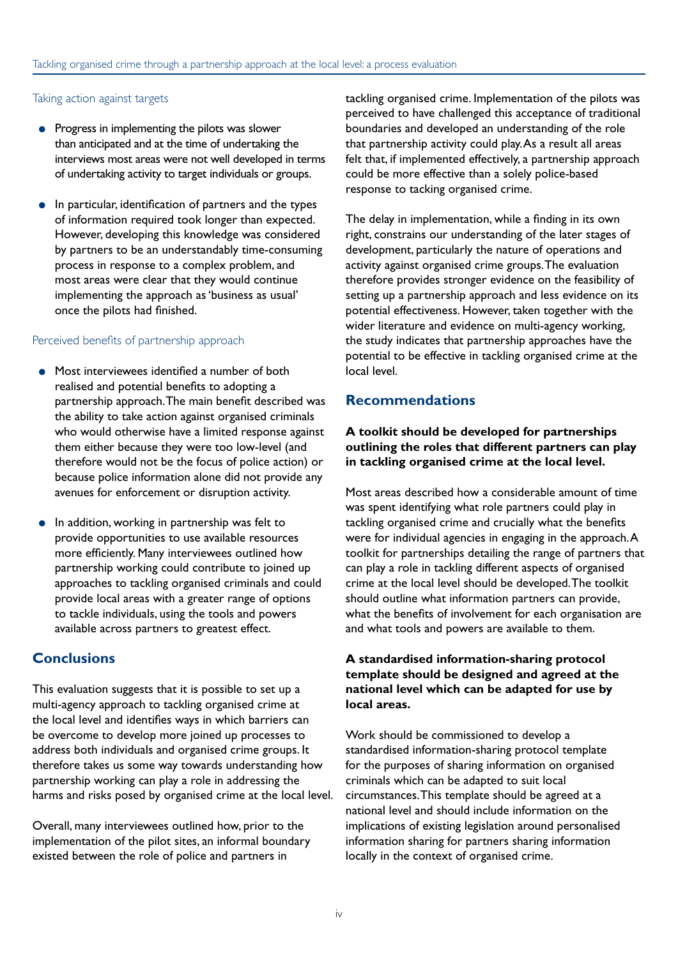#### Taking action against targets

- Progress in implementing the pilots was slower than anticipated and at the time of undertaking the interviews most areas were not well developed in terms of undertaking activity to target individuals or groups.
- In particular, identification of partners and the types of information required took longer than expected. However, developing this knowledge was considered by partners to be an understandably time-consuming process in response to a complex problem, and most areas were clear that they would continue implementing the approach as 'business as usual' once the pilots had finished.

#### Perceived benefits of partnership approach

- Most interviewees identified a number of both realised and potential benefits to adopting a partnership approach. The main benefit described was the ability to take action against organised criminals who would otherwise have a limited response against them either because they were too low-level (and therefore would not be the focus of police action) or because police information alone did not provide any avenues for enforcement or disruption activity.
- In addition, working in partnership was felt to provide opportunities to use available resources more efficiently. Many interviewees outlined how partnership working could contribute to joined up approaches to tackling organised criminals and could provide local areas with a greater range of options to tackle individuals, using the tools and powers available across partners to greatest effect.

#### **Conclusions**

This evaluation suggests that it is possible to set up a multi-agency approach to tackling organised crime at the local level and identifies ways in which barriers can be overcome to develop more joined up processes to address both individuals and organised crime groups. It therefore takes us some way towards understanding how partnership working can play a role in addressing the harms and risks posed by organised crime at the local level.

Overall, many interviewees outlined how, prior to the implementation of the pilot sites, an informal boundary existed between the role of police and partners in

tackling organised crime. Implementation of the pilots was perceived to have challenged this acceptance of traditional boundaries and developed an understanding of the role that partnership activity could play. As a result all areas felt that, if implemented effectively, a partnership approach could be more effective than a solely police-based response to tacking organised crime.

The delay in implementation, while a finding in its own right, constrains our understanding of the later stages of development, particularly the nature of operations and activity against organised crime groups. The evaluation therefore provides stronger evidence on the feasibility of setting up a partnership approach and less evidence on its potential effectiveness. However, taken together with the wider literature and evidence on multi-agency working, the study indicates that partnership approaches have the potential to be effective in tackling organised crime at the local level.

#### **Recommendations**

#### **A toolkit should be developed for partnerships outlining the roles that different partners can play in tackling organised crime at the local level.**

Most areas described how a considerable amount of time was spent identifying what role partners could play in tackling organised crime and crucially what the benefits were for individual agencies in engaging in the approach. A toolkit for partnerships detailing the range of partners that can play a role in tackling different aspects of organised crime at the local level should be developed. The toolkit should outline what information partners can provide, what the benefits of involvement for each organisation are and what tools and powers are available to them.

#### **A standardised information-sharing protocol template should be designed and agreed at the national level which can be adapted for use by local areas.**

Work should be commissioned to develop a standardised information-sharing protocol template for the purposes of sharing information on organised criminals which can be adapted to suit local circumstances. This template should be agreed at a national level and should include information on the implications of existing legislation around personalised information sharing for partners sharing information locally in the context of organised crime.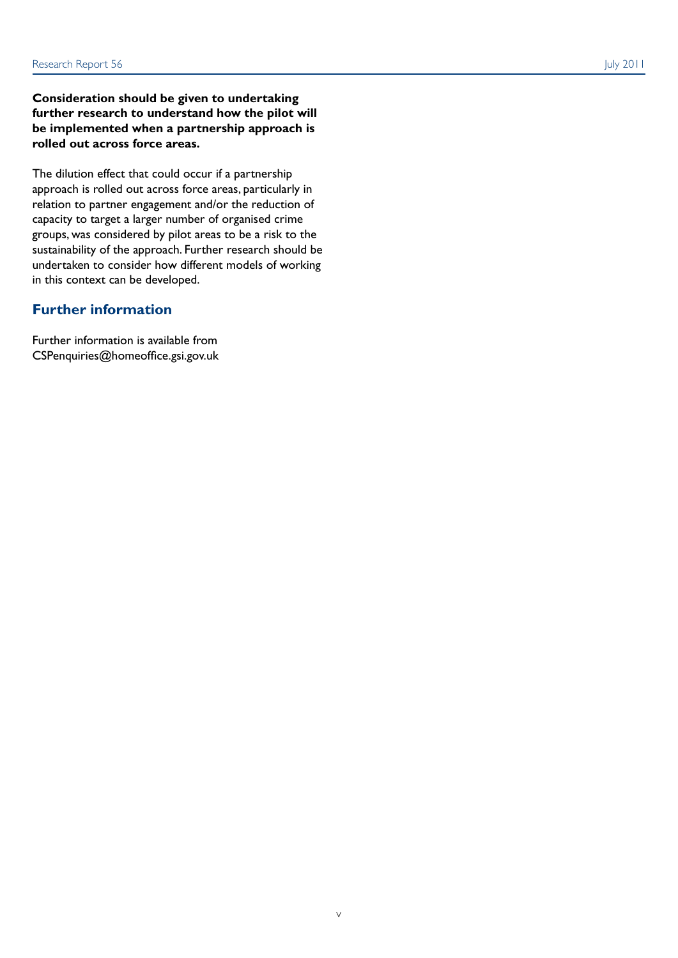#### **Consideration should be given to undertaking further research to understand how the pilot will be implemented when a partnership approach is rolled out across force areas.**

The dilution effect that could occur if a partnership approach is rolled out across force areas, particularly in relation to partner engagement and/or the reduction of capacity to target a larger number of organised crime groups, was considered by pilot areas to be a risk to the sustainability of the approach. Further research should be undertaken to consider how different models of working in this context can be developed.

#### **Further information**

Further information is available from CSPenquiries@homeoffice.gsi.gov.uk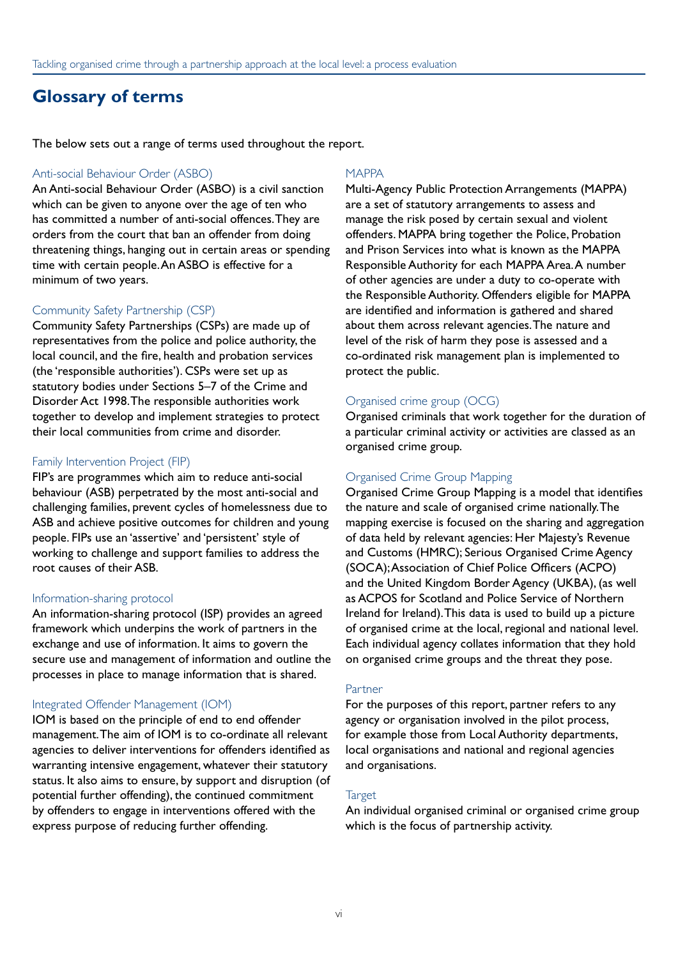### **Glossary of terms**

The below sets out a range of terms used throughout the report.

#### Anti-social Behaviour Order (ASBO)

An Anti-social Behaviour Order (ASBO) is a civil sanction which can be given to anyone over the age of ten who has committed a number of anti-social offences. They are orders from the court that ban an offender from doing threatening things, hanging out in certain areas or spending time with certain people. An ASBO is effective for a minimum of two years.

#### Community Safety Partnership (CSP)

Community Safety Partnerships (CSPs) are made up of representatives from the police and police authority, the local council, and the fire, health and probation services (the 'responsible authorities'). CSPs were set up as statutory bodies under Sections 5–7 of the Crime and Disorder Act 1998. The responsible authorities work together to develop and implement strategies to protect their local communities from crime and disorder.

#### Family Intervention Project (FIP)

FIP's are programmes which aim to reduce anti-social behaviour (ASB) perpetrated by the most anti-social and challenging families, prevent cycles of homelessness due to ASB and achieve positive outcomes for children and young people. FIPs use an 'assertive' and 'persistent' style of working to challenge and support families to address the root causes of their ASB.

#### Information-sharing protocol

An information-sharing protocol (ISP) provides an agreed framework which underpins the work of partners in the exchange and use of information. It aims to govern the secure use and management of information and outline the processes in place to manage information that is shared.

#### Integrated Offender Management (IOM)

IOM is based on the principle of end to end offender management. The aim of IOM is to co-ordinate all relevant agencies to deliver interventions for offenders identified as warranting intensive engagement, whatever their statutory status. It also aims to ensure, by support and disruption (of potential further offending), the continued commitment by offenders to engage in interventions offered with the express purpose of reducing further offending.

#### MAPPA

Multi-Agency Public Protection Arrangements (MAPPA) are a set of statutory arrangements to assess and manage the risk posed by certain sexual and violent offenders. MAPPA bring together the Police, Probation and Prison Services into what is known as the MAPPA Responsible Authority for each MAPPA Area. A number of other agencies are under a duty to co-operate with the Responsible Authority. Offenders eligible for MAPPA are identified and information is gathered and shared about them across relevant agencies. The nature and level of the risk of harm they pose is assessed and a co-ordinated risk management plan is implemented to protect the public.

#### Organised crime group (OCG)

Organised criminals that work together for the duration of a particular criminal activity or activities are classed as an organised crime group.

#### Organised Crime Group Mapping

Organised Crime Group Mapping is a model that identifies the nature and scale of organised crime nationally. The mapping exercise is focused on the sharing and aggregation of data held by relevant agencies: Her Majesty's Revenue and Customs (HMRC); Serious Organised Crime Agency (SOCA); Association of Chief Police Officers (ACPO) and the United Kingdom Border Agency (UKBA), (as well as ACPOS for Scotland and Police Service of Northern Ireland for Ireland). This data is used to build up a picture of organised crime at the local, regional and national level. Each individual agency collates information that they hold on organised crime groups and the threat they pose.

#### Partner

For the purposes of this report, partner refers to any agency or organisation involved in the pilot process, for example those from Local Authority departments, local organisations and national and regional agencies and organisations.

#### **Target**

An individual organised criminal or organised crime group which is the focus of partnership activity.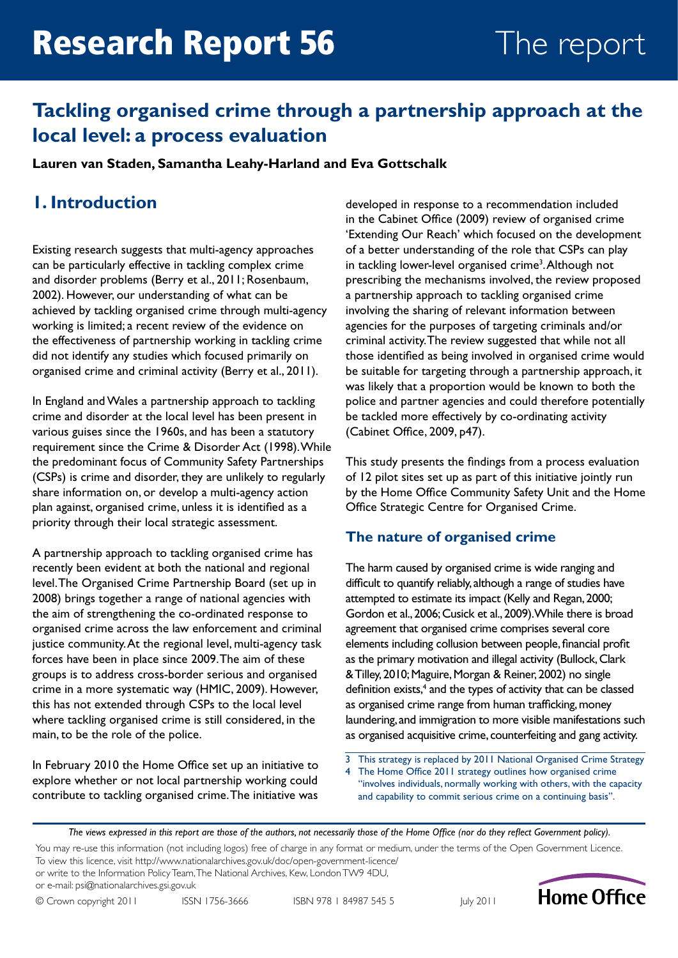### **Tackling organised crime through a partnership approach at the local level: a process evaluation**

**Lauren van Staden, Samantha Leahy-Harland and Eva Gottschalk**

### **1. Introduction**

Existing research suggests that multi-agency approaches can be particularly effective in tackling complex crime and disorder problems (Berry et al., 2011; Rosenbaum, 2002). However, our understanding of what can be achieved by tackling organised crime through multi-agency working is limited; a recent review of the evidence on the effectiveness of partnership working in tackling crime did not identify any studies which focused primarily on organised crime and criminal activity (Berry et al., 2011).

In England and Wales a partnership approach to tackling crime and disorder at the local level has been present in various guises since the 1960s, and has been a statutory requirement since the Crime & Disorder Act (1998). While the predominant focus of Community Safety Partnerships (CSPs) is crime and disorder, they are unlikely to regularly share information on, or develop a multi-agency action plan against, organised crime, unless it is identified as a priority through their local strategic assessment.

A partnership approach to tackling organised crime has recently been evident at both the national and regional level. The Organised Crime Partnership Board (set up in 2008) brings together a range of national agencies with the aim of strengthening the co-ordinated response to organised crime across the law enforcement and criminal justice community. At the regional level, multi-agency task forces have been in place since 2009. The aim of these groups is to address cross-border serious and organised crime in a more systematic way (HMIC, 2009). However, this has not extended through CSPs to the local level where tackling organised crime is still considered, in the main, to be the role of the police.

In February 2010 the Home Office set up an initiative to explore whether or not local partnership working could contribute to tackling organised crime. The initiative was

developed in response to a recommendation included in the Cabinet Office (2009) review of organised crime 'Extending Our Reach' which focused on the development of a better understanding of the role that CSPs can play in tackling lower-level organised crime<sup>3</sup>. Although not prescribing the mechanisms involved, the review proposed a partnership approach to tackling organised crime involving the sharing of relevant information between agencies for the purposes of targeting criminals and/or criminal activity. The review suggested that while not all those identified as being involved in organised crime would be suitable for targeting through a partnership approach, it was likely that a proportion would be known to both the police and partner agencies and could therefore potentially be tackled more effectively by co-ordinating activity (Cabinet Office, 2009, p47).

This study presents the findings from a process evaluation of 12 pilot sites set up as part of this initiative jointly run by the Home Office Community Safety Unit and the Home Office Strategic Centre for Organised Crime.

### **The nature of organised crime**

The harm caused by organised crime is wide ranging and difficult to quantify reliably, although a range of studies have attempted to estimate its impact (Kelly and Regan, 2000; Gordon et al., 2006; Cusick et al., 2009). While there is broad agreement that organised crime comprises several core elements including collusion between people, financial profit as the primary motivation and illegal activity (Bullock, Clark & Tilley, 2010; Maguire, Morgan & Reiner, 2002) no single definition exists,<sup>4</sup> and the types of activity that can be classed as organised crime range from human trafficking, money laundering, and immigration to more visible manifestations such as organised acquisitive crime, counterfeiting and gang activity.

- 3 This strategy is replaced by 2011 National Organised Crime Strategy
- 4 The Home Office 2011 strategy outlines how organised crime "involves individuals, normally working with others, with the capacity and capability to commit serious crime on a continuing basis".

*The views expressed in this report are those of the authors, not necessarily those of the Home Office (nor do they reflect Government policy).*

You may re-use this information (not including logos) free of charge in any format or medium, under the terms of the Open Government Licence. To view this licence, visit <http://www.nationalarchives.gov.uk/doc/open-government-licence/>

or write to the Information Policy Team, The National Archives, Kew, London TW9 4DU, or e-mail: [psi@nationalarchives.gsi.gov.uk](mailto:psi%40nationalarchives.gsi.gov.uk?subject=)



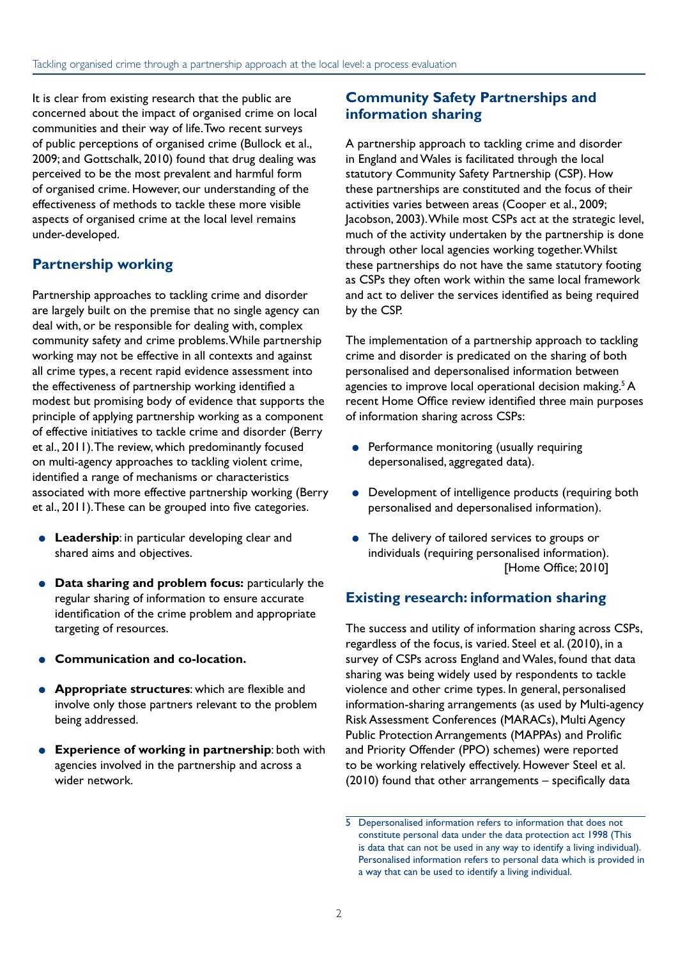It is clear from existing research that the public are concerned about the impact of organised crime on local communities and their way of life. Two recent surveys of public perceptions of organised crime (Bullock et al., 2009; and Gottschalk, 2010) found that drug dealing was perceived to be the most prevalent and harmful form of organised crime. However, our understanding of the effectiveness of methods to tackle these more visible aspects of organised crime at the local level remains under-developed.

### **Partnership working**

Partnership approaches to tackling crime and disorder are largely built on the premise that no single agency can deal with, or be responsible for dealing with, complex community safety and crime problems. While partnership working may not be effective in all contexts and against all crime types, a recent rapid evidence assessment into the effectiveness of partnership working identified a modest but promising body of evidence that supports the principle of applying partnership working as a component of effective initiatives to tackle crime and disorder (Berry et al., 2011). The review, which predominantly focused on multi-agency approaches to tackling violent crime, identified a range of mechanisms or characteristics associated with more effective partnership working (Berry et al., 2011). These can be grouped into five categories.

- **Leadership:** in particular developing clear and shared aims and objectives.
- **Data sharing and problem focus:** particularly the regular sharing of information to ensure accurate identification of the crime problem and appropriate targeting of resources.
- **Communication and co-location.**
- **Appropriate structures**: which are flexible and involve only those partners relevant to the problem being addressed.
- **Experience of working in partnership**: both with agencies involved in the partnership and across a wider network.

#### **Community Safety Partnerships and information sharing**

A partnership approach to tackling crime and disorder in England and Wales is facilitated through the local statutory Community Safety Partnership (CSP). How these partnerships are constituted and the focus of their activities varies between areas (Cooper et al., 2009; Jacobson, 2003). While most CSPs act at the strategic level, much of the activity undertaken by the partnership is done through other local agencies working together. Whilst these partnerships do not have the same statutory footing as CSPs they often work within the same local framework and act to deliver the services identified as being required by the CSP.

The implementation of a partnership approach to tackling crime and disorder is predicated on the sharing of both personalised and depersonalised information between agencies to improve local operational decision making.<sup>5</sup> A recent Home Office review identified three main purposes of information sharing across CSPs:

- Performance monitoring (usually requiring depersonalised, aggregated data).
- Development of intelligence products (requiring both personalised and depersonalised information).
- The delivery of tailored services to groups or individuals (requiring personalised information). [Home Office; 2010]

#### **Existing research: information sharing**

The success and utility of information sharing across CSPs, regardless of the focus, is varied. Steel et al. (2010), in a survey of CSPs across England and Wales, found that data sharing was being widely used by respondents to tackle violence and other crime types. In general, personalised information-sharing arrangements (as used by Multi-agency Risk Assessment Conferences (MARACs), Multi Agency Public Protection Arrangements (MAPPAs) and Prolific and Priority Offender (PPO) schemes) were reported to be working relatively effectively. However Steel et al. (2010) found that other arrangements – specifically data

<sup>5</sup> Depersonalised information refers to information that does not constitute personal data under the data protection act 1998 (This is data that can not be used in any way to identify a living individual). Personalised information refers to personal data which is provided in a way that can be used to identify a living individual.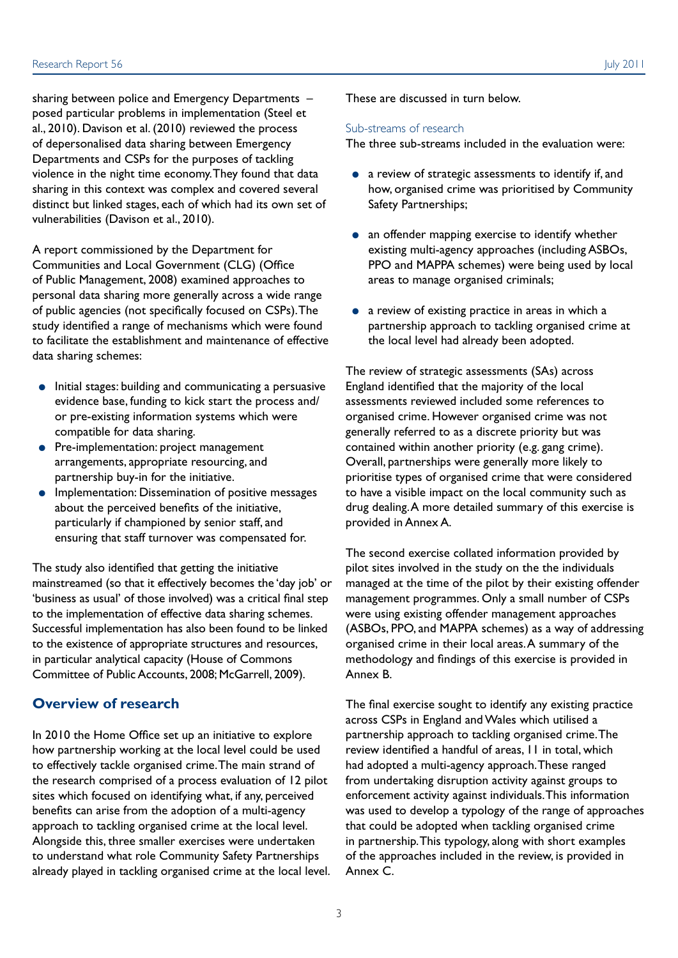sharing between police and Emergency Departments – posed particular problems in implementation (Steel et al., 2010). Davison et al. (2010) reviewed the process of depersonalised data sharing between Emergency Departments and CSPs for the purposes of tackling violence in the night time economy. They found that data

sharing in this context was complex and covered several distinct but linked stages, each of which had its own set of vulnerabilities (Davison et al., 2010).

A report commissioned by the Department for Communities and Local Government (CLG) (Office of Public Management, 2008) examined approaches to personal data sharing more generally across a wide range of public agencies (not specifically focused on CSPs). The study identified a range of mechanisms which were found to facilitate the establishment and maintenance of effective data sharing schemes:

- Initial stages: building and communicating a persuasive evidence base, funding to kick start the process and/ or pre-existing information systems which were compatible for data sharing.
- Pre-implementation: project management arrangements, appropriate resourcing, and partnership buy-in for the initiative.
- Implementation: Dissemination of positive messages about the perceived benefits of the initiative, particularly if championed by senior staff, and ensuring that staff turnover was compensated for.

The study also identified that getting the initiative mainstreamed (so that it effectively becomes the 'day job' or 'business as usual' of those involved) was a critical final step to the implementation of effective data sharing schemes. Successful implementation has also been found to be linked to the existence of appropriate structures and resources, in particular analytical capacity (House of Commons Committee of Public Accounts, 2008; McGarrell, 2009).

#### **Overview of research**

In 2010 the Home Office set up an initiative to explore how partnership working at the local level could be used to effectively tackle organised crime. The main strand of the research comprised of a process evaluation of 12 pilot sites which focused on identifying what, if any, perceived benefits can arise from the adoption of a multi-agency approach to tackling organised crime at the local level. Alongside this, three smaller exercises were undertaken to understand what role Community Safety Partnerships already played in tackling organised crime at the local level. These are discussed in turn below.

#### Sub-streams of research

The three sub-streams included in the evaluation were:

- a review of strategic assessments to identify if, and how, organised crime was prioritised by Community Safety Partnerships;
- an offender mapping exercise to identify whether existing multi-agency approaches (including ASBOs, PPO and MAPPA schemes) were being used by local areas to manage organised criminals;
- a review of existing practice in areas in which a partnership approach to tackling organised crime at the local level had already been adopted.

The review of strategic assessments (SAs) across England identified that the majority of the local assessments reviewed included some references to organised crime. However organised crime was not generally referred to as a discrete priority but was contained within another priority (e.g. gang crime). Overall, partnerships were generally more likely to prioritise types of organised crime that were considered to have a visible impact on the local community such as drug dealing. A more detailed summary of this exercise is provided in Annex A.

The second exercise collated information provided by pilot sites involved in the study on the the individuals managed at the time of the pilot by their existing offender management programmes. Only a small number of CSPs were using existing offender management approaches (ASBOs, PPO, and MAPPA schemes) as a way of addressing organised crime in their local areas. A summary of the methodology and findings of this exercise is provided in Annex B.

The final exercise sought to identify any existing practice across CSPs in England and Wales which utilised a partnership approach to tackling organised crime. The review identified a handful of areas, 11 in total, which had adopted a multi-agency approach. These ranged from undertaking disruption activity against groups to enforcement activity against individuals. This information was used to develop a typology of the range of approaches that could be adopted when tackling organised crime in partnership. This typology, along with short examples of the approaches included in the review, is provided in Annex C.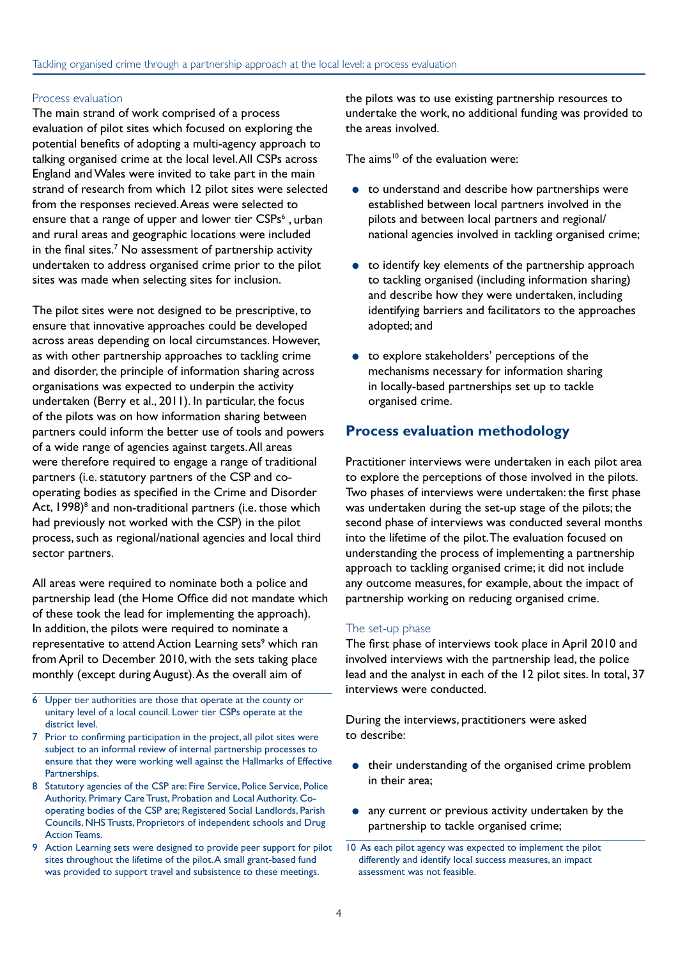#### Process evaluation

The main strand of work comprised of a process evaluation of pilot sites which focused on exploring the potential benefits of adopting a multi-agency approach to talking organised crime at the local level. All CSPs across England and Wales were invited to take part in the main strand of research from which 12 pilot sites were selected from the responses recieved. Areas were selected to ensure that a range of upper and lower tier CSPs<sup>6</sup>, urban and rural areas and geographic locations were included in the final sites.<sup>7</sup> No assessment of partnership activity undertaken to address organised crime prior to the pilot sites was made when selecting sites for inclusion.

The pilot sites were not designed to be prescriptive, to ensure that innovative approaches could be developed across areas depending on local circumstances. However, as with other partnership approaches to tackling crime and disorder, the principle of information sharing across organisations was expected to underpin the activity undertaken (Berry et al., 2011). In particular, the focus of the pilots was on how information sharing between partners could inform the better use of tools and powers of a wide range of agencies against targets. All areas were therefore required to engage a range of traditional partners (i.e. statutory partners of the CSP and cooperating bodies as specified in the Crime and Disorder Act, 1998)<sup>8</sup> and non-traditional partners (i.e. those which had previously not worked with the CSP) in the pilot process, such as regional/national agencies and local third sector partners.

All areas were required to nominate both a police and partnership lead (the Home Office did not mandate which of these took the lead for implementing the approach). In addition, the pilots were required to nominate a representative to attend Action Learning sets<sup>9</sup> which ran from April to December 2010, with the sets taking place monthly (except during August). As the overall aim of

- 6 Upper tier authorities are those that operate at the county or unitary level of a local council. Lower tier CSPs operate at the district level.
- 7 Prior to confirming participation in the project, all pilot sites were subject to an informal review of internal partnership processes to ensure that they were working well against the Hallmarks of Effective Partnerships.
- 8 Statutory agencies of the CSP are: Fire Service, Police Service, Police Authority, Primary Care Trust, Probation and Local Authority. Cooperating bodies of the CSP are; Registered Social Landlords, Parish Councils, NHS Trusts, Proprietors of independent schools and Drug Action Teams.
- 9 Action Learning sets were designed to provide peer support for pilot sites throughout the lifetime of the pilot. A small grant-based fund was provided to support travel and subsistence to these meetings.

the pilots was to use existing partnership resources to undertake the work, no additional funding was provided to the areas involved.

The aims<sup>10</sup> of the evaluation were:

- to understand and describe how partnerships were established between local partners involved in the pilots and between local partners and regional/ national agencies involved in tackling organised crime;
- to identify key elements of the partnership approach to tackling organised (including information sharing) and describe how they were undertaken, including identifying barriers and facilitators to the approaches adopted; and
- to explore stakeholders' perceptions of the mechanisms necessary for information sharing in locally-based partnerships set up to tackle organised crime.

#### **Process evaluation methodology**

Practitioner interviews were undertaken in each pilot area to explore the perceptions of those involved in the pilots. Two phases of interviews were undertaken: the first phase was undertaken during the set-up stage of the pilots; the second phase of interviews was conducted several months into the lifetime of the pilot. The evaluation focused on understanding the process of implementing a partnership approach to tackling organised crime; it did not include any outcome measures, for example, about the impact of partnership working on reducing organised crime.

#### The set-up phase

The first phase of interviews took place in April 2010 and involved interviews with the partnership lead, the police lead and the analyst in each of the 12 pilot sites. In total, 37 interviews were conducted.

During the interviews, practitioners were asked to describe:

- their understanding of the organised crime problem in their area;
- any current or previous activity undertaken by the partnership to tackle organised crime;

<sup>10</sup> As each pilot agency was expected to implement the pilot differently and identify local success measures, an impact assessment was not feasible.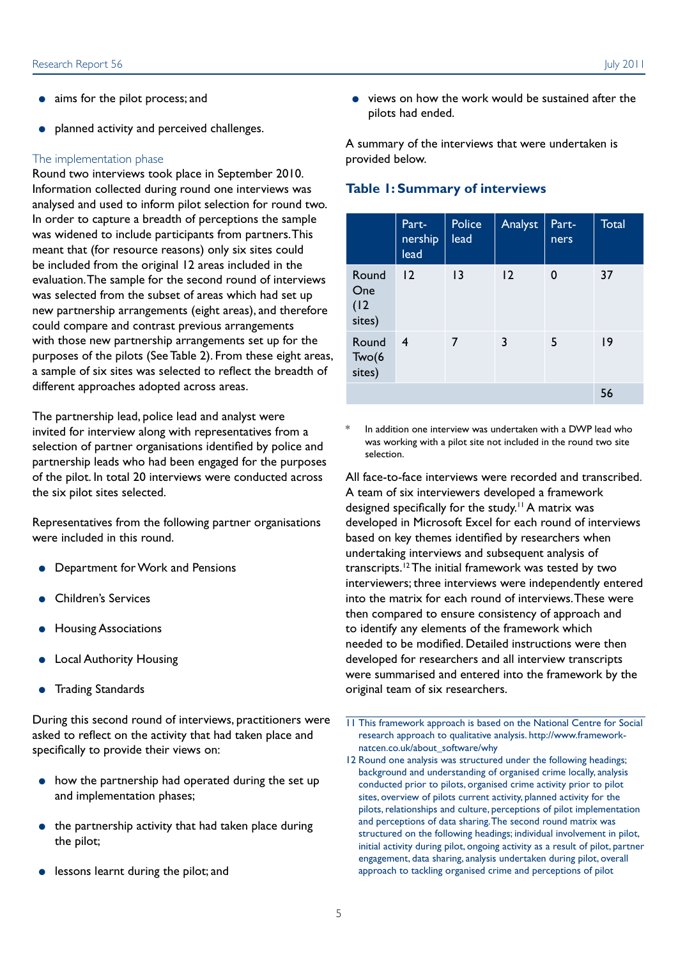- aims for the pilot process; and
- planned activity and perceived challenges.

#### The implementation phase

Round two interviews took place in September 2010. Information collected during round one interviews was analysed and used to inform pilot selection for round two. In order to capture a breadth of perceptions the sample was widened to include participants from partners. This meant that (for resource reasons) only six sites could be included from the original 12 areas included in the evaluation. The sample for the second round of interviews was selected from the subset of areas which had set up new partnership arrangements (eight areas), and therefore could compare and contrast previous arrangements with those new partnership arrangements set up for the purposes of the pilots (See Table 2). From these eight areas, a sample of six sites was selected to reflect the breadth of different approaches adopted across areas.

The partnership lead, police lead and analyst were invited for interview along with representatives from a selection of partner organisations identified by police and partnership leads who had been engaged for the purposes of the pilot. In total 20 interviews were conducted across the six pilot sites selected.

Representatives from the following partner organisations were included in this round.

- Department for Work and Pensions
- **Children's Services**
- Housing Associations
- Local Authority Housing
- Trading Standards

During this second round of interviews, practitioners were asked to reflect on the activity that had taken place and specifically to provide their views on:

- how the partnership had operated during the set up and implementation phases;
- the partnership activity that had taken place during the pilot;
- lessons learnt during the pilot; and

● views on how the work would be sustained after the pilots had ended.

A summary of the interviews that were undertaken is provided below.

#### **Table 1: Summary of interviews**

|                                | Part-<br>nership<br>lead | Police<br>lead | Analyst        | Part-<br>ners | Total |
|--------------------------------|--------------------------|----------------|----------------|---------------|-------|
| Round<br>One<br>(12)<br>sites) | $\overline{2}$           | 13             | $\overline{2}$ | 0             | 37    |
| Round<br>Two(6)<br>sites)      | $\overline{4}$           | 7              | 3              | 5             | 9     |
|                                |                          |                |                |               | 56    |

In addition one interview was undertaken with a DWP lead who was working with a pilot site not included in the round two site selection.

All face-to-face interviews were recorded and transcribed. A team of six interviewers developed a framework designed specifically for the study.<sup>11</sup> A matrix was developed in Microsoft Excel for each round of interviews based on key themes identified by researchers when undertaking interviews and subsequent analysis of transcripts.12 The initial framework was tested by two interviewers; three interviews were independently entered into the matrix for each round of interviews. These were then compared to ensure consistency of approach and to identify any elements of the framework which needed to be modified. Detailed instructions were then developed for researchers and all interview transcripts were summarised and entered into the framework by the original team of six researchers.

- 11 This framework approach is based on the National Centre for Social research approach to qualitative analysis. http://www.frameworknatcen.co.uk/about\_software/why
- 12 Round one analysis was structured under the following headings; background and understanding of organised crime locally, analysis conducted prior to pilots, organised crime activity prior to pilot sites, overview of pilots current activity, planned activity for the pilots, relationships and culture, perceptions of pilot implementation and perceptions of data sharing. The second round matrix was structured on the following headings; individual involvement in pilot, initial activity during pilot, ongoing activity as a result of pilot, partner engagement, data sharing, analysis undertaken during pilot, overall approach to tackling organised crime and perceptions of pilot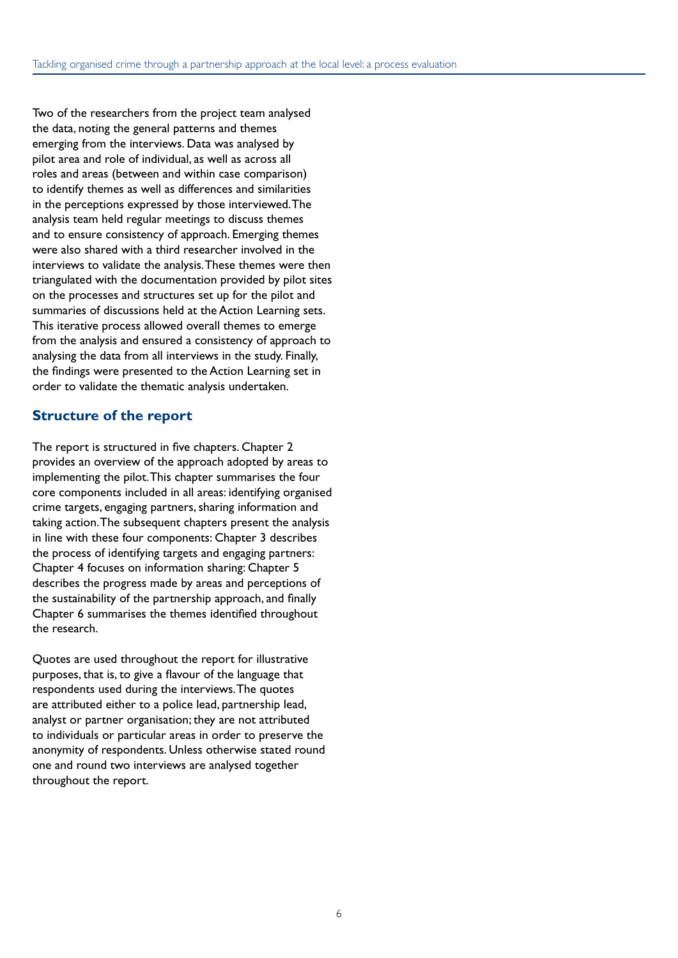Two of the researchers from the project team analysed the data, noting the general patterns and themes emerging from the interviews. Data was analysed by pilot area and role of individual, as well as across all roles and areas (between and within case comparison) to identify themes as well as differences and similarities in the perceptions expressed by those interviewed. The analysis team held regular meetings to discuss themes and to ensure consistency of approach. Emerging themes were also shared with a third researcher involved in the interviews to validate the analysis. These themes were then triangulated with the documentation provided by pilot sites on the processes and structures set up for the pilot and summaries of discussions held at the Action Learning sets. This iterative process allowed overall themes to emerge from the analysis and ensured a consistency of approach to analysing the data from all interviews in the study. Finally, the findings were presented to the Action Learning set in order to validate the thematic analysis undertaken.

#### **Structure of the report**

The report is structured in five chapters. Chapter 2 provides an overview of the approach adopted by areas to implementing the pilot. This chapter summarises the four core components included in all areas: identifying organised crime targets, engaging partners, sharing information and taking action. The subsequent chapters present the analysis in line with these four components: Chapter 3 describes the process of identifying targets and engaging partners: Chapter 4 focuses on information sharing: Chapter 5 describes the progress made by areas and perceptions of the sustainability of the partnership approach, and finally Chapter 6 summarises the themes identified throughout the research.

Quotes are used throughout the report for illustrative purposes, that is, to give a flavour of the language that respondents used during the interviews. The quotes are attributed either to a police lead, partnership lead, analyst or partner organisation; they are not attributed to individuals or particular areas in order to preserve the anonymity of respondents. Unless otherwise stated round one and round two interviews are analysed together throughout the report.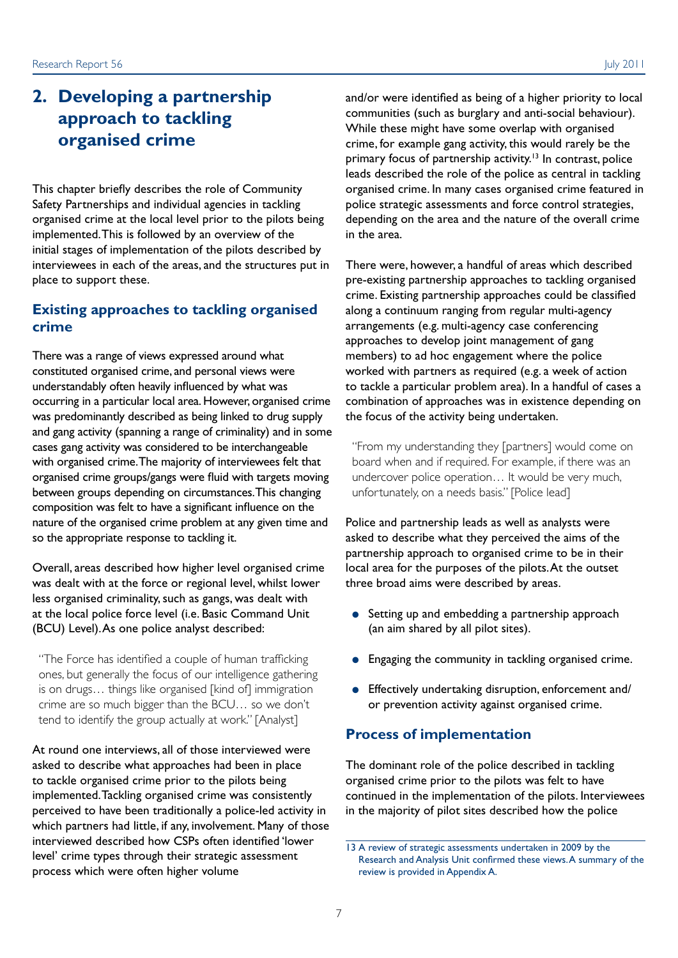### **2. Developing a partnership approach to tackling organised crime**

This chapter briefly describes the role of Community Safety Partnerships and individual agencies in tackling organised crime at the local level prior to the pilots being implemented. This is followed by an overview of the initial stages of implementation of the pilots described by interviewees in each of the areas, and the structures put in place to support these.

#### **Existing approaches to tackling organised crime**

There was a range of views expressed around what constituted organised crime, and personal views were understandably often heavily influenced by what was occurring in a particular local area. However, organised crime was predominantly described as being linked to drug supply and gang activity (spanning a range of criminality) and in some cases gang activity was considered to be interchangeable with organised crime. The majority of interviewees felt that organised crime groups/gangs were fluid with targets moving between groups depending on circumstances. This changing composition was felt to have a significant influence on the nature of the organised crime problem at any given time and so the appropriate response to tackling it.

Overall, areas described how higher level organised crime was dealt with at the force or regional level, whilst lower less organised criminality, such as gangs, was dealt with at the local police force level (i.e. Basic Command Unit (BCU) Level). As one police analyst described:

"The Force has identified a couple of human trafficking ones, but generally the focus of our intelligence gathering is on drugs… things like organised [kind of] immigration crime are so much bigger than the BCU… so we don't tend to identify the group actually at work." [Analyst]

At round one interviews, all of those interviewed were asked to describe what approaches had been in place to tackle organised crime prior to the pilots being implemented. Tackling organised crime was consistently perceived to have been traditionally a police-led activity in which partners had little, if any, involvement. Many of those interviewed described how CSPs often identified 'lower level' crime types through their strategic assessment process which were often higher volume

and/or were identified as being of a higher priority to local communities (such as burglary and anti-social behaviour). While these might have some overlap with organised crime, for example gang activity, this would rarely be the primary focus of partnership activity.<sup>13</sup> In contrast, police leads described the role of the police as central in tackling organised crime. In many cases organised crime featured in police strategic assessments and force control strategies, depending on the area and the nature of the overall crime in the area.

There were, however, a handful of areas which described pre-existing partnership approaches to tackling organised crime. Existing partnership approaches could be classified along a continuum ranging from regular multi-agency arrangements (e.g. multi-agency case conferencing approaches to develop joint management of gang members) to ad hoc engagement where the police worked with partners as required (e.g. a week of action to tackle a particular problem area). In a handful of cases a combination of approaches was in existence depending on the focus of the activity being undertaken.

"From my understanding they [partners] would come on board when and if required. For example, if there was an undercover police operation… It would be very much, unfortunately, on a needs basis." [Police lead]

Police and partnership leads as well as analysts were asked to describe what they perceived the aims of the partnership approach to organised crime to be in their local area for the purposes of the pilots. At the outset three broad aims were described by areas.

- Setting up and embedding a partnership approach (an aim shared by all pilot sites).
- Engaging the community in tackling organised crime.
- Effectively undertaking disruption, enforcement and/ or prevention activity against organised crime.

#### **Process of implementation**

The dominant role of the police described in tackling organised crime prior to the pilots was felt to have continued in the implementation of the pilots. Interviewees in the majority of pilot sites described how the police

<sup>13</sup> A review of strategic assessments undertaken in 2009 by the Research and Analysis Unit confirmed these views. A summary of the review is provided in Appendix A.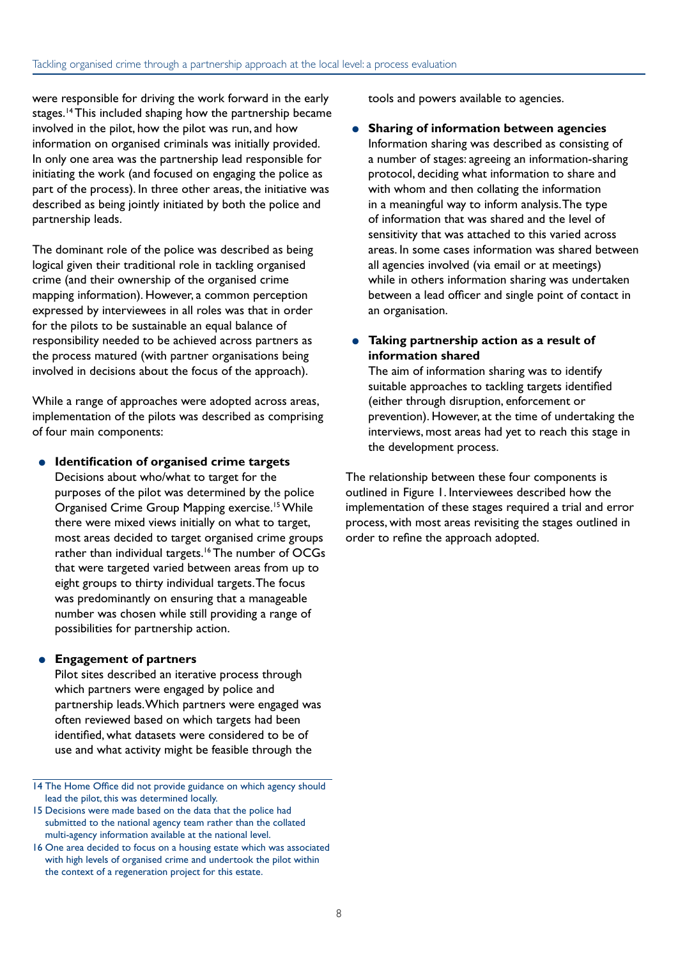were responsible for driving the work forward in the early stages.14 This included shaping how the partnership became involved in the pilot, how the pilot was run, and how information on organised criminals was initially provided. In only one area was the partnership lead responsible for initiating the work (and focused on engaging the police as part of the process). In three other areas, the initiative was described as being jointly initiated by both the police and partnership leads.

The dominant role of the police was described as being logical given their traditional role in tackling organised crime (and their ownership of the organised crime mapping information). However, a common perception expressed by interviewees in all roles was that in order for the pilots to be sustainable an equal balance of responsibility needed to be achieved across partners as the process matured (with partner organisations being involved in decisions about the focus of the approach).

While a range of approaches were adopted across areas, implementation of the pilots was described as comprising of four main components:

● **Identification of organised crime targets** Decisions about who/what to target for the purposes of the pilot was determined by the police Organised Crime Group Mapping exercise.15 While there were mixed views initially on what to target, most areas decided to target organised crime groups rather than individual targets.<sup>16</sup> The number of OCGs that were targeted varied between areas from up to eight groups to thirty individual targets. The focus was predominantly on ensuring that a manageable number was chosen while still providing a range of possibilities for partnership action.

#### ● **Engagement of partners**

Pilot sites described an iterative process through which partners were engaged by police and partnership leads. Which partners were engaged was often reviewed based on which targets had been identified, what datasets were considered to be of use and what activity might be feasible through the

tools and powers available to agencies.

**Sharing of information between agencies** Information sharing was described as consisting of a number of stages: agreeing an information-sharing protocol, deciding what information to share and with whom and then collating the information in a meaningful way to inform analysis. The type of information that was shared and the level of sensitivity that was attached to this varied across areas. In some cases information was shared between all agencies involved (via email or at meetings) while in others information sharing was undertaken between a lead officer and single point of contact in an organisation.

● **Taking partnership action as a result of information shared**

The aim of information sharing was to identify suitable approaches to tackling targets identified (either through disruption, enforcement or prevention). However, at the time of undertaking the interviews, most areas had yet to reach this stage in the development process.

The relationship between these four components is outlined in Figure 1. Interviewees described how the implementation of these stages required a trial and error process, with most areas revisiting the stages outlined in order to refine the approach adopted.

<sup>14</sup> The Home Office did not provide guidance on which agency should lead the pilot, this was determined locally.

<sup>15</sup> Decisions were made based on the data that the police had submitted to the national agency team rather than the collated multi-agency information available at the national level.

<sup>16</sup> One area decided to focus on a housing estate which was associated with high levels of organised crime and undertook the pilot within the context of a regeneration project for this estate.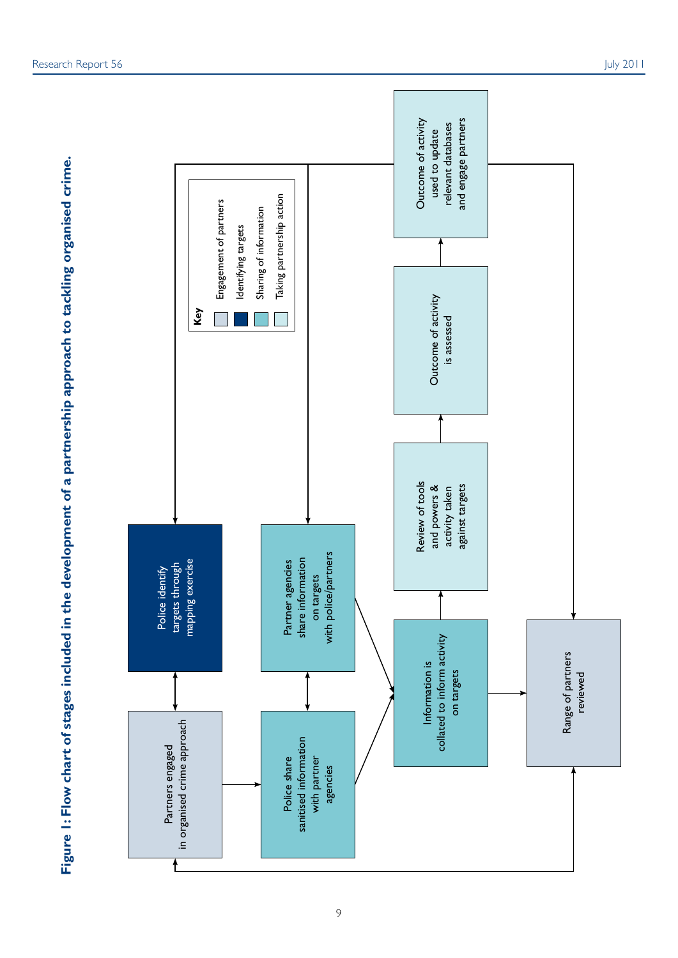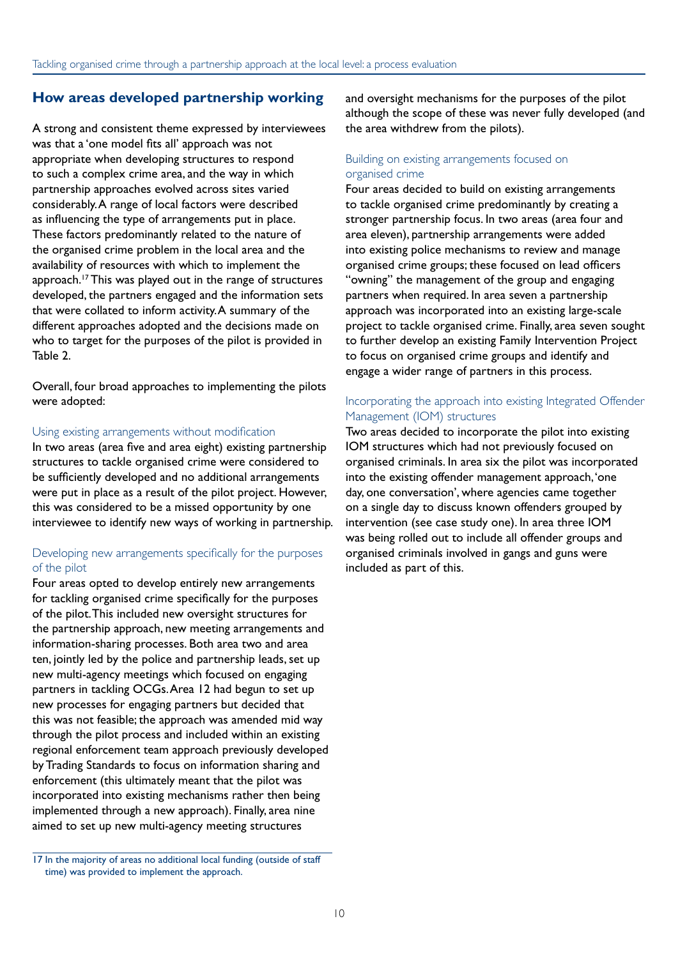#### **How areas developed partnership working**

A strong and consistent theme expressed by interviewees was that a 'one model fits all' approach was not appropriate when developing structures to respond to such a complex crime area, and the way in which partnership approaches evolved across sites varied considerably. A range of local factors were described as influencing the type of arrangements put in place. These factors predominantly related to the nature of the organised crime problem in the local area and the availability of resources with which to implement the approach.<sup>17</sup> This was played out in the range of structures developed, the partners engaged and the information sets that were collated to inform activity. A summary of the different approaches adopted and the decisions made on who to target for the purposes of the pilot is provided in Table 2.

Overall, four broad approaches to implementing the pilots were adopted:

#### Using existing arrangements without modification

In two areas (area five and area eight) existing partnership structures to tackle organised crime were considered to be sufficiently developed and no additional arrangements were put in place as a result of the pilot project. However, this was considered to be a missed opportunity by one interviewee to identify new ways of working in partnership.

#### Developing new arrangements specifically for the purposes of the pilot

Four areas opted to develop entirely new arrangements for tackling organised crime specifically for the purposes of the pilot. This included new oversight structures for the partnership approach, new meeting arrangements and information-sharing processes. Both area two and area ten, jointly led by the police and partnership leads, set up new multi-agency meetings which focused on engaging partners in tackling OCGs. Area 12 had begun to set up new processes for engaging partners but decided that this was not feasible; the approach was amended mid way through the pilot process and included within an existing regional enforcement team approach previously developed by Trading Standards to focus on information sharing and enforcement (this ultimately meant that the pilot was incorporated into existing mechanisms rather then being implemented through a new approach). Finally, area nine aimed to set up new multi-agency meeting structures

and oversight mechanisms for the purposes of the pilot although the scope of these was never fully developed (and the area withdrew from the pilots).

#### Building on existing arrangements focused on organised crime

Four areas decided to build on existing arrangements to tackle organised crime predominantly by creating a stronger partnership focus. In two areas (area four and area eleven), partnership arrangements were added into existing police mechanisms to review and manage organised crime groups; these focused on lead officers "owning" the management of the group and engaging partners when required. In area seven a partnership approach was incorporated into an existing large-scale project to tackle organised crime. Finally, area seven sought to further develop an existing Family Intervention Project to focus on organised crime groups and identify and engage a wider range of partners in this process.

#### Incorporating the approach into existing Integrated Offender Management (IOM) structures

Two areas decided to incorporate the pilot into existing IOM structures which had not previously focused on organised criminals. In area six the pilot was incorporated into the existing offender management approach, 'one day, one conversation', where agencies came together on a single day to discuss known offenders grouped by intervention (see case study one). In area three IOM was being rolled out to include all offender groups and organised criminals involved in gangs and guns were included as part of this.

<sup>17</sup> In the majority of areas no additional local funding (outside of staff time) was provided to implement the approach.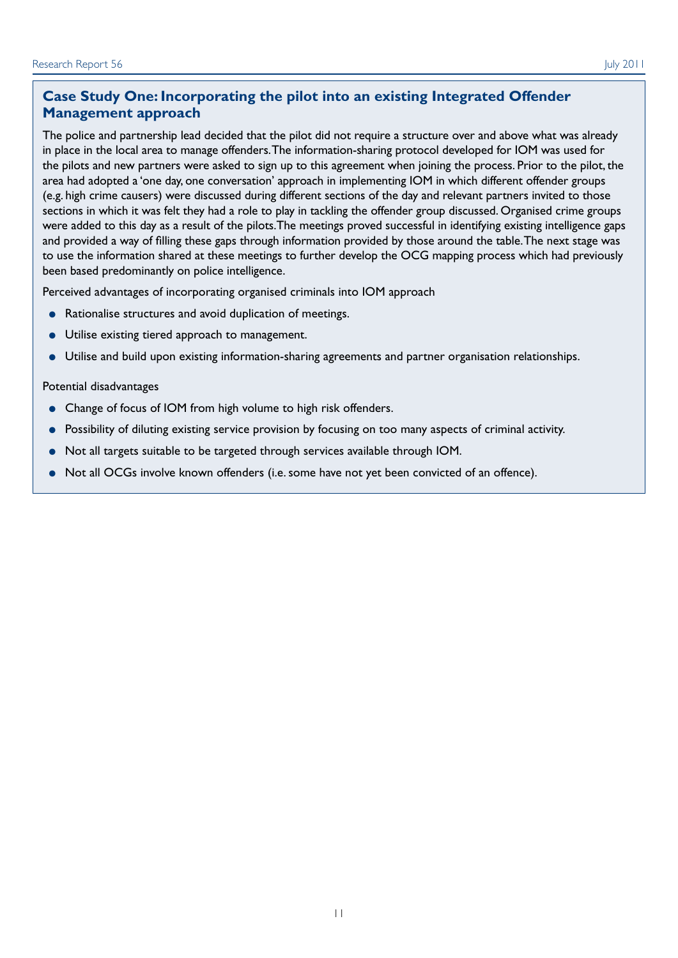The police and partnership lead decided that the pilot did not require a structure over and above what was already in place in the local area to manage offenders. The information-sharing protocol developed for IOM was used for the pilots and new partners were asked to sign up to this agreement when joining the process. Prior to the pilot, the area had adopted a 'one day, one conversation' approach in implementing IOM in which different offender groups (e.g. high crime causers) were discussed during different sections of the day and relevant partners invited to those sections in which it was felt they had a role to play in tackling the offender group discussed. Organised crime groups were added to this day as a result of the pilots.The meetings proved successful in identifying existing intelligence gaps and provided a way of filling these gaps through information provided by those around the table. The next stage was to use the information shared at these meetings to further develop the OCG mapping process which had previously been based predominantly on police intelligence.

Perceived advantages of incorporating organised criminals into IOM approach

- Rationalise structures and avoid duplication of meetings.
- Utilise existing tiered approach to management.
- Utilise and build upon existing information-sharing agreements and partner organisation relationships.

#### Potential disadvantages

- Change of focus of IOM from high volume to high risk offenders.
- Possibility of diluting existing service provision by focusing on too many aspects of criminal activity.
- Not all targets suitable to be targeted through services available through IOM.
- Not all OCGs involve known offenders (i.e. some have not yet been convicted of an offence).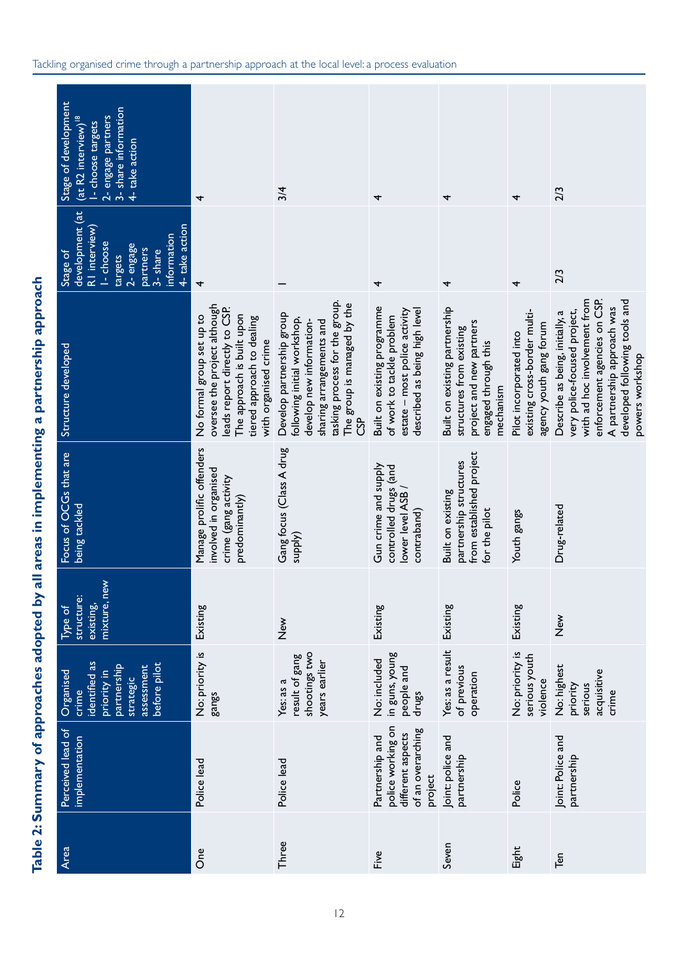| Area  | Perceived lead of<br>implementation                                                       | identified as<br>before pilot<br>partnership<br>assessment<br>Organised<br>priority in<br>strategic<br>crime | mixture, new<br>structure:<br>existing,<br>$I$ ype of | Focus of OCGs that are<br>being tackled                                                      | <b>Structure developed</b>                                                                                                                                                                                        | development (at<br>4- take action<br>RI interview)<br>information<br>I-choose<br>2- engage<br>partners<br>3-share<br>Stage of<br>targets | Stage of development<br>3- share information<br>$(\text{at } R2 \text{ interval})^{18}$<br>2- engage partners<br>I - choose targets<br>4- take action |
|-------|-------------------------------------------------------------------------------------------|--------------------------------------------------------------------------------------------------------------|-------------------------------------------------------|----------------------------------------------------------------------------------------------|-------------------------------------------------------------------------------------------------------------------------------------------------------------------------------------------------------------------|------------------------------------------------------------------------------------------------------------------------------------------|-------------------------------------------------------------------------------------------------------------------------------------------------------|
| One   | Police lead                                                                               | No: priority is<br>gangs                                                                                     | Existing                                              | Manage prolific offenders<br>involved in organised<br>crime (gang activity<br>predominantly) | oversee the project although<br>leads report directly to CSP.<br>The approach is built upon<br>No formal group set up to<br>tiered approach to dealing<br>with organised crime                                    | 4                                                                                                                                        | 4                                                                                                                                                     |
| Three | Police lead                                                                               | shootings two<br>result of gang<br>years earlier<br>Yes: as a                                                | $\sum_{i=1}^{\infty}$                                 | Gang focus (Class A drug<br>(Alddns                                                          | tasking process for the group.<br>The group is managed by the<br>Develop partnership group<br>following initial workshop,<br>develop new information-<br>sharing arrangements and<br>င်္ဘ                         |                                                                                                                                          | 3/4                                                                                                                                                   |
| Five  | police working on<br>of an overarching<br>different aspects<br>Partnership and<br>project | in guns, young<br>No: included<br>people and<br>drugs                                                        | Existing                                              | Gun crime and supply<br>controlled drugs (and<br>lower level ASB<br>contraband)              | Built on existing programme<br>described as being high level<br>estate - most police activity<br>of work to tackle problem                                                                                        | 4                                                                                                                                        | 4                                                                                                                                                     |
| Seven | Joint: police and<br>partnership                                                          | Yes: as a result<br>of previous<br>operation                                                                 | Existing                                              | from established project<br>partnership structures<br>Built on existing<br>for the pilot     | Built on existing partnership<br>project and new partners<br>structures from existing<br>engaged through this<br>mechanism                                                                                        | 4                                                                                                                                        | 4                                                                                                                                                     |
| Eight | Police                                                                                    | No: priority is<br>serious youth<br>violence                                                                 | Existing                                              | Youth gangs                                                                                  | existing cross-border multi-<br>agency youth gang forum<br>Pilot incorporated into                                                                                                                                | 4                                                                                                                                        | 4                                                                                                                                                     |
| Ten   | Joint: Police and<br>partnership                                                          | No: highest<br>acquisitive<br>priority<br>serious<br>crime                                                   | $\sum_{i=1}^{n}$                                      | Drug-related                                                                                 | with ad hoc involvement from<br>enforcement agencies on CSP.<br>developed following tools and<br>A partnership approach was<br>very police-focused project,<br>Describe as being, initially, a<br>powers workshop | 2/3                                                                                                                                      | 2/3                                                                                                                                                   |

Tackling organised crime through a partnership approach at the local level: a process evaluation

**Table 2: Summary of approaches adopted by all areas in implementing a partnership approach**

Table 2: Summary of approaches adopted by all areas in implementing a partnership approach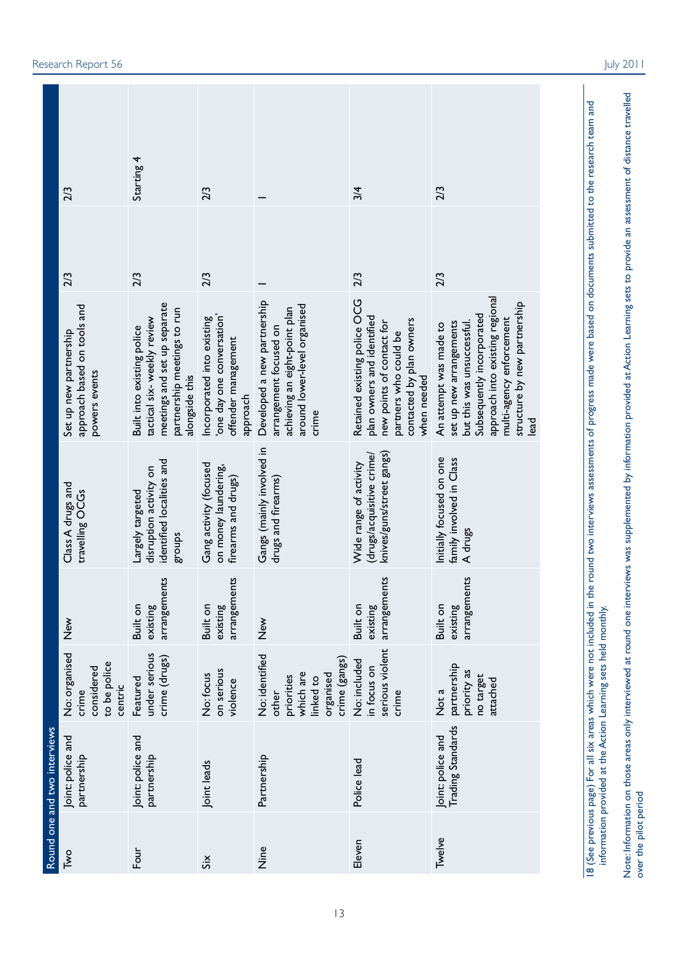|                              | 2/3                                                                           | Starting 4                                                                                                                                       | 2/3                                                                                               |                                                                                                                                 | 3/4                                                                                                                                                                | 2/3                                                                                                                                                                                                                              |
|------------------------------|-------------------------------------------------------------------------------|--------------------------------------------------------------------------------------------------------------------------------------------------|---------------------------------------------------------------------------------------------------|---------------------------------------------------------------------------------------------------------------------------------|--------------------------------------------------------------------------------------------------------------------------------------------------------------------|----------------------------------------------------------------------------------------------------------------------------------------------------------------------------------------------------------------------------------|
|                              | 2/3<br>approach based on tools and<br>Set up new partnership<br>powers events | 2/3<br>meetings and set up separate<br>partnership meetings to run<br>tactical six-weekly review<br>Built into existing police<br>alongside this | 2/3<br>one day one conversation'<br>Incorporated into existing<br>offender management<br>approach | Developed a new partnership<br>around lower-level organised<br>achieving an eight-point plan<br>arrangement focused on<br>crime | 2/3<br>Retained existing police OCG<br>plan owners and identified<br>contacted by plan owners<br>new points of contact for<br>partners who could be<br>when needed | 2/3<br>approach into existing regional<br>structure by new partnership<br>Subsequently incorporated<br>multi-agency enforcement<br>but this was unsuccessful.<br>set up new arrangements<br>An attempt was made to<br><b>Dea</b> |
|                              | Class A drugs and<br>travelling OCGs                                          | identified localities and<br>disruption activity on<br>Largely targeted<br>stonbs                                                                | Gang activity (focused<br>on money laundering,<br>firearms and drugs)                             | Gangs (mainly involved in<br>drugs and firearms)                                                                                | knives/guns/street gangs)<br>drugs/acquisitive crime/<br>Wide range of activity                                                                                    | Initially focused on one<br>family involved in Class<br>A drugs                                                                                                                                                                  |
|                              | $\sum_{i=1}^{\infty}$                                                         | arrangements<br>Built on<br>existing                                                                                                             | arrangements<br>Built on<br>existing                                                              | New<br>Z                                                                                                                        | arrangements<br>Built on<br>existing                                                                                                                               | arrangements<br>Built on<br>existing                                                                                                                                                                                             |
|                              | No: organised<br>to be police<br>considered<br>centric<br>crime               | under serious<br>crime (drugs)<br>Featured                                                                                                       | on serious<br>No: focus<br>violence                                                               | No: identified<br>crime (gangs)<br>which are<br>organised<br>priorities<br>linked to<br>other                                   | serious violent<br>No: included<br>in focus on<br>crime                                                                                                            | partnership<br>priority as<br>no target<br>attached<br>Not a                                                                                                                                                                     |
| Round one and two interviews | Joint: police and<br>partnership                                              | Joint: police and<br>partnership                                                                                                                 | Joint leads                                                                                       | Partnership                                                                                                                     | Police lead                                                                                                                                                        | <b>Trading Standards</b><br>Joint: police and                                                                                                                                                                                    |
|                              | Two                                                                           | Four                                                                                                                                             | Si <sub>X</sub>                                                                                   | Nine                                                                                                                            | Eleven                                                                                                                                                             | Twelve                                                                                                                                                                                                                           |

. Action Learning sets held monthly information provided at the

Research Report 56 July 2011

vide an assessment of distance travelled

o

ovided at Action Learning sets to pr

y information pr

ws was supplemented b

vie

ound one inter

y interviewed at r

eas onl

Note: Information on those ar ver the pilot period

o

13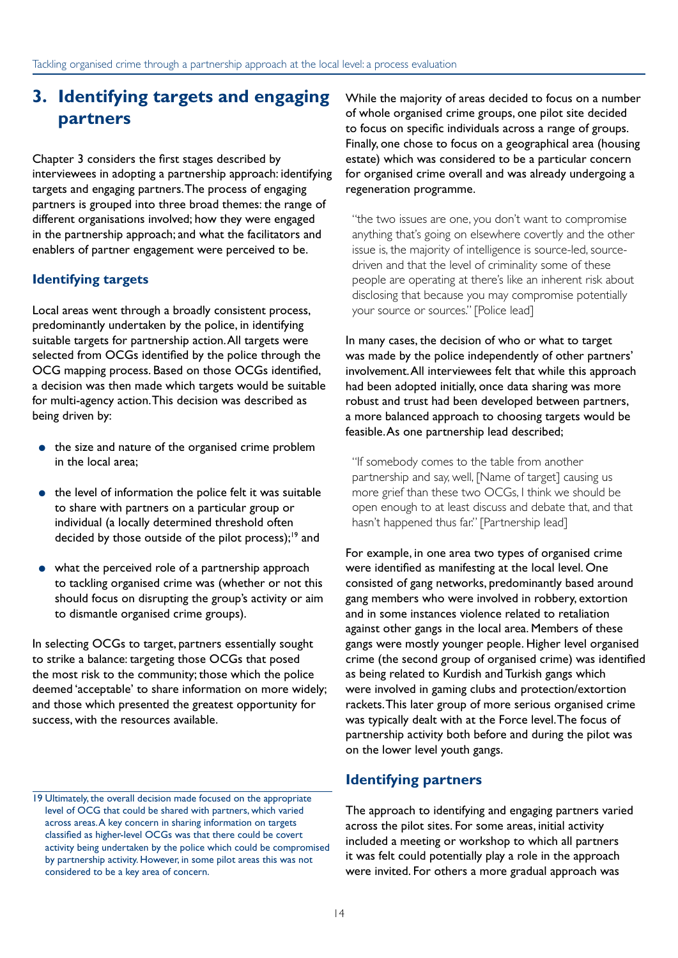### **3. Identifying targets and engaging partners**

Chapter 3 considers the first stages described by interviewees in adopting a partnership approach: identifying targets and engaging partners. The process of engaging partners is grouped into three broad themes: the range of different organisations involved; how they were engaged in the partnership approach; and what the facilitators and enablers of partner engagement were perceived to be.

#### **Identifying targets**

Local areas went through a broadly consistent process, predominantly undertaken by the police, in identifying suitable targets for partnership action. All targets were selected from OCGs identified by the police through the OCG mapping process. Based on those OCGs identified, a decision was then made which targets would be suitable for multi-agency action. This decision was described as being driven by:

- the size and nature of the organised crime problem in the local area;
- the level of information the police felt it was suitable to share with partners on a particular group or individual (a locally determined threshold often decided by those outside of the pilot process);<sup>19</sup> and
- what the perceived role of a partnership approach to tackling organised crime was (whether or not this should focus on disrupting the group's activity or aim to dismantle organised crime groups).

In selecting OCGs to target, partners essentially sought to strike a balance: targeting those OCGs that posed the most risk to the community; those which the police deemed 'acceptable' to share information on more widely; and those which presented the greatest opportunity for success, with the resources available.

While the majority of areas decided to focus on a number of whole organised crime groups, one pilot site decided to focus on specific individuals across a range of groups. Finally, one chose to focus on a geographical area (housing estate) which was considered to be a particular concern for organised crime overall and was already undergoing a regeneration programme.

"the two issues are one, you don't want to compromise anything that's going on elsewhere covertly and the other issue is, the majority of intelligence is source-led, sourcedriven and that the level of criminality some of these people are operating at there's like an inherent risk about disclosing that because you may compromise potentially your source or sources." [Police lead]

In many cases, the decision of who or what to target was made by the police independently of other partners' involvement. All interviewees felt that while this approach had been adopted initially, once data sharing was more robust and trust had been developed between partners, a more balanced approach to choosing targets would be feasible. As one partnership lead described;

"If somebody comes to the table from another partnership and say, well, [Name of target] causing us more grief than these two OCGs, I think we should be open enough to at least discuss and debate that, and that hasn't happened thus far." [Partnership lead]

For example, in one area two types of organised crime were identified as manifesting at the local level. One consisted of gang networks, predominantly based around gang members who were involved in robbery, extortion and in some instances violence related to retaliation against other gangs in the local area. Members of these gangs were mostly younger people. Higher level organised crime (the second group of organised crime) was identified as being related to Kurdish and Turkish gangs which were involved in gaming clubs and protection/extortion rackets. This later group of more serious organised crime was typically dealt with at the Force level. The focus of partnership activity both before and during the pilot was on the lower level youth gangs.

#### **Identifying partners**

The approach to identifying and engaging partners varied across the pilot sites. For some areas, initial activity included a meeting or workshop to which all partners it was felt could potentially play a role in the approach were invited. For others a more gradual approach was

<sup>19</sup> Ultimately, the overall decision made focused on the appropriate level of OCG that could be shared with partners, which varied across areas. A key concern in sharing information on targets classified as higher-level OCGs was that there could be covert activity being undertaken by the police which could be compromised by partnership activity. However, in some pilot areas this was not considered to be a key area of concern.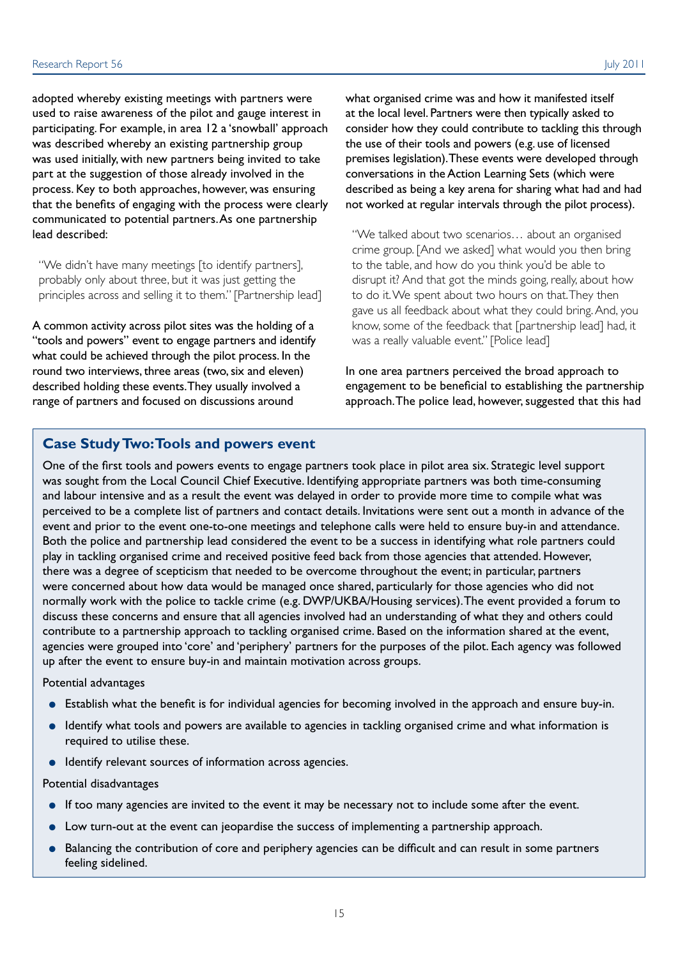adopted whereby existing meetings with partners were used to raise awareness of the pilot and gauge interest in participating. For example, in area 12 a 'snowball' approach was described whereby an existing partnership group was used initially, with new partners being invited to take part at the suggestion of those already involved in the process. Key to both approaches, however, was ensuring that the benefits of engaging with the process were clearly communicated to potential partners. As one partnership lead described:

"We didn't have many meetings [to identify partners], probably only about three, but it was just getting the principles across and selling it to them." [Partnership lead]

A common activity across pilot sites was the holding of a "tools and powers" event to engage partners and identify what could be achieved through the pilot process. In the round two interviews, three areas (two, six and eleven) described holding these events. They usually involved a range of partners and focused on discussions around

what organised crime was and how it manifested itself at the local level. Partners were then typically asked to consider how they could contribute to tackling this through the use of their tools and powers (e.g. use of licensed premises legislation). These events were developed through conversations in the Action Learning Sets (which were described as being a key arena for sharing what had and had not worked at regular intervals through the pilot process).

"We talked about two scenarios… about an organised crime group. [And we asked] what would you then bring to the table, and how do you think you'd be able to disrupt it? And that got the minds going, really, about how to do it. We spent about two hours on that. They then gave us all feedback about what they could bring. And, you know, some of the feedback that [partnership lead] had, it was a really valuable event." [Police lead]

In one area partners perceived the broad approach to engagement to be beneficial to establishing the partnership approach. The police lead, however, suggested that this had

#### **Case Study Two: Tools and powers event**

One of the first tools and powers events to engage partners took place in pilot area six. Strategic level support was sought from the Local Council Chief Executive. Identifying appropriate partners was both time-consuming and labour intensive and as a result the event was delayed in order to provide more time to compile what was perceived to be a complete list of partners and contact details. Invitations were sent out a month in advance of the event and prior to the event one-to-one meetings and telephone calls were held to ensure buy-in and attendance. Both the police and partnership lead considered the event to be a success in identifying what role partners could play in tackling organised crime and received positive feed back from those agencies that attended. However, there was a degree of scepticism that needed to be overcome throughout the event; in particular, partners were concerned about how data would be managed once shared, particularly for those agencies who did not normally work with the police to tackle crime (e.g. DWP/UKBA/Housing services). The event provided a forum to discuss these concerns and ensure that all agencies involved had an understanding of what they and others could contribute to a partnership approach to tackling organised crime. Based on the information shared at the event, agencies were grouped into 'core' and 'periphery' partners for the purposes of the pilot. Each agency was followed up after the event to ensure buy-in and maintain motivation across groups.

#### Potential advantages

- Establish what the benefit is for individual agencies for becoming involved in the approach and ensure buy-in.
- Identify what tools and powers are available to agencies in tackling organised crime and what information is required to utilise these.
- Identify relevant sources of information across agencies.

#### Potential disadvantages

- If too many agencies are invited to the event it may be necessary not to include some after the event.
- Low turn-out at the event can jeopardise the success of implementing a partnership approach.
- Balancing the contribution of core and periphery agencies can be difficult and can result in some partners feeling sidelined.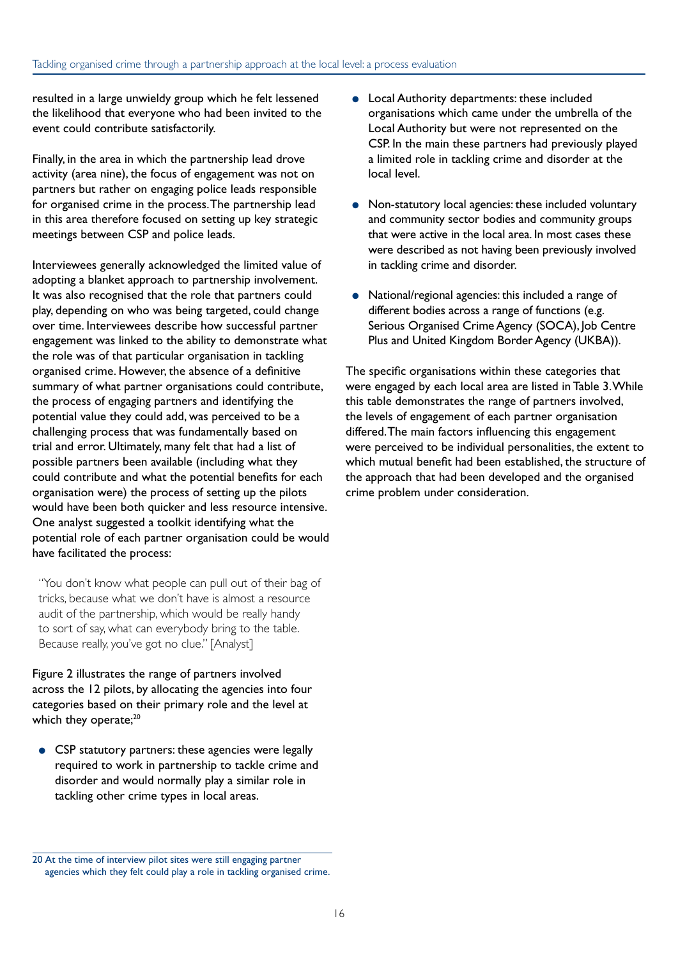resulted in a large unwieldy group which he felt lessened the likelihood that everyone who had been invited to the event could contribute satisfactorily.

Finally, in the area in which the partnership lead drove activity (area nine), the focus of engagement was not on partners but rather on engaging police leads responsible for organised crime in the process. The partnership lead in this area therefore focused on setting up key strategic meetings between CSP and police leads.

Interviewees generally acknowledged the limited value of adopting a blanket approach to partnership involvement. It was also recognised that the role that partners could play, depending on who was being targeted, could change over time. Interviewees describe how successful partner engagement was linked to the ability to demonstrate what the role was of that particular organisation in tackling organised crime. However, the absence of a definitive summary of what partner organisations could contribute, the process of engaging partners and identifying the potential value they could add, was perceived to be a challenging process that was fundamentally based on trial and error. Ultimately, many felt that had a list of possible partners been available (including what they could contribute and what the potential benefits for each organisation were) the process of setting up the pilots would have been both quicker and less resource intensive. One analyst suggested a toolkit identifying what the potential role of each partner organisation could be would have facilitated the process:

"You don't know what people can pull out of their bag of tricks, because what we don't have is almost a resource audit of the partnership, which would be really handy to sort of say, what can everybody bring to the table. Because really, you've got no clue." [Analyst]

Figure 2 illustrates the range of partners involved across the 12 pilots, by allocating the agencies into four categories based on their primary role and the level at which they operate;<sup>20</sup>

● CSP statutory partners: these agencies were legally required to work in partnership to tackle crime and disorder and would normally play a similar role in tackling other crime types in local areas.

- Local Authority departments: these included organisations which came under the umbrella of the Local Authority but were not represented on the CSP. In the main these partners had previously played a limited role in tackling crime and disorder at the local level.
- Non-statutory local agencies: these included voluntary and community sector bodies and community groups that were active in the local area. In most cases these were described as not having been previously involved in tackling crime and disorder.
- National/regional agencies: this included a range of different bodies across a range of functions (e.g. Serious Organised Crime Agency (SOCA), Job Centre Plus and United Kingdom Border Agency (UKBA)).

The specific organisations within these categories that were engaged by each local area are listed in Table 3. While this table demonstrates the range of partners involved, the levels of engagement of each partner organisation differed. The main factors influencing this engagement were perceived to be individual personalities, the extent to which mutual benefit had been established, the structure of the approach that had been developed and the organised crime problem under consideration.

<sup>20</sup> At the time of interview pilot sites were still engaging partner agencies which they felt could play a role in tackling organised crime.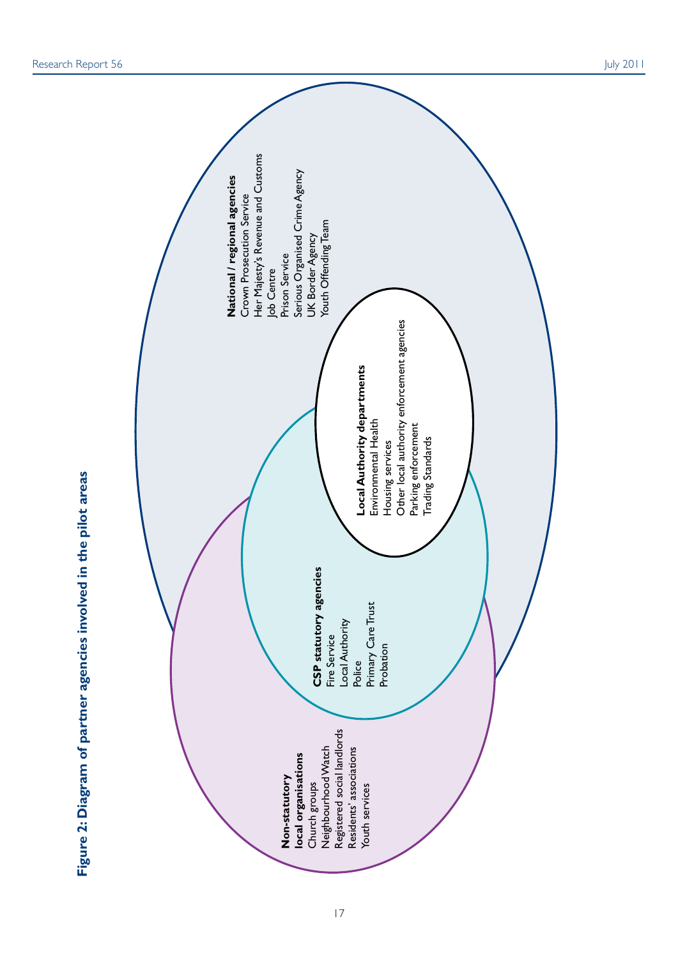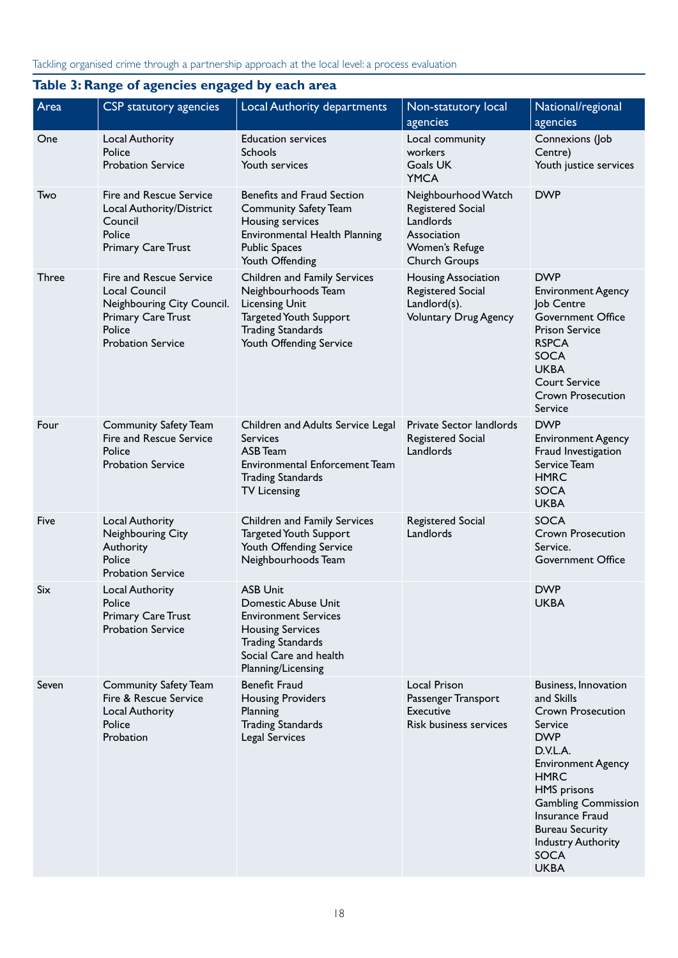### **Table 3: Range of agencies engaged by each area**

| Area         | CSP statutory agencies                                                                                                                    | Local Authority departments                                                                                                                                                  | Non-statutory local<br>agencies                                                                         | National/regional<br>agencies                                                                                                                                                                                                                                                                               |
|--------------|-------------------------------------------------------------------------------------------------------------------------------------------|------------------------------------------------------------------------------------------------------------------------------------------------------------------------------|---------------------------------------------------------------------------------------------------------|-------------------------------------------------------------------------------------------------------------------------------------------------------------------------------------------------------------------------------------------------------------------------------------------------------------|
| One          | Local Authority<br>Police<br><b>Probation Service</b>                                                                                     | <b>Education services</b><br><b>Schools</b><br>Youth services                                                                                                                | Local community<br>workers<br>Goals UK<br><b>YMCA</b>                                                   | Connexions (Job<br>Centre)<br>Youth justice services                                                                                                                                                                                                                                                        |
| Two          | Fire and Rescue Service<br>Local Authority/District<br>Council<br>Police<br>Primary Care Trust                                            | Benefits and Fraud Section<br><b>Community Safety Team</b><br>Housing services<br>Environmental Health Planning<br><b>Public Spaces</b><br>Youth Offending                   | Neighbourhood Watch<br>Registered Social<br>Landlords<br>Association<br>Women's Refuge<br>Church Groups | <b>DWP</b>                                                                                                                                                                                                                                                                                                  |
| <b>Three</b> | Fire and Rescue Service<br><b>Local Council</b><br>Neighbouring City Council.<br>Primary Care Trust<br>Police<br><b>Probation Service</b> | Children and Family Services<br>Neighbourhoods Team<br><b>Licensing Unit</b><br><b>Targeted Youth Support</b><br><b>Trading Standards</b><br>Youth Offending Service         | <b>Housing Association</b><br>Registered Social<br>Landlord(s).<br><b>Voluntary Drug Agency</b>         | <b>DWP</b><br><b>Environment Agency</b><br>Job Centre<br><b>Government Office</b><br><b>Prison Service</b><br><b>RSPCA</b><br><b>SOCA</b><br><b>UKBA</b><br><b>Court Service</b><br><b>Crown Prosecution</b><br>Service                                                                                     |
| Four         | <b>Community Safety Team</b><br>Fire and Rescue Service<br>Police<br><b>Probation Service</b>                                             | Children and Adults Service Legal<br><b>Services</b><br><b>ASB</b> Team<br><b>Environmental Enforcement Team</b><br><b>Trading Standards</b><br><b>TV Licensing</b>          | Private Sector landlords<br>Registered Social<br>Landlords                                              | <b>DWP</b><br><b>Environment Agency</b><br>Fraud Investigation<br>Service Team<br><b>HMRC</b><br><b>SOCA</b><br><b>UKBA</b>                                                                                                                                                                                 |
| Five         | Local Authority<br>Neighbouring City<br>Authority<br>Police<br><b>Probation Service</b>                                                   | Children and Family Services<br><b>Targeted Youth Support</b><br>Youth Offending Service<br>Neighbourhoods Team                                                              | Registered Social<br>Landlords                                                                          | <b>SOCA</b><br><b>Crown Prosecution</b><br>Service.<br><b>Government Office</b>                                                                                                                                                                                                                             |
| Six          | Local Authority<br>Police<br>Primary Care Trust<br><b>Probation Service</b>                                                               | <b>ASB Unit</b><br>Domestic Abuse Unit<br><b>Environment Services</b><br><b>Housing Services</b><br><b>Trading Standards</b><br>Social Care and health<br>Planning/Licensing |                                                                                                         | <b>DWP</b><br><b>UKBA</b>                                                                                                                                                                                                                                                                                   |
| Seven        | Community Safety Team<br>Fire & Rescue Service<br>Local Authority<br>Police<br>Probation                                                  | <b>Benefit Fraud</b><br><b>Housing Providers</b><br>Planning<br><b>Trading Standards</b><br>Legal Services                                                                   | Local Prison<br>Passenger Transport<br><b>Executive</b><br>Risk business services                       | Business, Innovation<br>and Skills<br><b>Crown Prosecution</b><br>Service<br><b>DWP</b><br>D.V.L.A.<br><b>Environment Agency</b><br><b>HMRC</b><br><b>HMS</b> prisons<br><b>Gambling Commission</b><br>Insurance Fraud<br><b>Bureau Security</b><br><b>Industry Authority</b><br><b>SOCA</b><br><b>UKBA</b> |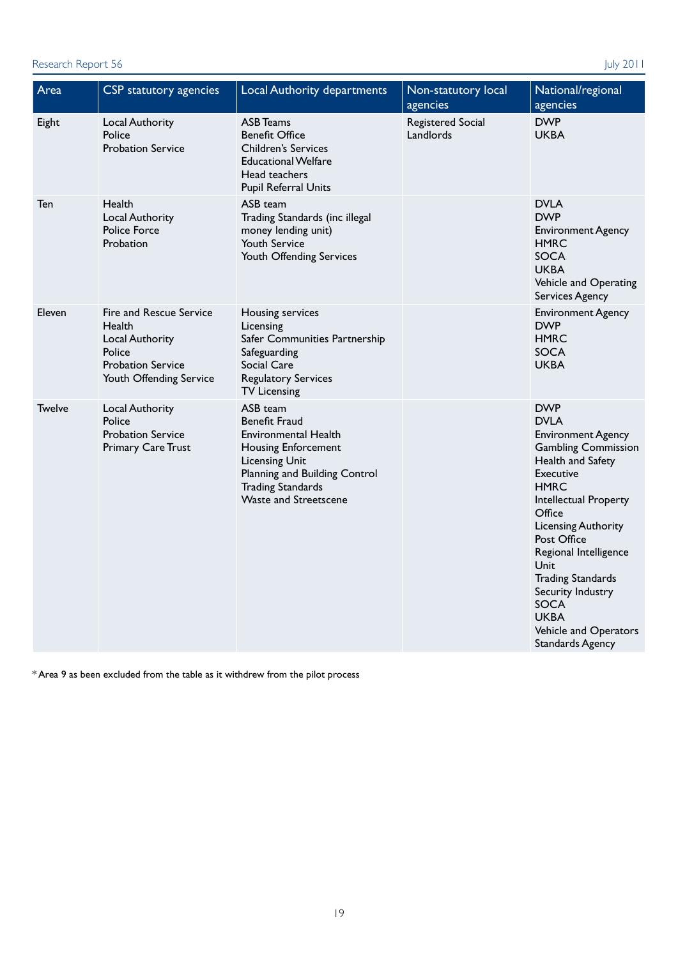#### Research Report 56 July 2011

| Area          | CSP statutory agencies                                                                                                | Local Authority departments                                                                                                                                                                           | Non-statutory local<br>agencies | National/regional<br>agencies                                                                                                                                                                                                                                                                                                                                                             |
|---------------|-----------------------------------------------------------------------------------------------------------------------|-------------------------------------------------------------------------------------------------------------------------------------------------------------------------------------------------------|---------------------------------|-------------------------------------------------------------------------------------------------------------------------------------------------------------------------------------------------------------------------------------------------------------------------------------------------------------------------------------------------------------------------------------------|
| Eight         | Local Authority<br>Police<br><b>Probation Service</b>                                                                 | <b>ASB Teams</b><br><b>Benefit Office</b><br><b>Children's Services</b><br><b>Educational Welfare</b><br>Head teachers<br>Pupil Referral Units                                                        | Registered Social<br>Landlords  | <b>DWP</b><br><b>UKBA</b>                                                                                                                                                                                                                                                                                                                                                                 |
| Ten           | Health<br>Local Authority<br><b>Police Force</b><br>Probation                                                         | ASB team<br>Trading Standards (inc illegal<br>money lending unit)<br><b>Youth Service</b><br>Youth Offending Services                                                                                 |                                 | <b>DVLA</b><br><b>DWP</b><br><b>Environment Agency</b><br><b>HMRC</b><br><b>SOCA</b><br><b>UKBA</b><br>Vehicle and Operating<br>Services Agency                                                                                                                                                                                                                                           |
| Eleven        | Fire and Rescue Service<br>Health<br>Local Authority<br>Police<br><b>Probation Service</b><br>Youth Offending Service | Housing services<br>Licensing<br>Safer Communities Partnership<br>Safeguarding<br>Social Care<br><b>Regulatory Services</b><br><b>TV Licensing</b>                                                    |                                 | <b>Environment Agency</b><br><b>DWP</b><br><b>HMRC</b><br><b>SOCA</b><br><b>UKBA</b>                                                                                                                                                                                                                                                                                                      |
| <b>Twelve</b> | Local Authority<br>Police<br><b>Probation Service</b><br><b>Primary Care Trust</b>                                    | ASB team<br><b>Benefit Fraud</b><br>Environmental Health<br>Housing Enforcement<br><b>Licensing Unit</b><br>Planning and Building Control<br><b>Trading Standards</b><br><b>Waste and Streetscene</b> |                                 | <b>DWP</b><br><b>DVLA</b><br><b>Environment Agency</b><br><b>Gambling Commission</b><br>Health and Safety<br>Executive<br><b>HMRC</b><br>Intellectual Property<br>Office<br><b>Licensing Authority</b><br>Post Office<br>Regional Intelligence<br>Unit<br><b>Trading Standards</b><br>Security Industry<br><b>SOCA</b><br><b>UKBA</b><br>Vehicle and Operators<br><b>Standards Agency</b> |

\* Area 9 as been excluded from the table as it withdrew from the pilot process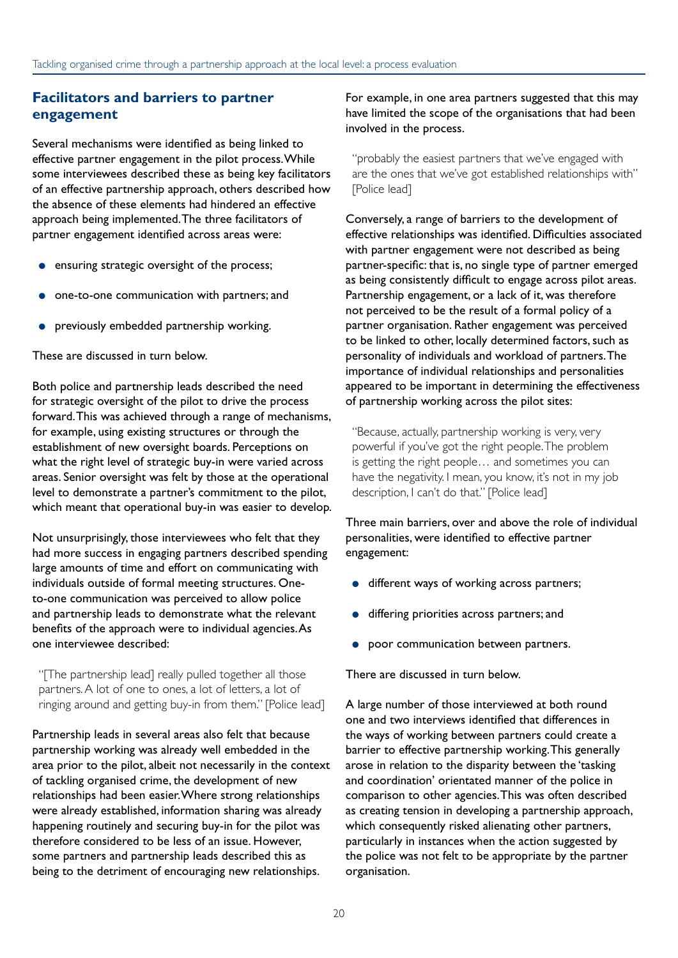#### **Facilitators and barriers to partner engagement**

Several mechanisms were identified as being linked to effective partner engagement in the pilot process. While some interviewees described these as being key facilitators of an effective partnership approach, others described how the absence of these elements had hindered an effective approach being implemented. The three facilitators of partner engagement identified across areas were:

- ensuring strategic oversight of the process;
- one-to-one communication with partners; and
- previously embedded partnership working.

These are discussed in turn below.

Both police and partnership leads described the need for strategic oversight of the pilot to drive the process forward. This was achieved through a range of mechanisms, for example, using existing structures or through the establishment of new oversight boards. Perceptions on what the right level of strategic buy-in were varied across areas. Senior oversight was felt by those at the operational level to demonstrate a partner's commitment to the pilot, which meant that operational buy-in was easier to develop.

Not unsurprisingly, those interviewees who felt that they had more success in engaging partners described spending large amounts of time and effort on communicating with individuals outside of formal meeting structures. Oneto-one communication was perceived to allow police and partnership leads to demonstrate what the relevant benefits of the approach were to individual agencies. As one interviewee described:

"[The partnership lead] really pulled together all those partners. A lot of one to ones, a lot of letters, a lot of ringing around and getting buy-in from them." [Police lead]

Partnership leads in several areas also felt that because partnership working was already well embedded in the area prior to the pilot, albeit not necessarily in the context of tackling organised crime, the development of new relationships had been easier. Where strong relationships were already established, information sharing was already happening routinely and securing buy-in for the pilot was therefore considered to be less of an issue. However, some partners and partnership leads described this as being to the detriment of encouraging new relationships.

For example, in one area partners suggested that this may have limited the scope of the organisations that had been involved in the process.

"probably the easiest partners that we've engaged with are the ones that we've got established relationships with" [Police lead]

Conversely, a range of barriers to the development of effective relationships was identified. Difficulties associated with partner engagement were not described as being partner-specific: that is, no single type of partner emerged as being consistently difficult to engage across pilot areas. Partnership engagement, or a lack of it, was therefore not perceived to be the result of a formal policy of a partner organisation. Rather engagement was perceived to be linked to other, locally determined factors, such as personality of individuals and workload of partners. The importance of individual relationships and personalities appeared to be important in determining the effectiveness of partnership working across the pilot sites:

"Because, actually, partnership working is very, very powerful if you've got the right people. The problem is getting the right people… and sometimes you can have the negativity. I mean, you know, it's not in my job description, I can't do that." [Police lead]

Three main barriers, over and above the role of individual personalities, were identified to effective partner engagement:

- different ways of working across partners;
- differing priorities across partners; and
- poor communication between partners.

There are discussed in turn below.

A large number of those interviewed at both round one and two interviews identified that differences in the ways of working between partners could create a barrier to effective partnership working. This generally arose in relation to the disparity between the 'tasking and coordination' orientated manner of the police in comparison to other agencies. This was often described as creating tension in developing a partnership approach, which consequently risked alienating other partners, particularly in instances when the action suggested by the police was not felt to be appropriate by the partner organisation.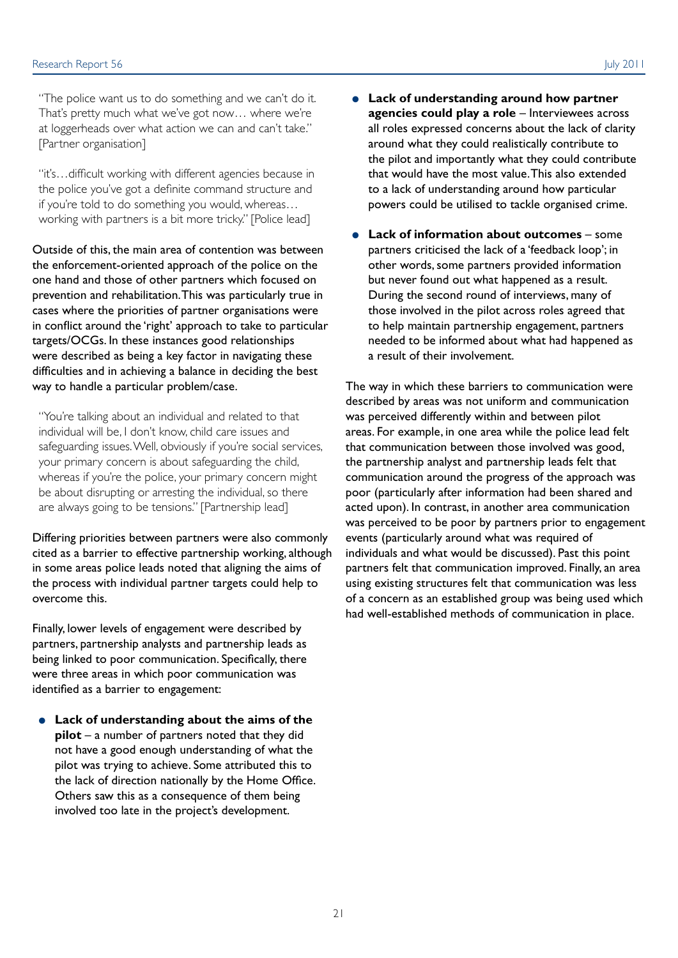"The police want us to do something and we can't do it. That's pretty much what we've got now… where we're at loggerheads over what action we can and can't take." [Partner organisation]

"it's…difficult working with different agencies because in the police you've got a definite command structure and if you're told to do something you would, whereas… working with partners is a bit more tricky." [Police lead]

Outside of this, the main area of contention was between the enforcement-oriented approach of the police on the one hand and those of other partners which focused on prevention and rehabilitation. This was particularly true in cases where the priorities of partner organisations were in conflict around the 'right' approach to take to particular targets/OCGs. In these instances good relationships were described as being a key factor in navigating these difficulties and in achieving a balance in deciding the best way to handle a particular problem/case.

"You're talking about an individual and related to that individual will be, I don't know, child care issues and safeguarding issues. Well, obviously if you're social services, your primary concern is about safeguarding the child, whereas if you're the police, your primary concern might be about disrupting or arresting the individual, so there are always going to be tensions." [Partnership lead]

Differing priorities between partners were also commonly cited as a barrier to effective partnership working, although in some areas police leads noted that aligning the aims of the process with individual partner targets could help to overcome this.

Finally, lower levels of engagement were described by partners, partnership analysts and partnership leads as being linked to poor communication. Specifically, there were three areas in which poor communication was identified as a barrier to engagement:

● **Lack of understanding about the aims of the pilot** – a number of partners noted that they did not have a good enough understanding of what the pilot was trying to achieve. Some attributed this to the lack of direction nationally by the Home Office. Others saw this as a consequence of them being involved too late in the project's development.

- **Lack of understanding around how partner agencies could play a role** – Interviewees across all roles expressed concerns about the lack of clarity around what they could realistically contribute to the pilot and importantly what they could contribute that would have the most value. This also extended to a lack of understanding around how particular powers could be utilised to tackle organised crime.
- **Lack of information about outcomes** some partners criticised the lack of a 'feedback loop'; in other words, some partners provided information but never found out what happened as a result. During the second round of interviews, many of those involved in the pilot across roles agreed that to help maintain partnership engagement, partners needed to be informed about what had happened as a result of their involvement.

The way in which these barriers to communication were described by areas was not uniform and communication was perceived differently within and between pilot areas. For example, in one area while the police lead felt that communication between those involved was good, the partnership analyst and partnership leads felt that communication around the progress of the approach was poor (particularly after information had been shared and acted upon). In contrast, in another area communication was perceived to be poor by partners prior to engagement events (particularly around what was required of individuals and what would be discussed). Past this point partners felt that communication improved. Finally, an area using existing structures felt that communication was less of a concern as an established group was being used which had well-established methods of communication in place.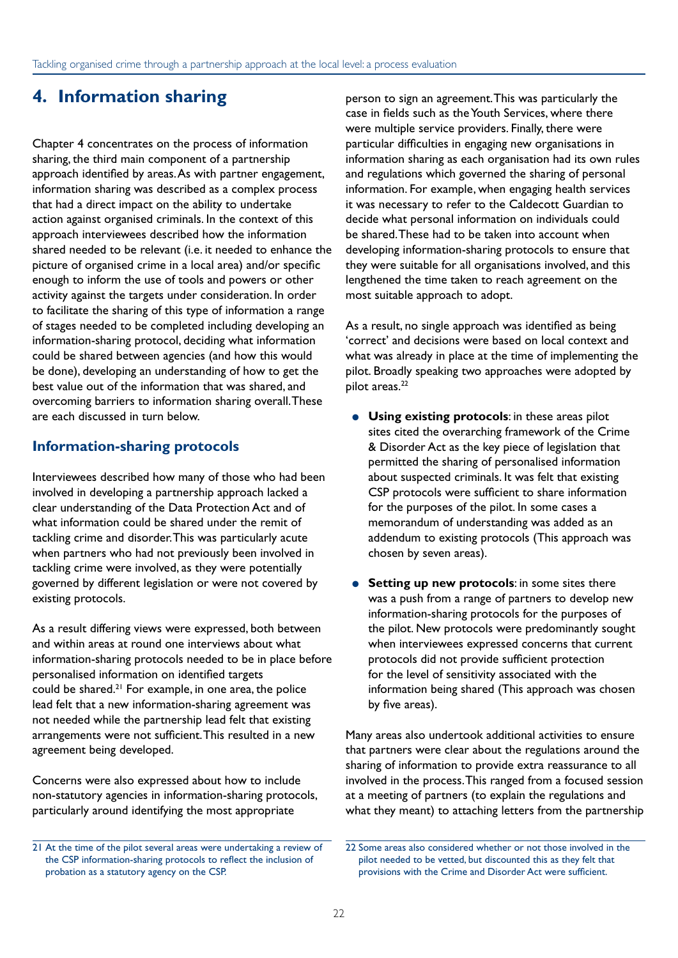### **4. Information sharing**

Chapter 4 concentrates on the process of information sharing, the third main component of a partnership approach identified by areas. As with partner engagement, information sharing was described as a complex process that had a direct impact on the ability to undertake action against organised criminals. In the context of this approach interviewees described how the information shared needed to be relevant (i.e. it needed to enhance the picture of organised crime in a local area) and/or specific enough to inform the use of tools and powers or other activity against the targets under consideration. In order to facilitate the sharing of this type of information a range of stages needed to be completed including developing an information-sharing protocol, deciding what information could be shared between agencies (and how this would be done), developing an understanding of how to get the best value out of the information that was shared, and overcoming barriers to information sharing overall. These are each discussed in turn below.

#### **Information-sharing protocols**

Interviewees described how many of those who had been involved in developing a partnership approach lacked a clear understanding of the Data Protection Act and of what information could be shared under the remit of tackling crime and disorder. This was particularly acute when partners who had not previously been involved in tackling crime were involved, as they were potentially governed by different legislation or were not covered by existing protocols.

As a result differing views were expressed, both between and within areas at round one interviews about what information-sharing protocols needed to be in place before personalised information on identified targets could be shared. $21$  For example, in one area, the police lead felt that a new information-sharing agreement was not needed while the partnership lead felt that existing arrangements were not sufficient. This resulted in a new agreement being developed.

Concerns were also expressed about how to include non-statutory agencies in information-sharing protocols, particularly around identifying the most appropriate

person to sign an agreement. This was particularly the case in fields such as the Youth Services, where there were multiple service providers. Finally, there were particular difficulties in engaging new organisations in information sharing as each organisation had its own rules and regulations which governed the sharing of personal information. For example, when engaging health services it was necessary to refer to the Caldecott Guardian to decide what personal information on individuals could be shared. These had to be taken into account when developing information-sharing protocols to ensure that they were suitable for all organisations involved, and this lengthened the time taken to reach agreement on the most suitable approach to adopt.

As a result, no single approach was identified as being 'correct' and decisions were based on local context and what was already in place at the time of implementing the pilot. Broadly speaking two approaches were adopted by pilot areas.<sup>22</sup>

- **Using existing protocols**: in these areas pilot sites cited the overarching framework of the Crime & Disorder Act as the key piece of legislation that permitted the sharing of personalised information about suspected criminals. It was felt that existing CSP protocols were sufficient to share information for the purposes of the pilot. In some cases a memorandum of understanding was added as an addendum to existing protocols (This approach was chosen by seven areas).
- **Setting up new protocols:** in some sites there was a push from a range of partners to develop new information-sharing protocols for the purposes of the pilot. New protocols were predominantly sought when interviewees expressed concerns that current protocols did not provide sufficient protection for the level of sensitivity associated with the information being shared (This approach was chosen by five areas).

Many areas also undertook additional activities to ensure that partners were clear about the regulations around the sharing of information to provide extra reassurance to all involved in the process. This ranged from a focused session at a meeting of partners (to explain the regulations and what they meant) to attaching letters from the partnership

<sup>21</sup> At the time of the pilot several areas were undertaking a review of the CSP information-sharing protocols to reflect the inclusion of probation as a statutory agency on the CSP.

<sup>22</sup> Some areas also considered whether or not those involved in the pilot needed to be vetted, but discounted this as they felt that provisions with the Crime and Disorder Act were sufficient.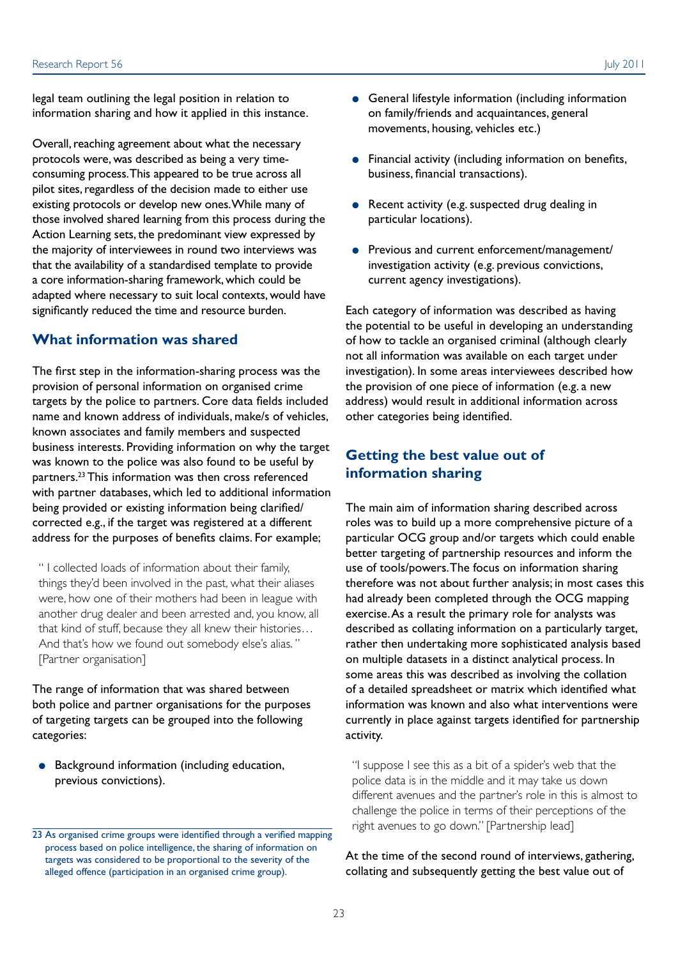legal team outlining the legal position in relation to information sharing and how it applied in this instance.

Overall, reaching agreement about what the necessary protocols were, was described as being a very timeconsuming process. This appeared to be true across all pilot sites, regardless of the decision made to either use existing protocols or develop new ones. While many of those involved shared learning from this process during the Action Learning sets, the predominant view expressed by the majority of interviewees in round two interviews was that the availability of a standardised template to provide a core information-sharing framework, which could be adapted where necessary to suit local contexts, would have significantly reduced the time and resource burden.

#### **What information was shared**

The first step in the information-sharing process was the provision of personal information on organised crime targets by the police to partners. Core data fields included name and known address of individuals, make/s of vehicles, known associates and family members and suspected business interests. Providing information on why the target was known to the police was also found to be useful by partners.23 This information was then cross referenced with partner databases, which led to additional information being provided or existing information being clarified/ corrected e.g., if the target was registered at a different address for the purposes of benefits claims. For example;

" I collected loads of information about their family, things they'd been involved in the past, what their aliases were, how one of their mothers had been in league with another drug dealer and been arrested and, you know, all that kind of stuff, because they all knew their histories… And that's how we found out somebody else's alias. " [Partner organisation]

The range of information that was shared between both police and partner organisations for the purposes of targeting targets can be grouped into the following categories:

● Background information (including education, previous convictions).

- General lifestyle information (including information on family/friends and acquaintances, general movements, housing, vehicles etc.)
- Financial activity (including information on benefits, business, financial transactions).
- Recent activity (e.g. suspected drug dealing in particular locations).
- Previous and current enforcement/management/ investigation activity (e.g. previous convictions, current agency investigations).

Each category of information was described as having the potential to be useful in developing an understanding of how to tackle an organised criminal (although clearly not all information was available on each target under investigation). In some areas interviewees described how the provision of one piece of information (e.g. a new address) would result in additional information across other categories being identified.

#### **Getting the best value out of information sharing**

The main aim of information sharing described across roles was to build up a more comprehensive picture of a particular OCG group and/or targets which could enable better targeting of partnership resources and inform the use of tools/powers. The focus on information sharing therefore was not about further analysis; in most cases this had already been completed through the OCG mapping exercise. As a result the primary role for analysts was described as collating information on a particularly target, rather then undertaking more sophisticated analysis based on multiple datasets in a distinct analytical process. In some areas this was described as involving the collation of a detailed spreadsheet or matrix which identified what information was known and also what interventions were currently in place against targets identified for partnership activity.

"I suppose I see this as a bit of a spider's web that the police data is in the middle and it may take us down different avenues and the partner's role in this is almost to challenge the police in terms of their perceptions of the right avenues to go down." [Partnership lead]

#### At the time of the second round of interviews, gathering, collating and subsequently getting the best value out of

<sup>23</sup> As organised crime groups were identified through a verified mapping process based on police intelligence, the sharing of information on targets was considered to be proportional to the severity of the alleged offence (participation in an organised crime group).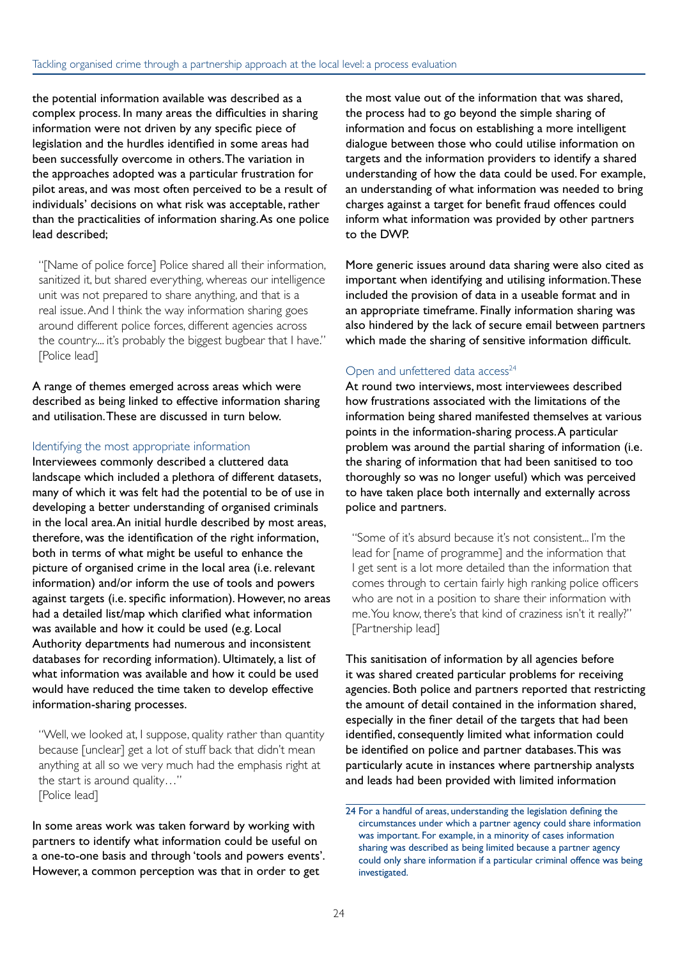the potential information available was described as a complex process. In many areas the difficulties in sharing information were not driven by any specific piece of legislation and the hurdles identified in some areas had been successfully overcome in others. The variation in the approaches adopted was a particular frustration for pilot areas, and was most often perceived to be a result of individuals' decisions on what risk was acceptable, rather than the practicalities of information sharing. As one police lead described;

"[Name of police force] Police shared all their information, sanitized it, but shared everything, whereas our intelligence unit was not prepared to share anything, and that is a real issue. And I think the way information sharing goes around different police forces, different agencies across the country.... it's probably the biggest bugbear that I have." [Police lead]

A range of themes emerged across areas which were described as being linked to effective information sharing and utilisation. These are discussed in turn below.

#### Identifying the most appropriate information

Interviewees commonly described a cluttered data landscape which included a plethora of different datasets, many of which it was felt had the potential to be of use in developing a better understanding of organised criminals in the local area. An initial hurdle described by most areas, therefore, was the identification of the right information, both in terms of what might be useful to enhance the picture of organised crime in the local area (i.e. relevant information) and/or inform the use of tools and powers against targets (i.e. specific information). However, no areas had a detailed list/map which clarified what information was available and how it could be used (e.g. Local Authority departments had numerous and inconsistent databases for recording information). Ultimately, a list of what information was available and how it could be used would have reduced the time taken to develop effective information-sharing processes.

"Well, we looked at, I suppose, quality rather than quantity because [unclear] get a lot of stuff back that didn't mean anything at all so we very much had the emphasis right at the start is around quality…" [Police lead]

In some areas work was taken forward by working with partners to identify what information could be useful on a one-to-one basis and through 'tools and powers events'. However, a common perception was that in order to get

the most value out of the information that was shared, the process had to go beyond the simple sharing of information and focus on establishing a more intelligent dialogue between those who could utilise information on targets and the information providers to identify a shared understanding of how the data could be used. For example, an understanding of what information was needed to bring charges against a target for benefit fraud offences could inform what information was provided by other partners to the DWP.

More generic issues around data sharing were also cited as important when identifying and utilising information. These included the provision of data in a useable format and in an appropriate timeframe. Finally information sharing was also hindered by the lack of secure email between partners which made the sharing of sensitive information difficult.

#### Open and unfettered data access<sup>24</sup>

At round two interviews, most interviewees described how frustrations associated with the limitations of the information being shared manifested themselves at various points in the information-sharing process. A particular problem was around the partial sharing of information (i.e. the sharing of information that had been sanitised to too thoroughly so was no longer useful) which was perceived to have taken place both internally and externally across police and partners.

"Some of it's absurd because it's not consistent... I'm the lead for [name of programme] and the information that I get sent is a lot more detailed than the information that comes through to certain fairly high ranking police officers who are not in a position to share their information with me. You know, there's that kind of craziness isn't it really?" [Partnership lead]

This sanitisation of information by all agencies before it was shared created particular problems for receiving agencies. Both police and partners reported that restricting the amount of detail contained in the information shared, especially in the finer detail of the targets that had been identified, consequently limited what information could be identified on police and partner databases. This was particularly acute in instances where partnership analysts and leads had been provided with limited information

<sup>24</sup> For a handful of areas, understanding the legislation defining the circumstances under which a partner agency could share information was important. For example, in a minority of cases information sharing was described as being limited because a partner agency could only share information if a particular criminal offence was being investigated.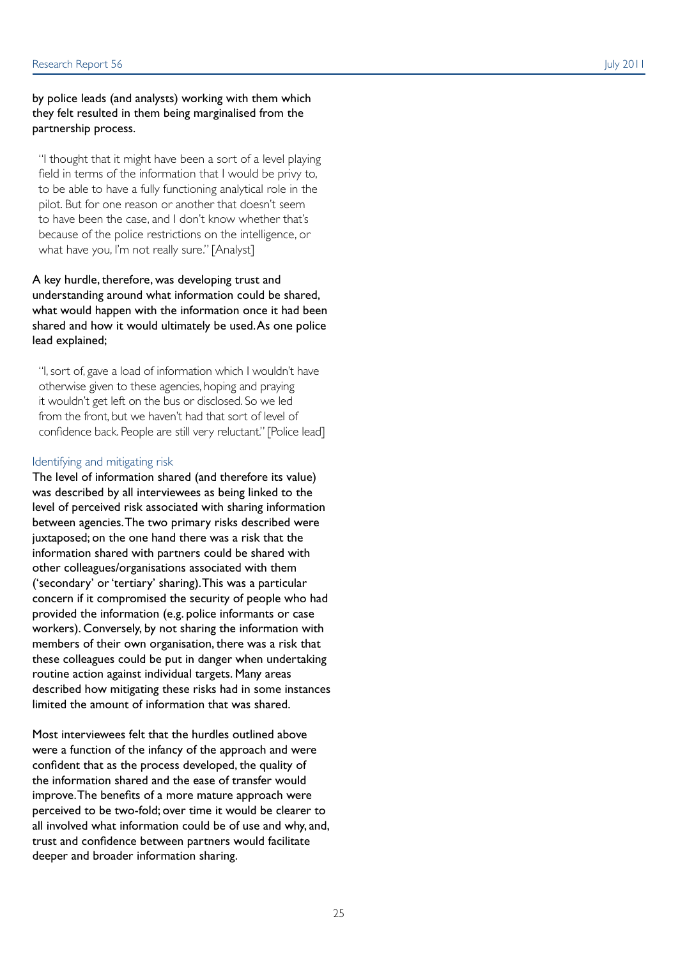#### by police leads (and analysts) working with them which they felt resulted in them being marginalised from the partnership process.

"I thought that it might have been a sort of a level playing field in terms of the information that I would be privy to, to be able to have a fully functioning analytical role in the pilot. But for one reason or another that doesn't seem to have been the case, and I don't know whether that's because of the police restrictions on the intelligence, or what have you, I'm not really sure." [Analyst]

A key hurdle, therefore, was developing trust and understanding around what information could be shared, what would happen with the information once it had been shared and how it would ultimately be used. As one police lead explained;

"I, sort of, gave a load of information which I wouldn't have otherwise given to these agencies, hoping and praying it wouldn't get left on the bus or disclosed. So we led from the front, but we haven't had that sort of level of confidence back. People are still very reluctant." [Police lead]

#### Identifying and mitigating risk

The level of information shared (and therefore its value) was described by all interviewees as being linked to the level of perceived risk associated with sharing information between agencies. The two primary risks described were juxtaposed; on the one hand there was a risk that the information shared with partners could be shared with other colleagues/organisations associated with them ('secondary' or 'tertiary' sharing). This was a particular concern if it compromised the security of people who had provided the information (e.g. police informants or case workers). Conversely, by not sharing the information with members of their own organisation, there was a risk that these colleagues could be put in danger when undertaking routine action against individual targets. Many areas described how mitigating these risks had in some instances limited the amount of information that was shared.

Most interviewees felt that the hurdles outlined above were a function of the infancy of the approach and were confident that as the process developed, the quality of the information shared and the ease of transfer would improve. The benefits of a more mature approach were perceived to be two-fold; over time it would be clearer to all involved what information could be of use and why, and, trust and confidence between partners would facilitate deeper and broader information sharing.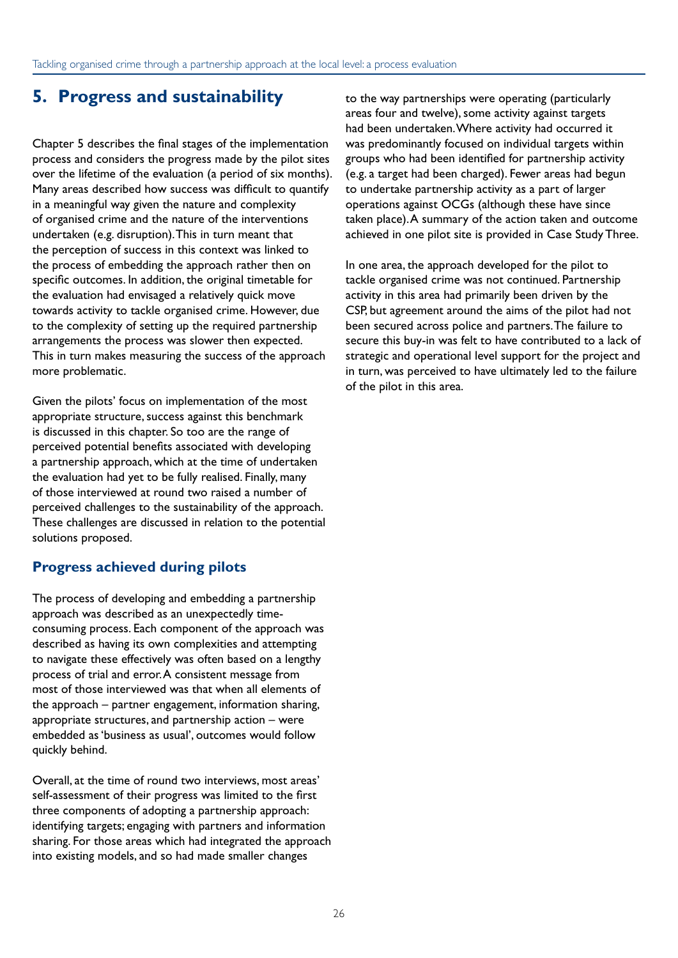### **5. Progress and sustainability**

Chapter 5 describes the final stages of the implementation process and considers the progress made by the pilot sites over the lifetime of the evaluation (a period of six months). Many areas described how success was difficult to quantify in a meaningful way given the nature and complexity of organised crime and the nature of the interventions undertaken (e.g. disruption). This in turn meant that the perception of success in this context was linked to the process of embedding the approach rather then on specific outcomes. In addition, the original timetable for the evaluation had envisaged a relatively quick move towards activity to tackle organised crime. However, due to the complexity of setting up the required partnership arrangements the process was slower then expected. This in turn makes measuring the success of the approach more problematic.

Given the pilots' focus on implementation of the most appropriate structure, success against this benchmark is discussed in this chapter. So too are the range of perceived potential benefits associated with developing a partnership approach, which at the time of undertaken the evaluation had yet to be fully realised. Finally, many of those interviewed at round two raised a number of perceived challenges to the sustainability of the approach. These challenges are discussed in relation to the potential solutions proposed.

### **Progress achieved during pilots**

The process of developing and embedding a partnership approach was described as an unexpectedly timeconsuming process. Each component of the approach was described as having its own complexities and attempting to navigate these effectively was often based on a lengthy process of trial and error. A consistent message from most of those interviewed was that when all elements of the approach – partner engagement, information sharing, appropriate structures, and partnership action – were embedded as 'business as usual', outcomes would follow quickly behind.

Overall, at the time of round two interviews, most areas' self-assessment of their progress was limited to the first three components of adopting a partnership approach: identifying targets; engaging with partners and information sharing. For those areas which had integrated the approach into existing models, and so had made smaller changes

to the way partnerships were operating (particularly areas four and twelve), some activity against targets had been undertaken. Where activity had occurred it was predominantly focused on individual targets within groups who had been identified for partnership activity (e.g. a target had been charged). Fewer areas had begun to undertake partnership activity as a part of larger operations against OCGs (although these have since taken place). A summary of the action taken and outcome achieved in one pilot site is provided in Case Study Three.

In one area, the approach developed for the pilot to tackle organised crime was not continued. Partnership activity in this area had primarily been driven by the CSP, but agreement around the aims of the pilot had not been secured across police and partners. The failure to secure this buy-in was felt to have contributed to a lack of strategic and operational level support for the project and in turn, was perceived to have ultimately led to the failure of the pilot in this area.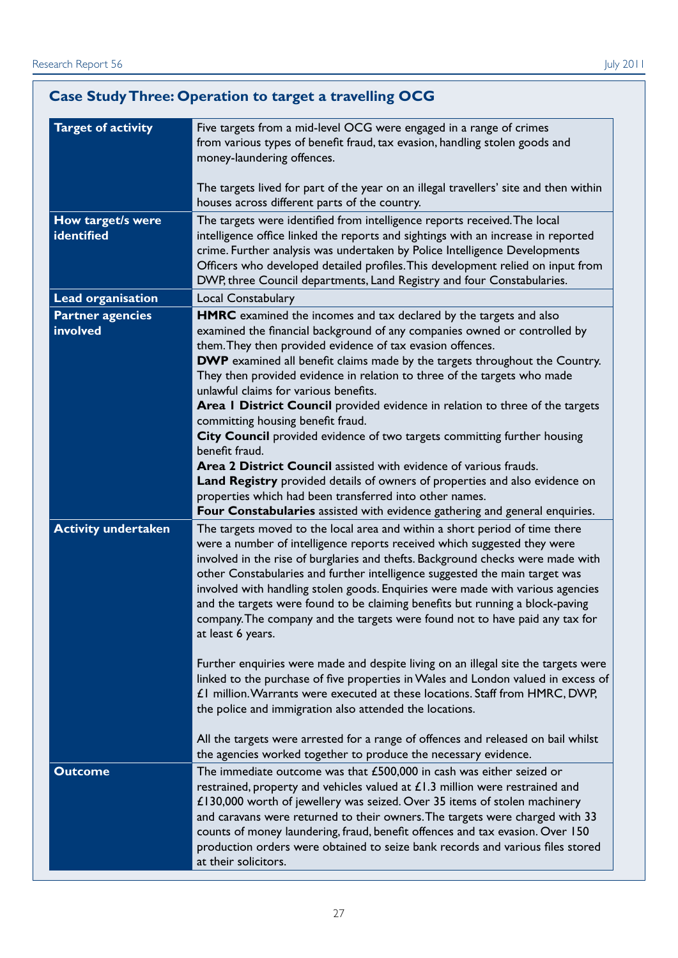|                                     | <b>Case Study Three: Operation to target a travelling OCG</b>                                                                                                                                                                                                                                                                                                                                                                                                                                                                                                                                     |
|-------------------------------------|---------------------------------------------------------------------------------------------------------------------------------------------------------------------------------------------------------------------------------------------------------------------------------------------------------------------------------------------------------------------------------------------------------------------------------------------------------------------------------------------------------------------------------------------------------------------------------------------------|
| <b>Target of activity</b>           | Five targets from a mid-level OCG were engaged in a range of crimes<br>from various types of benefit fraud, tax evasion, handling stolen goods and<br>money-laundering offences.                                                                                                                                                                                                                                                                                                                                                                                                                  |
|                                     | The targets lived for part of the year on an illegal travellers' site and then within<br>houses across different parts of the country.                                                                                                                                                                                                                                                                                                                                                                                                                                                            |
| How target/s were<br>identified     | The targets were identified from intelligence reports received. The local<br>intelligence office linked the reports and sightings with an increase in reported<br>crime. Further analysis was undertaken by Police Intelligence Developments<br>Officers who developed detailed profiles. This development relied on input from<br>DWP, three Council departments, Land Registry and four Constabularies.                                                                                                                                                                                         |
| <b>Lead organisation</b>            | Local Constabulary                                                                                                                                                                                                                                                                                                                                                                                                                                                                                                                                                                                |
| <b>Partner agencies</b><br>involved | HMRC examined the incomes and tax declared by the targets and also<br>examined the financial background of any companies owned or controlled by<br>them. They then provided evidence of tax evasion offences.<br>DWP examined all benefit claims made by the targets throughout the Country.<br>They then provided evidence in relation to three of the targets who made<br>unlawful claims for various benefits.                                                                                                                                                                                 |
|                                     | Area I District Council provided evidence in relation to three of the targets<br>committing housing benefit fraud.<br>City Council provided evidence of two targets committing further housing                                                                                                                                                                                                                                                                                                                                                                                                    |
|                                     | benefit fraud.<br>Area 2 District Council assisted with evidence of various frauds.<br>Land Registry provided details of owners of properties and also evidence on<br>properties which had been transferred into other names.<br>Four Constabularies assisted with evidence gathering and general enquiries.                                                                                                                                                                                                                                                                                      |
| <b>Activity undertaken</b>          | The targets moved to the local area and within a short period of time there<br>were a number of intelligence reports received which suggested they were<br>involved in the rise of burglaries and thefts. Background checks were made with<br>other Constabularies and further intelligence suggested the main target was<br>involved with handling stolen goods. Enquiries were made with various agencies<br>and the targets were found to be claiming benefits but running a block-paving<br>company. The company and the targets were found not to have paid any tax for<br>at least 6 years. |
|                                     | Further enquiries were made and despite living on an illegal site the targets were<br>linked to the purchase of five properties in Wales and London valued in excess of<br>£1 million. Warrants were executed at these locations. Staff from HMRC, DWP,<br>the police and immigration also attended the locations.                                                                                                                                                                                                                                                                                |
|                                     | All the targets were arrested for a range of offences and released on bail whilst<br>the agencies worked together to produce the necessary evidence.                                                                                                                                                                                                                                                                                                                                                                                                                                              |
| <b>Outcome</b>                      | The immediate outcome was that £500,000 in cash was either seized or<br>restrained, property and vehicles valued at $£1.3$ million were restrained and<br>£130,000 worth of jewellery was seized. Over 35 items of stolen machinery<br>and caravans were returned to their owners. The targets were charged with 33<br>counts of money laundering, fraud, benefit offences and tax evasion. Over 150<br>production orders were obtained to seize bank records and various files stored<br>at their solicitors.                                                                                    |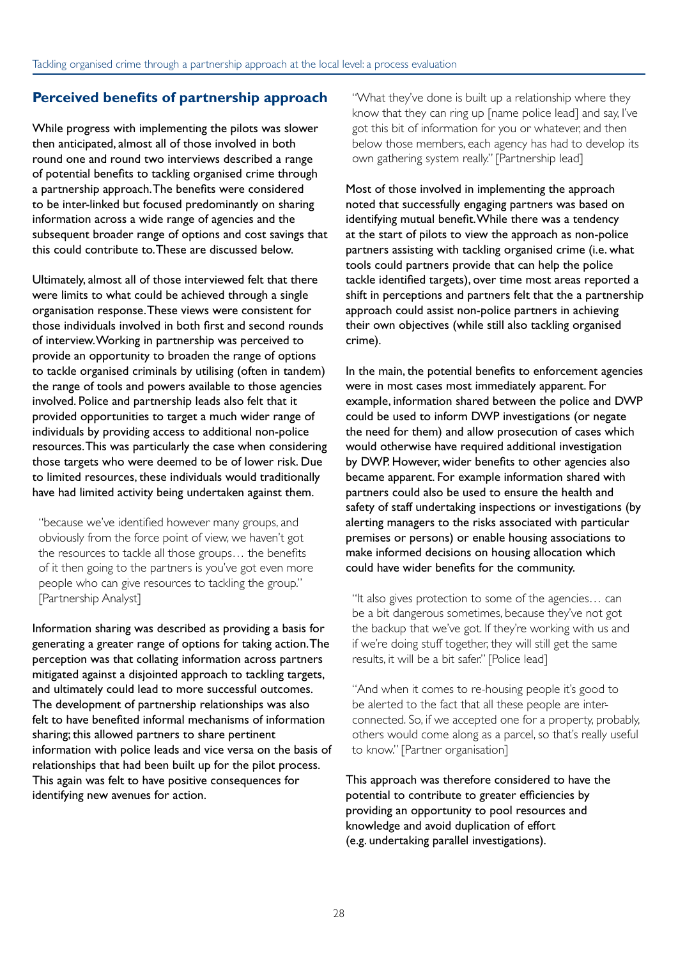#### **Perceived benefits of partnership approach**

While progress with implementing the pilots was slower then anticipated, almost all of those involved in both round one and round two interviews described a range of potential benefits to tackling organised crime through a partnership approach. The benefits were considered to be inter-linked but focused predominantly on sharing information across a wide range of agencies and the subsequent broader range of options and cost savings that this could contribute to. These are discussed below.

Ultimately, almost all of those interviewed felt that there were limits to what could be achieved through a single organisation response. These views were consistent for those individuals involved in both first and second rounds of interview. Working in partnership was perceived to provide an opportunity to broaden the range of options to tackle organised criminals by utilising (often in tandem) the range of tools and powers available to those agencies involved. Police and partnership leads also felt that it provided opportunities to target a much wider range of individuals by providing access to additional non-police resources. This was particularly the case when considering those targets who were deemed to be of lower risk. Due to limited resources, these individuals would traditionally have had limited activity being undertaken against them.

"because we've identified however many groups, and obviously from the force point of view, we haven't got the resources to tackle all those groups… the benefits of it then going to the partners is you've got even more people who can give resources to tackling the group." [Partnership Analyst]

Information sharing was described as providing a basis for generating a greater range of options for taking action. The perception was that collating information across partners mitigated against a disjointed approach to tackling targets, and ultimately could lead to more successful outcomes. The development of partnership relationships was also felt to have benefited informal mechanisms of information sharing; this allowed partners to share pertinent information with police leads and vice versa on the basis of relationships that had been built up for the pilot process. This again was felt to have positive consequences for identifying new avenues for action.

"What they've done is built up a relationship where they know that they can ring up [name police lead] and say, I've got this bit of information for you or whatever, and then below those members, each agency has had to develop its own gathering system really." [Partnership lead]

Most of those involved in implementing the approach noted that successfully engaging partners was based on identifying mutual benefit. While there was a tendency at the start of pilots to view the approach as non-police partners assisting with tackling organised crime (i.e. what tools could partners provide that can help the police tackle identified targets), over time most areas reported a shift in perceptions and partners felt that the a partnership approach could assist non-police partners in achieving their own objectives (while still also tackling organised crime).

In the main, the potential benefits to enforcement agencies were in most cases most immediately apparent. For example, information shared between the police and DWP could be used to inform DWP investigations (or negate the need for them) and allow prosecution of cases which would otherwise have required additional investigation by DWP. However, wider benefits to other agencies also became apparent. For example information shared with partners could also be used to ensure the health and safety of staff undertaking inspections or investigations (by alerting managers to the risks associated with particular premises or persons) or enable housing associations to make informed decisions on housing allocation which could have wider benefits for the community.

"It also gives protection to some of the agencies... can be a bit dangerous sometimes, because they've not got the backup that we've got. If they're working with us and if we're doing stuff together, they will still get the same results, it will be a bit safer." [Police lead]

"And when it comes to re-housing people it's good to be alerted to the fact that all these people are interconnected. So, if we accepted one for a property, probably, others would come along as a parcel, so that's really useful to know." [Partner organisation]

This approach was therefore considered to have the potential to contribute to greater efficiencies by providing an opportunity to pool resources and knowledge and avoid duplication of effort (e.g. undertaking parallel investigations).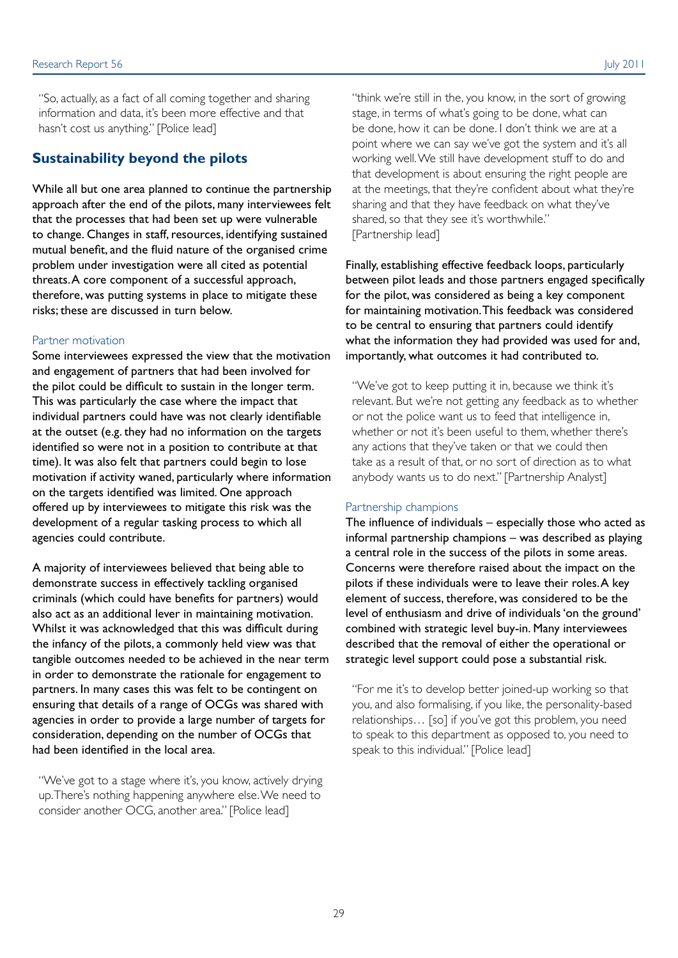"So, actually, as a fact of all coming together and sharing information and data, it's been more effective and that hasn't cost us anything." [Police lead]

#### **Sustainability beyond the pilots**

While all but one area planned to continue the partnership approach after the end of the pilots, many interviewees felt that the processes that had been set up were vulnerable to change. Changes in staff, resources, identifying sustained mutual benefit, and the fluid nature of the organised crime problem under investigation were all cited as potential threats. A core component of a successful approach, therefore, was putting systems in place to mitigate these risks; these are discussed in turn below.

#### Partner motivation

Some interviewees expressed the view that the motivation and engagement of partners that had been involved for the pilot could be difficult to sustain in the longer term. This was particularly the case where the impact that individual partners could have was not clearly identifiable at the outset (e.g. they had no information on the targets identified so were not in a position to contribute at that time). It was also felt that partners could begin to lose motivation if activity waned, particularly where information on the targets identified was limited. One approach offered up by interviewees to mitigate this risk was the development of a regular tasking process to which all agencies could contribute.

A majority of interviewees believed that being able to demonstrate success in effectively tackling organised criminals (which could have benefits for partners) would also act as an additional lever in maintaining motivation. Whilst it was acknowledged that this was difficult during the infancy of the pilots, a commonly held view was that tangible outcomes needed to be achieved in the near term in order to demonstrate the rationale for engagement to partners. In many cases this was felt to be contingent on ensuring that details of a range of OCGs was shared with agencies in order to provide a large number of targets for consideration, depending on the number of OCGs that had been identified in the local area.

"We've got to a stage where it's, you know, actively drying up. There's nothing happening anywhere else. We need to consider another OCG, another area." [Police lead]

"think we're still in the, you know, in the sort of growing stage, in terms of what's going to be done, what can be done, how it can be done. I don't think we are at a point where we can say we've got the system and it's all working well. We still have development stuff to do and that development is about ensuring the right people are at the meetings, that they're confident about what they're sharing and that they have feedback on what they've shared, so that they see it's worthwhile." [Partnership lead]

Finally, establishing effective feedback loops, particularly between pilot leads and those partners engaged specifically for the pilot, was considered as being a key component for maintaining motivation. This feedback was considered to be central to ensuring that partners could identify what the information they had provided was used for and, importantly, what outcomes it had contributed to.

"We've got to keep putting it in, because we think it's relevant. But we're not getting any feedback as to whether or not the police want us to feed that intelligence in, whether or not it's been useful to them, whether there's any actions that they've taken or that we could then take as a result of that, or no sort of direction as to what anybody wants us to do next." [Partnership Analyst]

#### Partnership champions

The influence of individuals – especially those who acted as informal partnership champions – was described as playing a central role in the success of the pilots in some areas. Concerns were therefore raised about the impact on the pilots if these individuals were to leave their roles. A key element of success, therefore, was considered to be the level of enthusiasm and drive of individuals 'on the ground' combined with strategic level buy-in. Many interviewees described that the removal of either the operational or strategic level support could pose a substantial risk.

"For me it's to develop better joined-up working so that you, and also formalising, if you like, the personality-based relationships… [so] if you've got this problem, you need to speak to this department as opposed to, you need to speak to this individual." [Police lead]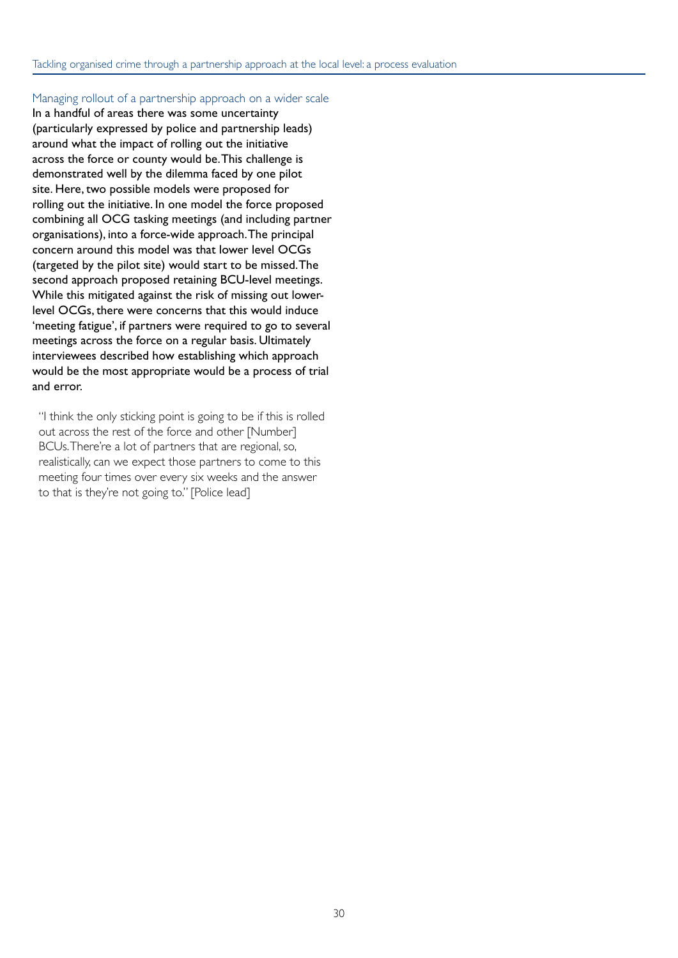#### Managing rollout of a partnership approach on a wider scale

In a handful of areas there was some uncertainty (particularly expressed by police and partnership leads) around what the impact of rolling out the initiative across the force or county would be. This challenge is demonstrated well by the dilemma faced by one pilot site. Here, two possible models were proposed for rolling out the initiative. In one model the force proposed combining all OCG tasking meetings (and including partner organisations), into a force-wide approach. The principal concern around this model was that lower level OCGs (targeted by the pilot site) would start to be missed. The second approach proposed retaining BCU-level meetings. While this mitigated against the risk of missing out lowerlevel OCGs, there were concerns that this would induce 'meeting fatigue', if partners were required to go to several meetings across the force on a regular basis. Ultimately interviewees described how establishing which approach would be the most appropriate would be a process of trial and error.

"I think the only sticking point is going to be if this is rolled out across the rest of the force and other [Number] BCUs. There're a lot of partners that are regional, so, realistically, can we expect those partners to come to this meeting four times over every six weeks and the answer to that is they're not going to." [Police lead]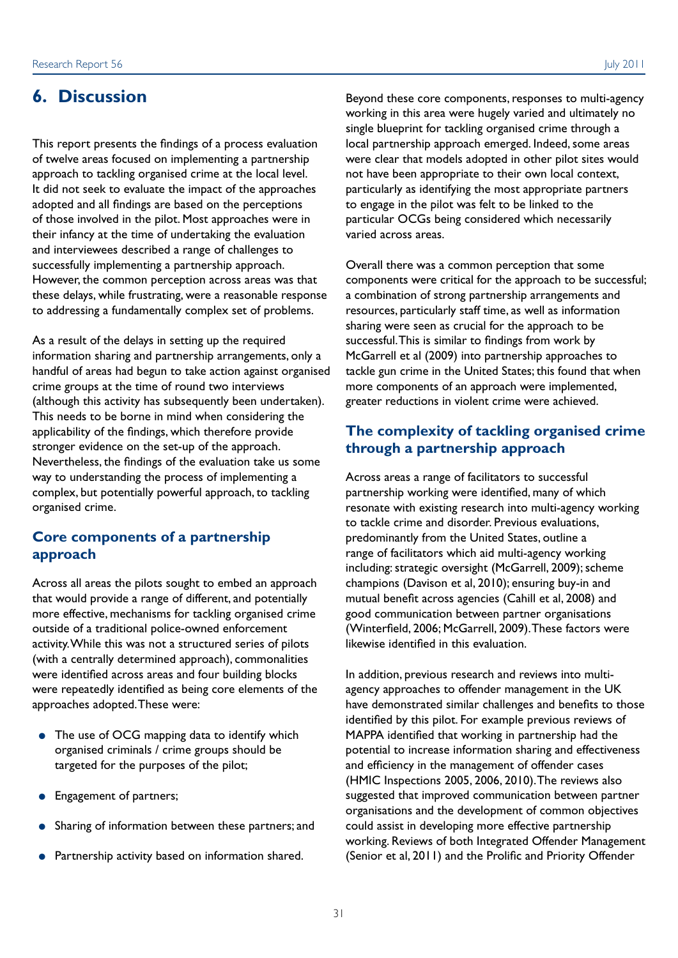### **6. Discussion**

This report presents the findings of a process evaluation of twelve areas focused on implementing a partnership approach to tackling organised crime at the local level. It did not seek to evaluate the impact of the approaches adopted and all findings are based on the perceptions of those involved in the pilot. Most approaches were in their infancy at the time of undertaking the evaluation and interviewees described a range of challenges to successfully implementing a partnership approach. However, the common perception across areas was that these delays, while frustrating, were a reasonable response to addressing a fundamentally complex set of problems.

As a result of the delays in setting up the required information sharing and partnership arrangements, only a handful of areas had begun to take action against organised crime groups at the time of round two interviews (although this activity has subsequently been undertaken). This needs to be borne in mind when considering the applicability of the findings, which therefore provide stronger evidence on the set-up of the approach. Nevertheless, the findings of the evaluation take us some way to understanding the process of implementing a complex, but potentially powerful approach, to tackling organised crime.

#### **Core components of a partnership approach**

Across all areas the pilots sought to embed an approach that would provide a range of different, and potentially more effective, mechanisms for tackling organised crime outside of a traditional police-owned enforcement activity. While this was not a structured series of pilots (with a centrally determined approach), commonalities were identified across areas and four building blocks were repeatedly identified as being core elements of the approaches adopted. These were:

- The use of OCG mapping data to identify which organised criminals / crime groups should be targeted for the purposes of the pilot;
- Engagement of partners;
- Sharing of information between these partners; and
- Partnership activity based on information shared.

Beyond these core components, responses to multi-agency working in this area were hugely varied and ultimately no single blueprint for tackling organised crime through a local partnership approach emerged. Indeed, some areas were clear that models adopted in other pilot sites would not have been appropriate to their own local context, particularly as identifying the most appropriate partners to engage in the pilot was felt to be linked to the particular OCGs being considered which necessarily varied across areas.

Overall there was a common perception that some components were critical for the approach to be successful; a combination of strong partnership arrangements and resources, particularly staff time, as well as information sharing were seen as crucial for the approach to be successful. This is similar to findings from work by McGarrell et al (2009) into partnership approaches to tackle gun crime in the United States; this found that when more components of an approach were implemented, greater reductions in violent crime were achieved.

#### **The complexity of tackling organised crime through a partnership approach**

Across areas a range of facilitators to successful partnership working were identified, many of which resonate with existing research into multi-agency working to tackle crime and disorder. Previous evaluations, predominantly from the United States, outline a range of facilitators which aid multi-agency working including: strategic oversight (McGarrell, 2009); scheme champions (Davison et al, 2010); ensuring buy-in and mutual benefit across agencies (Cahill et al, 2008) and good communication between partner organisations (Winterfield, 2006; McGarrell, 2009). These factors were likewise identified in this evaluation.

In addition, previous research and reviews into multiagency approaches to offender management in the UK have demonstrated similar challenges and benefits to those identified by this pilot. For example previous reviews of MAPPA identified that working in partnership had the potential to increase information sharing and effectiveness and efficiency in the management of offender cases (HMIC Inspections 2005, 2006, 2010). The reviews also suggested that improved communication between partner organisations and the development of common objectives could assist in developing more effective partnership working. Reviews of both Integrated Offender Management (Senior et al, 2011) and the Prolific and Priority Offender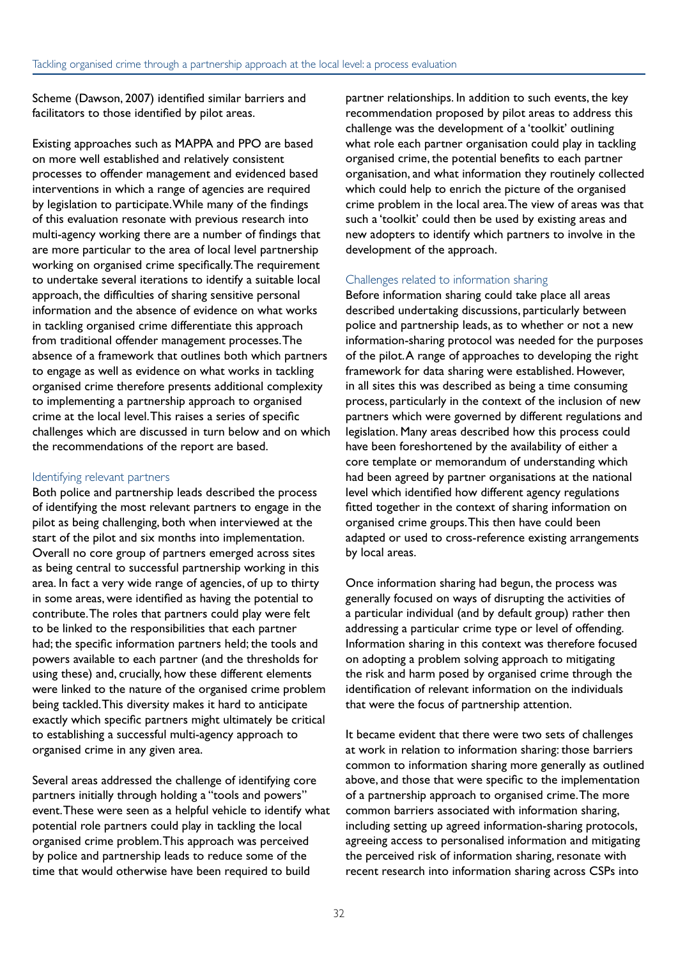Scheme (Dawson, 2007) identified similar barriers and facilitators to those identified by pilot areas.

Existing approaches such as MAPPA and PPO are based on more well established and relatively consistent processes to offender management and evidenced based interventions in which a range of agencies are required by legislation to participate. While many of the findings of this evaluation resonate with previous research into multi-agency working there are a number of findings that are more particular to the area of local level partnership working on organised crime specifically. The requirement to undertake several iterations to identify a suitable local approach, the difficulties of sharing sensitive personal information and the absence of evidence on what works in tackling organised crime differentiate this approach from traditional offender management processes. The absence of a framework that outlines both which partners to engage as well as evidence on what works in tackling organised crime therefore presents additional complexity to implementing a partnership approach to organised crime at the local level. This raises a series of specific challenges which are discussed in turn below and on which the recommendations of the report are based.

#### Identifying relevant partners

Both police and partnership leads described the process of identifying the most relevant partners to engage in the pilot as being challenging, both when interviewed at the start of the pilot and six months into implementation. Overall no core group of partners emerged across sites as being central to successful partnership working in this area. In fact a very wide range of agencies, of up to thirty in some areas, were identified as having the potential to contribute. The roles that partners could play were felt to be linked to the responsibilities that each partner had; the specific information partners held; the tools and powers available to each partner (and the thresholds for using these) and, crucially, how these different elements were linked to the nature of the organised crime problem being tackled. This diversity makes it hard to anticipate exactly which specific partners might ultimately be critical to establishing a successful multi-agency approach to organised crime in any given area.

Several areas addressed the challenge of identifying core partners initially through holding a "tools and powers" event. These were seen as a helpful vehicle to identify what potential role partners could play in tackling the local organised crime problem. This approach was perceived by police and partnership leads to reduce some of the time that would otherwise have been required to build

partner relationships. In addition to such events, the key recommendation proposed by pilot areas to address this challenge was the development of a 'toolkit' outlining what role each partner organisation could play in tackling organised crime, the potential benefits to each partner organisation, and what information they routinely collected which could help to enrich the picture of the organised crime problem in the local area. The view of areas was that such a 'toolkit' could then be used by existing areas and new adopters to identify which partners to involve in the development of the approach.

#### Challenges related to information sharing

Before information sharing could take place all areas described undertaking discussions, particularly between police and partnership leads, as to whether or not a new information-sharing protocol was needed for the purposes of the pilot. A range of approaches to developing the right framework for data sharing were established. However, in all sites this was described as being a time consuming process, particularly in the context of the inclusion of new partners which were governed by different regulations and legislation. Many areas described how this process could have been foreshortened by the availability of either a core template or memorandum of understanding which had been agreed by partner organisations at the national level which identified how different agency regulations fitted together in the context of sharing information on organised crime groups. This then have could been adapted or used to cross-reference existing arrangements by local areas.

Once information sharing had begun, the process was generally focused on ways of disrupting the activities of a particular individual (and by default group) rather then addressing a particular crime type or level of offending. Information sharing in this context was therefore focused on adopting a problem solving approach to mitigating the risk and harm posed by organised crime through the identification of relevant information on the individuals that were the focus of partnership attention.

It became evident that there were two sets of challenges at work in relation to information sharing: those barriers common to information sharing more generally as outlined above, and those that were specific to the implementation of a partnership approach to organised crime. The more common barriers associated with information sharing, including setting up agreed information-sharing protocols, agreeing access to personalised information and mitigating the perceived risk of information sharing, resonate with recent research into information sharing across CSPs into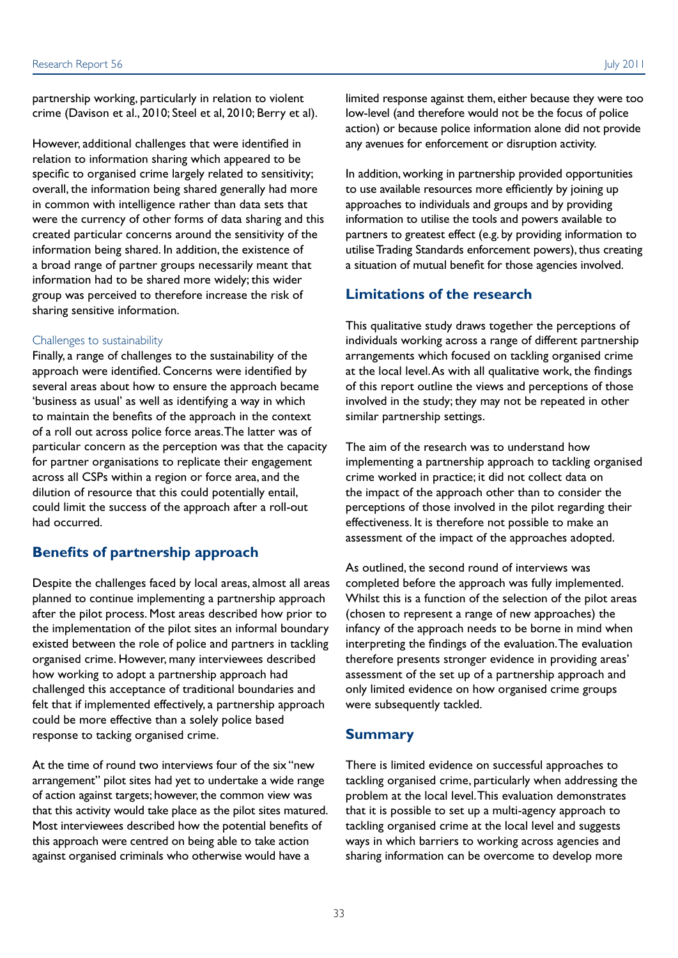partnership working, particularly in relation to violent crime (Davison et al., 2010; Steel et al, 2010; Berry et al).

However, additional challenges that were identified in relation to information sharing which appeared to be specific to organised crime largely related to sensitivity; overall, the information being shared generally had more in common with intelligence rather than data sets that were the currency of other forms of data sharing and this created particular concerns around the sensitivity of the information being shared. In addition, the existence of a broad range of partner groups necessarily meant that information had to be shared more widely; this wider group was perceived to therefore increase the risk of sharing sensitive information.

#### Challenges to sustainability

Finally, a range of challenges to the sustainability of the approach were identified. Concerns were identified by several areas about how to ensure the approach became 'business as usual' as well as identifying a way in which to maintain the benefits of the approach in the context of a roll out across police force areas. The latter was of particular concern as the perception was that the capacity for partner organisations to replicate their engagement across all CSPs within a region or force area, and the dilution of resource that this could potentially entail, could limit the success of the approach after a roll-out had occurred.

### **Benefits of partnership approach**

Despite the challenges faced by local areas, almost all areas planned to continue implementing a partnership approach after the pilot process. Most areas described how prior to the implementation of the pilot sites an informal boundary existed between the role of police and partners in tackling organised crime. However, many interviewees described how working to adopt a partnership approach had challenged this acceptance of traditional boundaries and felt that if implemented effectively, a partnership approach could be more effective than a solely police based response to tacking organised crime.

At the time of round two interviews four of the six "new arrangement" pilot sites had yet to undertake a wide range of action against targets; however, the common view was that this activity would take place as the pilot sites matured. Most interviewees described how the potential benefits of this approach were centred on being able to take action against organised criminals who otherwise would have a

limited response against them, either because they were too low-level (and therefore would not be the focus of police action) or because police information alone did not provide any avenues for enforcement or disruption activity.

In addition, working in partnership provided opportunities to use available resources more efficiently by joining up approaches to individuals and groups and by providing information to utilise the tools and powers available to partners to greatest effect (e.g. by providing information to utilise Trading Standards enforcement powers), thus creating a situation of mutual benefit for those agencies involved.

#### **Limitations of the research**

This qualitative study draws together the perceptions of individuals working across a range of different partnership arrangements which focused on tackling organised crime at the local level. As with all qualitative work, the findings of this report outline the views and perceptions of those involved in the study; they may not be repeated in other similar partnership settings.

The aim of the research was to understand how implementing a partnership approach to tackling organised crime worked in practice; it did not collect data on the impact of the approach other than to consider the perceptions of those involved in the pilot regarding their effectiveness. It is therefore not possible to make an assessment of the impact of the approaches adopted.

As outlined, the second round of interviews was completed before the approach was fully implemented. Whilst this is a function of the selection of the pilot areas (chosen to represent a range of new approaches) the infancy of the approach needs to be borne in mind when interpreting the findings of the evaluation. The evaluation therefore presents stronger evidence in providing areas' assessment of the set up of a partnership approach and only limited evidence on how organised crime groups were subsequently tackled.

#### **Summary**

There is limited evidence on successful approaches to tackling organised crime, particularly when addressing the problem at the local level. This evaluation demonstrates that it is possible to set up a multi-agency approach to tackling organised crime at the local level and suggests ways in which barriers to working across agencies and sharing information can be overcome to develop more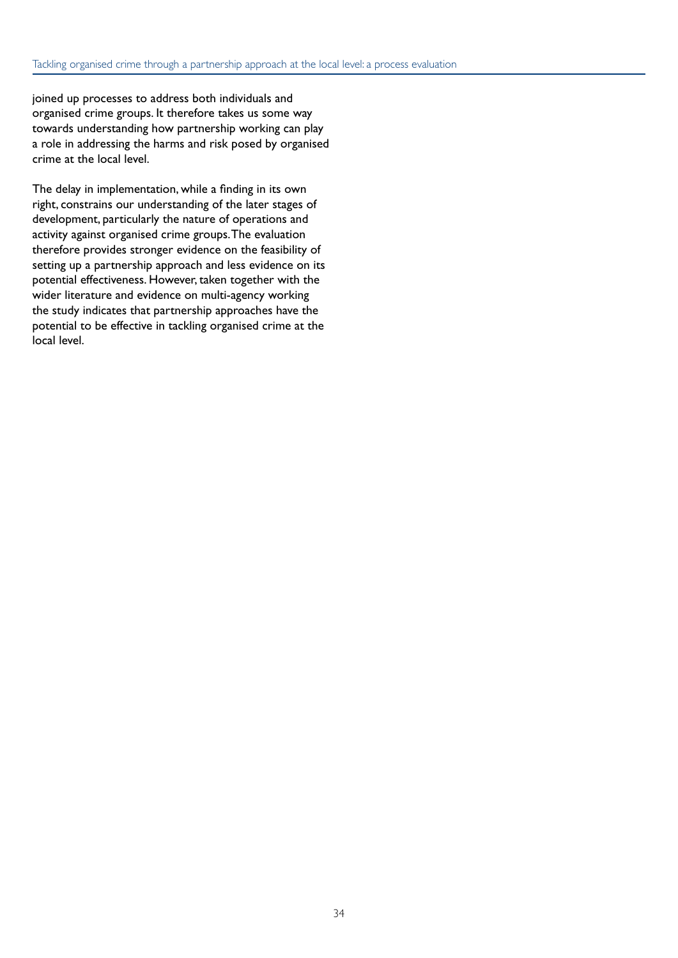joined up processes to address both individuals and organised crime groups. It therefore takes us some way towards understanding how partnership working can play a role in addressing the harms and risk posed by organised crime at the local level.

The delay in implementation, while a finding in its own right, constrains our understanding of the later stages of development, particularly the nature of operations and activity against organised crime groups. The evaluation therefore provides stronger evidence on the feasibility of setting up a partnership approach and less evidence on its potential effectiveness. However, taken together with the wider literature and evidence on multi-agency working the study indicates that partnership approaches have the potential to be effective in tackling organised crime at the local level.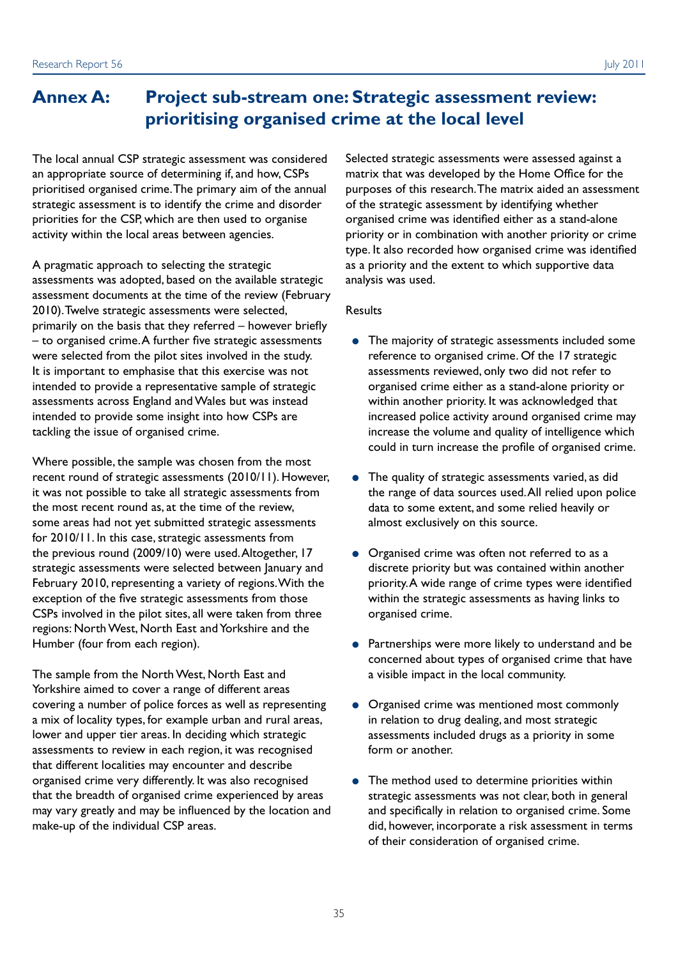### **Annex A: Project sub-stream one: Strategic assessment review: prioritising organised crime at the local level**

The local annual CSP strategic assessment was considered Selected strategic assessments were assessed against a an appropriate source of determining if, and how, CSPs matrix that was developed by the Home Office for the prioritised organised crime. The primary aim of the annual purposes of this research. The matrix aided an assessment strategic assessment is to identify the crime and disorder of the strategic assessment by identifying whether priorities for the CSP, which are then used to organise organised crime was identified either as a stand-alone activity within the local areas between agencies. priority or in combination with another priority or crime

A pragmatic approach to selecting the strategic as a priority and the extent to which supportive data assessments was adopted, based on the available strategic analysis was used. assessment documents at the time of the review (February 2010). Twelve strategic assessments were selected, Results primarily on the basis that they referred – however briefly – to organised crime. A further five strategic assessments ●● The majority of strategic assessments included some were selected from the pilot sites involved in the study. reference to organised crime. Of the 17 strategic It is important to emphasise that this exercise was not assessments reviewed, only two did not refer to intended to provide a representative sample of strategic organised crime either as a stand-alone priority or assessments across England and Wales but was instead within another priority. It was acknowledged that intended to provide some insight into how CSPs are increased police activity around organised crime may tackling the issue of organised crime. increase the volume and quality of intelligence which

Where possible, the sample was chosen from the most recent round of strategic assessments (2010/11). However,  $\bullet$  The quality of strategic assessments varied, as did it was not possible to take all strategic assessments from the range of data sources used. All relied upon police the most recent round as, at the time of the review, data to some extent, and some relied heavily or some areas had not yet submitted strategic assessments almost exclusively on this source. for 2010/11. In this case, strategic assessments from the previous round (2009/10) were used. Altogether, 17 •• Organised crime was often not referred to as a strategic assessments were selected between January and discrete priority but was contained within another February 2010, representing a variety of regions. With the priority. A wide range of crime types were identified exception of the five strategic assessments from those within the strategic assessments as having links to CSPs involved in the pilot sites, all were taken from three organised crime. regions: North West, North East and Yorkshire and the Humber (four from each region). <br> **•** Partnerships were more likely to understand and be

The sample from the North West, North East and a visible impact in the local community. Yorkshire aimed to cover a range of different areas covering a number of police forces as well as representing  $\bullet$  Organised crime was mentioned most commonly a mix of locality types, for example urban and rural areas, in relation to drug dealing, and most strategic lower and upper tier areas. In deciding which strategic assessments included drugs as a priority in some assessments to review in each region, it was recognised form or another. that different localities may encounter and describe organised crime very differently. It was also recognised • The method used to determine priorities within that the breadth of organised crime experienced by areas strategic assessments was not clear, both in general may vary greatly and may be influenced by the location and and specifically in relation to organised crime. Some make-up of the individual CSP areas. did, however, incorporate a risk assessment in terms

type. It also recorded how organised crime was identified

- could in turn increase the profile of organised crime.
- 
- 
- concerned about types of organised crime that have
- 
- of their consideration of organised crime.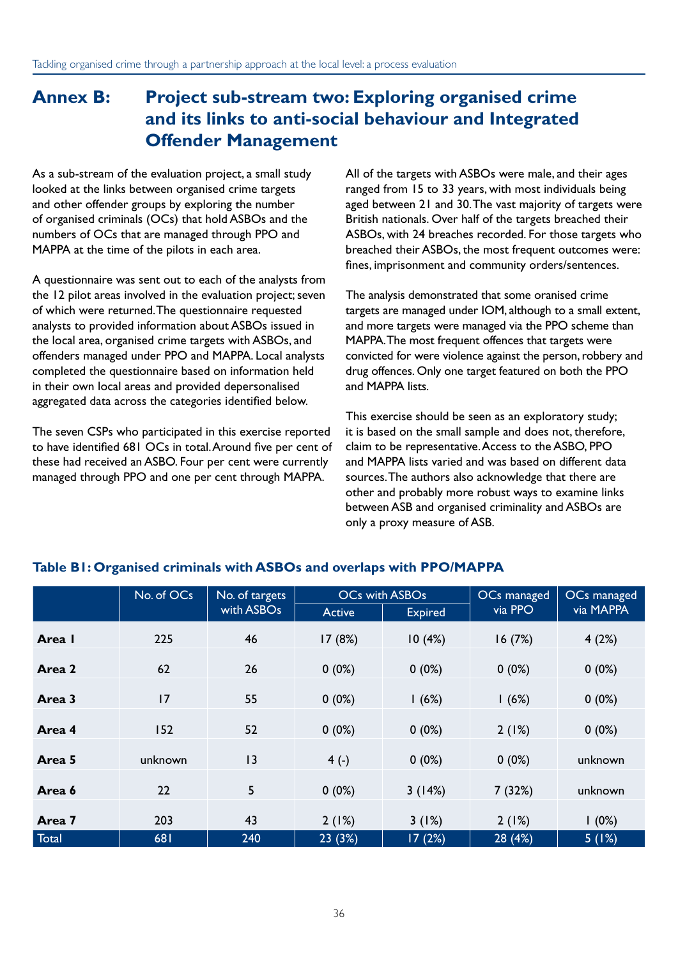### **Annex B: Project sub-stream two: Exploring organised crime and its links to anti-social behaviour and Integrated Offender Management**

As a sub-stream of the evaluation project, a small study looked at the links between organised crime targets and other offender groups by exploring the number of organised criminals (OCs) that hold ASBOs and the numbers of OCs that are managed through PPO and MAPPA at the time of the pilots in each area.

A questionnaire was sent out to each of the analysts from the 12 pilot areas involved in the evaluation project; seven of which were returned. The questionnaire requested analysts to provided information about ASBOs issued in the local area, organised crime targets with ASBOs, and offenders managed under PPO and MAPPA. Local analysts completed the questionnaire based on information held in their own local areas and provided depersonalised aggregated data across the categories identified below.

The seven CSPs who participated in this exercise reported to have identified 681 OCs in total. Around five per cent of these had received an ASBO. Four per cent were currently managed through PPO and one per cent through MAPPA.

All of the targets with ASBOs were male, and their ages ranged from 15 to 33 years, with most individuals being aged between 21 and 30. The vast majority of targets were British nationals. Over half of the targets breached their ASBOs, with 24 breaches recorded. For those targets who breached their ASBOs, the most frequent outcomes were: fines, imprisonment and community orders/sentences.

The analysis demonstrated that some oranised crime targets are managed under IOM, although to a small extent, and more targets were managed via the PPO scheme than MAPPA. The most frequent offences that targets were convicted for were violence against the person, robbery and drug offences. Only one target featured on both the PPO and MAPPA lists.

This exercise should be seen as an exploratory study; it is based on the small sample and does not, therefore, claim to be representative. Access to the ASBO, PPO and MAPPA lists varied and was based on different data sources. The authors also acknowledge that there are other and probably more robust ways to examine links between ASB and organised criminality and ASBOs are only a proxy measure of ASB.

|        | No. of OCs | No. of targets         |               | OCs with ASBOs | OCs managed | OCs managed |
|--------|------------|------------------------|---------------|----------------|-------------|-------------|
|        |            | with ASBO <sub>s</sub> | <b>Active</b> | <b>Expired</b> | via PPO     | via MAPPA   |
| Area I | 225        | 46                     | 17(8%)        | 10(4%)         | 16(7%)      | 4(2%)       |
| Area 2 | 62         | 26                     | $0(0\%)$      | $0(0\%)$       | $0(0\%)$    | 0(0%)       |
| Area 3 | 17         | 55                     | $0(0\%)$      | 1(6%)          | 1(6%)       | 0(0%)       |
| Area 4 | 152        | 52                     | $0(0\%)$      | $0(0\%)$       | 2(1%)       | $0(0\%)$    |
| Area 5 | unknown    | 13                     | $4( - )$      | $0(0\%)$       | 0(0%)       | unknown     |
| Area 6 | 22         | 5                      | $0(0\%)$      | 3(14%)         | 7(32%)      | unknown     |
| Area 7 | 203        | 43                     | 2(1%)         | 3(1%)          | 2(1%)       | 1(0%)       |
| Total  | 681        | 240                    | 23(3%)        | 17(2%)         | 28 (4%)     | 5(1%)       |

#### **Table B1: Organised criminals with ASBOs and overlaps with PPO/MAPPA**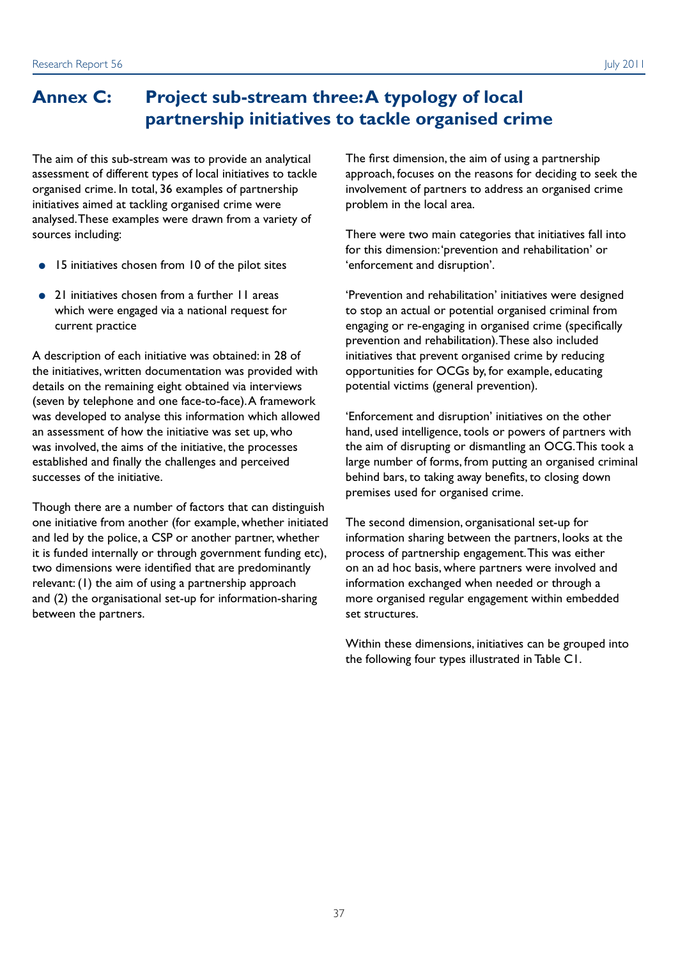The aim of this sub-stream was to provide an analytical assessment of different types of local initiatives to tackle organised crime. In total, 36 examples of partnership initiatives aimed at tackling organised crime were analysed. These examples were drawn from a variety of sources including:

- 15 initiatives chosen from 10 of the pilot sites
- 21 initiatives chosen from a further 11 areas which were engaged via a national request for current practice

A description of each initiative was obtained: in 28 of the initiatives, written documentation was provided with details on the remaining eight obtained via interviews (seven by telephone and one face-to-face). A framework was developed to analyse this information which allowed an assessment of how the initiative was set up, who was involved, the aims of the initiative, the processes established and finally the challenges and perceived successes of the initiative.

Though there are a number of factors that can distinguish one initiative from another (for example, whether initiated and led by the police, a CSP or another partner, whether it is funded internally or through government funding etc), two dimensions were identified that are predominantly relevant: (1) the aim of using a partnership approach and (2) the organisational set-up for information-sharing between the partners.

The first dimension, the aim of using a partnership approach, focuses on the reasons for deciding to seek the involvement of partners to address an organised crime problem in the local area.

There were two main categories that initiatives fall into for this dimension: 'prevention and rehabilitation' or 'enforcement and disruption'.

'Prevention and rehabilitation' initiatives were designed to stop an actual or potential organised criminal from engaging or re-engaging in organised crime (specifically prevention and rehabilitation). These also included initiatives that prevent organised crime by reducing opportunities for OCGs by, for example, educating potential victims (general prevention).

'Enforcement and disruption' initiatives on the other hand, used intelligence, tools or powers of partners with the aim of disrupting or dismantling an OCG. This took a large number of forms, from putting an organised criminal behind bars, to taking away benefits, to closing down premises used for organised crime.

The second dimension, organisational set-up for information sharing between the partners, looks at the process of partnership engagement. This was either on an ad hoc basis, where partners were involved and information exchanged when needed or through a more organised regular engagement within embedded set structures.

Within these dimensions, initiatives can be grouped into the following four types illustrated in Table C1.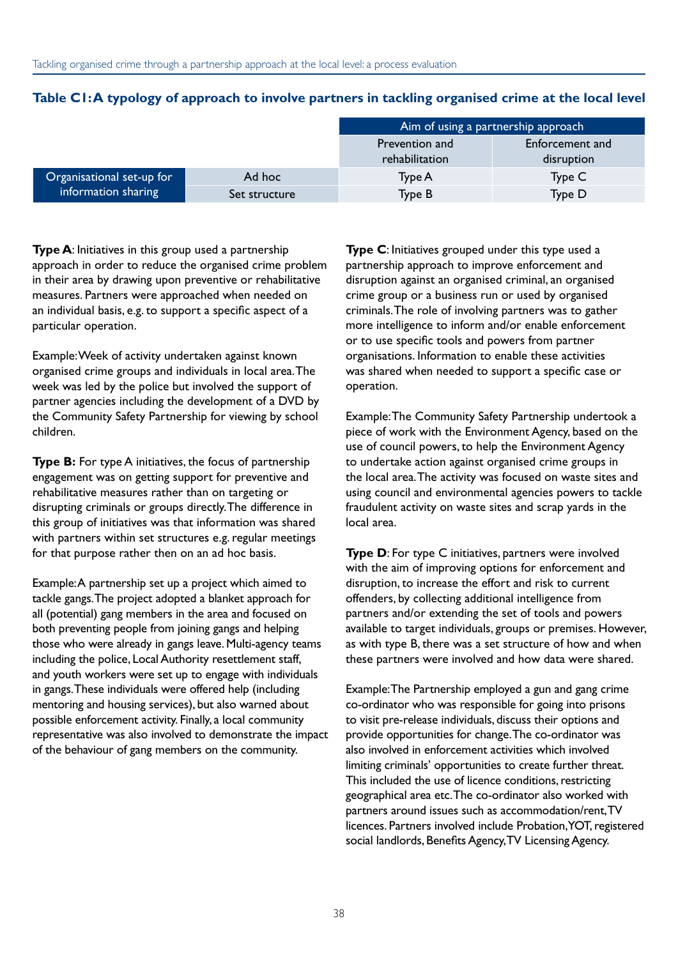|                           |               | Aim of using a partnership approach |                               |  |
|---------------------------|---------------|-------------------------------------|-------------------------------|--|
|                           |               | Prevention and<br>rehabilitation    | Enforcement and<br>disruption |  |
| Organisational set-up for | Ad hoc        | Type A                              | Type C                        |  |
| information sharing       | Set structure | <b>Type B</b>                       | Type D                        |  |

#### Table C1:A typology of approach to involve partners in tackling organised crime at the local level

**Type A**: Initiatives in this group used a partnership approach in order to reduce the organised crime problem in their area by drawing upon preventive or rehabilitative measures. Partners were approached when needed on an individual basis, e.g. to support a specific aspect of a particular operation.

Example: Week of activity undertaken against known organised crime groups and individuals in local area. The week was led by the police but involved the support of partner agencies including the development of a DVD by the Community Safety Partnership for viewing by school children.

**Type B:** For type A initiatives, the focus of partnership engagement was on getting support for preventive and rehabilitative measures rather than on targeting or disrupting criminals or groups directly. The difference in this group of initiatives was that information was shared with partners within set structures e.g. regular meetings for that purpose rather then on an ad hoc basis.

Example: A partnership set up a project which aimed to tackle gangs. The project adopted a blanket approach for all (potential) gang members in the area and focused on both preventing people from joining gangs and helping those who were already in gangs leave. Multi-agency teams including the police, Local Authority resettlement staff, and youth workers were set up to engage with individuals in gangs. These individuals were offered help (including mentoring and housing services), but also warned about possible enforcement activity. Finally, a local community representative was also involved to demonstrate the impact of the behaviour of gang members on the community.

**Type C**: Initiatives grouped under this type used a partnership approach to improve enforcement and disruption against an organised criminal, an organised crime group or a business run or used by organised criminals. The role of involving partners was to gather more intelligence to inform and/or enable enforcement or to use specific tools and powers from partner organisations. Information to enable these activities was shared when needed to support a specific case or operation.

Example: The Community Safety Partnership undertook a piece of work with the Environment Agency, based on the use of council powers, to help the Environment Agency to undertake action against organised crime groups in the local area. The activity was focused on waste sites and using council and environmental agencies powers to tackle fraudulent activity on waste sites and scrap yards in the local area.

**Type D:** For type C initiatives, partners were involved with the aim of improving options for enforcement and disruption, to increase the effort and risk to current offenders, by collecting additional intelligence from partners and/or extending the set of tools and powers available to target individuals, groups or premises. However, as with type B, there was a set structure of how and when these partners were involved and how data were shared.

Example: The Partnership employed a gun and gang crime co-ordinator who was responsible for going into prisons to visit pre-release individuals, discuss their options and provide opportunities for change. The co-ordinator was also involved in enforcement activities which involved limiting criminals' opportunities to create further threat. This included the use of licence conditions, restricting geographical area etc. The co-ordinator also worked with partners around issues such as accommodation/rent, TV licences. Partners involved include Probation, YOT, registered social landlords, Benefits Agency, TV Licensing Agency.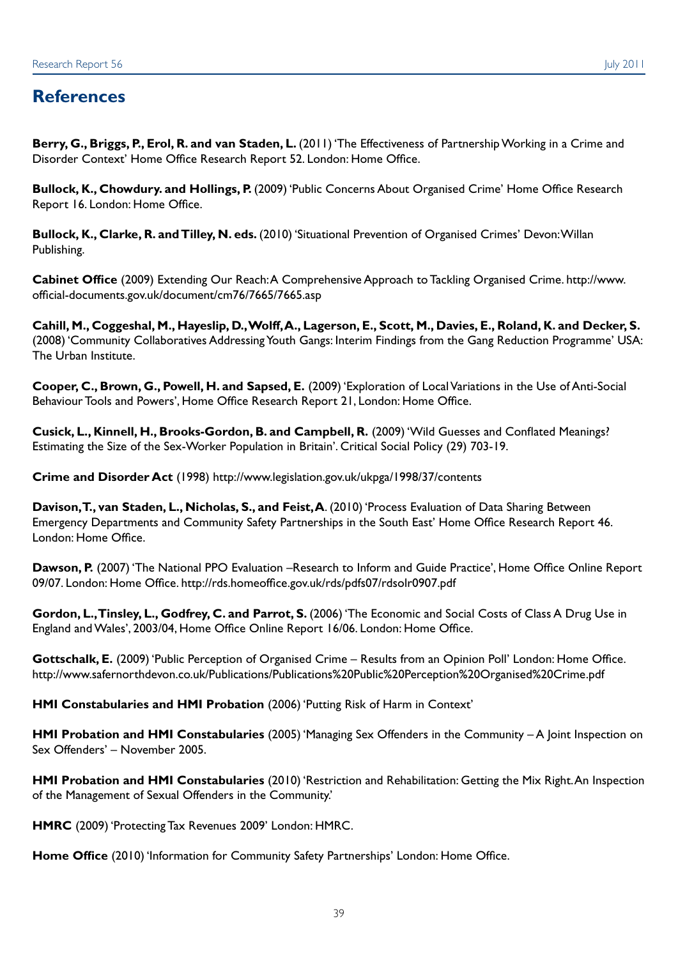**Berry, G., Briggs, P., Erol, R. and van Staden, L.** (2011) 'The Effectiveness of Partnership Working in a Crime and Disorder Context' Home Office Research Report 52. London: Home Office.

**Bullock, K., Chowdury. and Hollings, P.** (2009) 'Public Concerns About Organised Crime' Home Office Research Report 16. London: Home Office.

**Bullock, K., Clarke, R. and Tilley, N. eds.** (2010) 'Situational Prevention of Organised Crimes' Devon: Willan Publishing.

**Cabinet Office** (2009) Extending Our Reach: A Comprehensive Approach to Tackling Organised Crime. http://www. official-documents.gov.uk/document/cm76/7665/7665.asp

**Cahill, M., Coggeshal, M., Hayeslip, D., Wolff, A., Lagerson, E., Scott, M., Davies, E., Roland, K. and Decker, S.** (2008) 'Community Collaboratives Addressing Youth Gangs: Interim Findings from the Gang Reduction Programme' USA: The Urban Institute.

**Cooper, C., Brown, G., Powell, H. and Sapsed, E.** (2009) 'Exploration of Local Variations in the Use of Anti-Social Behaviour Tools and Powers', Home Office Research Report 21, London: Home Office.

**Cusick, L., Kinnell, H., Brooks-Gordon, B. and Campbell, R.** (2009) 'Wild Guesses and Conflated Meanings? Estimating the Size of the Sex-Worker Population in Britain'. Critical Social Policy (29) 703-19.

**Crime and Disorder Act** (1998) http://www.legislation.gov.uk/ukpga/1998/37/contents

**Davison, T., van Staden, L., Nicholas, S., and Feist, A**. (2010) 'Process Evaluation of Data Sharing Between Emergency Departments and Community Safety Partnerships in the South East' Home Office Research Report 46. London: Home Office.

**Dawson, P.** (2007) 'The National PPO Evaluation –Research to Inform and Guide Practice', Home Office Online Report 09/07. London: Home Office. http://rds.homeoffice.gov.uk/rds/pdfs07/rdsolr0907.pdf

Gordon, L., Tinsley, L., Godfrey, C. and Parrot, S. (2006) 'The Economic and Social Costs of Class A Drug Use in England and Wales', 2003/04, Home Office Online Report 16/06. London: Home Office.

**Gottschalk, E.** (2009) 'Public Perception of Organised Crime – Results from an Opinion Poll' London: Home Office. http://www.safernorthdevon.co.uk/Publications/Publications%20Public%20Perception%20Organised%20Crime.pdf

**HMI Constabularies and HMI Probation** (2006) 'Putting Risk of Harm in Context'

**HMI Probation and HMI Constabularies** (2005) 'Managing Sex Offenders in the Community – A Joint Inspection on Sex Offenders' – November 2005.

**HMI Probation and HMI Constabularies** (2010) 'Restriction and Rehabilitation: Getting the Mix Right. An Inspection of the Management of Sexual Offenders in the Community.'

**HMRC** (2009) 'Protecting Tax Revenues 2009' London: HMRC.

**Home Office** (2010) 'Information for Community Safety Partnerships' London: Home Office.